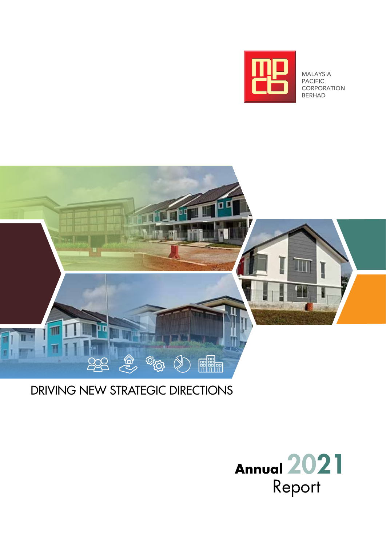

MALAYSIA **PACIFIC** CORPORATION **BERHAD** 



# Driving new Strategic Directions

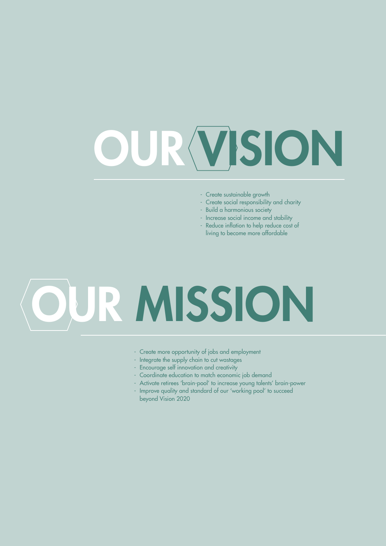# OUR VISION

- Create sustainable growth
- Create social responsibility and charity
- Build a harmonious society
- Increase social income and stability
- Reduce inflation to help reduce cost of living to become more affordable

# OUR MISSION

- Create more opportunity of jobs and employment
- Integrate the supply chain to cut wastages
- Encourage self innovation and creativity
- Coordinate education to match economic job demand
- Activate retirees 'brain-pool' to increase young talents' brain-power
- Improve quality and standard of our 'working pool' to succeed beyond Vision 2020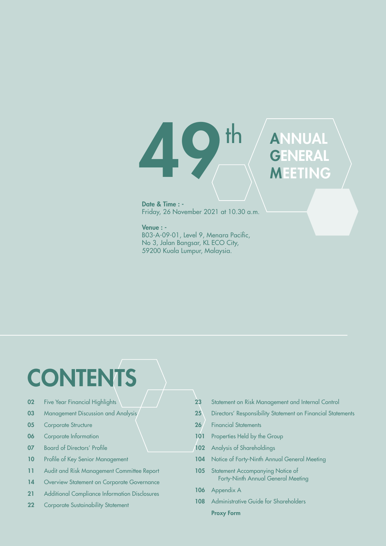400 th ANNUAL **GENERAL** MEETING

Date & Time : - Friday, 26 November 2021 at 10.30 a.m.

Venue : - B03-A-09-01, Level 9, Menara Pacific, No 3, Jalan Bangsar, KL ECO City, 59200 Kuala Lumpur, Malaysia.

# **CONTENTS**

- 02 Five Year Financial Highlights
- 03 Management Discussion and Analysis
- **05** Corporate Structure
- 06 Corporate Information
- 07 Board of Directors' Profile
- 10 Profile of Key Senior Management
- 11 Audit and Risk Management Committee Report
- 14 Overview Statement on Corporate Governance
- 21 Additional Compliance Information Disclosures
- 22 Corporate Sustainability Statement
- 23 Statement on Risk Management and Internal Control
- 25 Directors' Responsibility Statement on Financial Statements
- 26 Financial Statements
- 101 Properties Held by the Group
- 102 Analysis of Shareholdings
- 104 Notice of Forty-Ninth Annual General Meeting
- 105 Statement Accompanying Notice of Forty-Ninth Annual General Meeting
- 106 Appendix A
- 108 Administrative Guide for Shareholders Proxy Form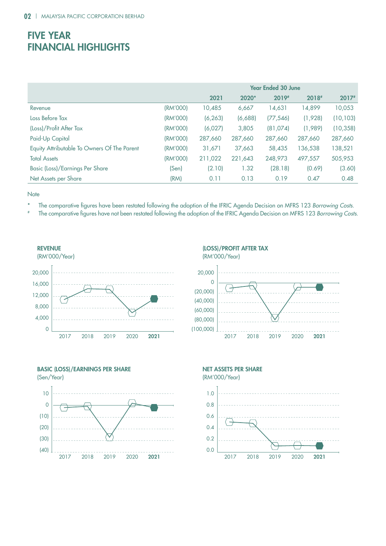# **FIVE YEAR** Financial Highlights

|                                             | <b>Year Ended 30 June</b> |          |         |           |         |           |
|---------------------------------------------|---------------------------|----------|---------|-----------|---------|-----------|
|                                             |                           | 2021     | 2020*   | 2019#     | 2018#   | $2017*$   |
| Revenue                                     | (RM'000)                  | 10,485   | 6,667   | 14,631    | 4,899   | 10,053    |
| Loss Before Tax                             | (RM'000)                  | (6, 263) | (6,688) | (77, 546) | (1,928) | (10, 103) |
| (Loss)/Profit After Tax                     | (RM'000)                  | (6,027)  | 3,805   | (81,074)  | (1,989) | (10, 358) |
| Paid-Up Capital                             | (RM'000)                  | 287,660  | 287,660 | 287,660   | 287,660 | 287,660   |
| Equity Attributable To Owners Of The Parent | (RM'000)                  | 31,671   | 37,663  | 58,435    | 136,538 | 138,521   |
| <b>Total Assets</b>                         | (RM'000)                  | 211,022  | 221,643 | 248,973   | 497,557 | 505,953   |
| Basic (Loss)/Earnings Per Share             | (Sen)                     | (2.10)   | 1.32    | (28.18)   | (0.69)  | (3.60)    |
| Net Assets per Share                        | (RM)                      | 0.11     | 0.13    | 0.19      | 0.47    | 0.48      |

**Note** 

- \* The comparative figures have been restated following the adoption of the IFRIC Agenda Decision on MFRS 123 Borrowing Costs.
- # The comparative figures have not been restated following the adoption of the IFRIC Agenda Decision on MFRS 123 Borrowing Costs.











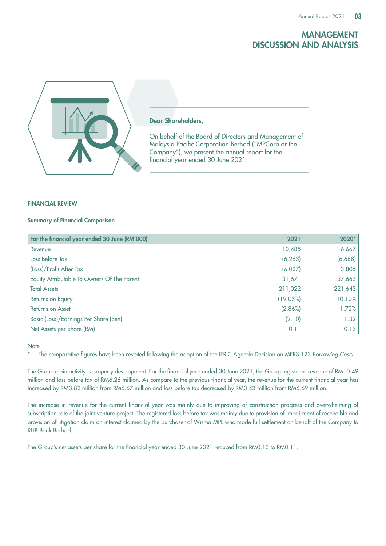### Management Discussion and Analysis



### Dear Shareholders,

On behalf of the Board of Directors and Management of Malaysia Pacific Corporation Berhad ("MPCorp or the Company"), we present the annual report for the financial year ended 30 June 2021.

### FINANCIAL REVIEW

### Summary of Financial Comparison

| For the financial year ended 30 June (RM'000) | 2021     | 2020*   |
|-----------------------------------------------|----------|---------|
| Revenue                                       | 10,485   | 6,667   |
| Loss Before Tax                               | (6, 263) | (6,688) |
| (Loss)/Profit After Tax                       | (6,027)  | 3,805   |
| Equity Attributable To Owners Of The Parent   | 31,671   | 37,663  |
| <b>Total Assets</b>                           | 211,022  | 221,643 |
| Returns on Equity                             | (19.03%) | 10.10%  |
| Returns on Asset                              | (2.86%)  | 1.72%   |
| Basic (Loss)/Earnings Per Share (Sen)         | (2.10)   | 1.32    |
| Net Assets per Share (RM)                     | 0.11     | 0.13    |

### **Note**

\* The comparative figures have been restated following the adoption of the IFRIC Agenda Decision on MFRS 123 *Borrowing Costs*

The Group main activity is property development. For the financial year ended 30 June 2021, the Group registered revenue of RM10.49 million and loss before tax of RM6.26 million. As compare to the previous financial year, the revenue for the current financial year has increased by RM3.82 million from RM6.67 million and loss before tax decreased by RM0.43 million from RM6.69 million.

The increase in revenue for the current financial year was mainly due to improving of construction progress and overwhelming of subscription rate of the joint venture project. The registered loss before tax was mainly due to provision of impairment of receivable and provision of litigation claim on interest claimed by the purchaser of Wisma MPL who made full settlement on behalf of the Company to RHB Bank Berhad.

The Group's net assets per share for the financial year ended 30 June 2021 reduced from RM0.13 to RM0.11.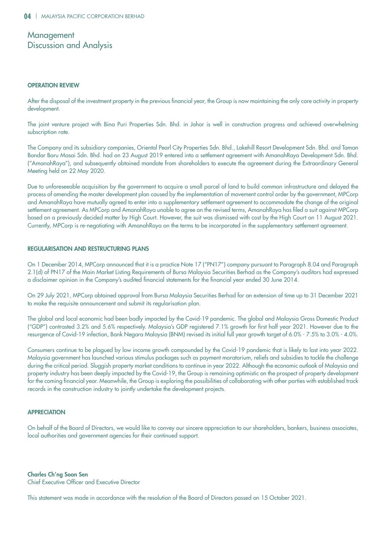### **Management** Discussion and Analysis

### OPERATION REVIEW

After the disposal of the investment property in the previous financial year, the Group is now maintaining the only core activity in property development.

The joint venture project with Bina Puri Properties Sdn. Bhd. in Johor is well in construction progress and achieved overwhelming subscription rate.

The Company and its subsidiary companies, Oriental Pearl City Properties Sdn. Bhd., Lakehill Resort Development Sdn. Bhd. and Taman Bandar Baru Masai Sdn. Bhd. had on 23 August 2019 entered into a settlement agreement with AmanahRaya Development Sdn. Bhd. ("AmanahRaya"), and subsequently obtained mandate from shareholders to execute the agreement during the Extraordinary General Meeting held on 22 May 2020.

Due to unforeseeable acquisition by the government to acquire a small parcel of land to build common infrastructure and delayed the process of amending the master development plan caused by the implementation of movement control order by the government, MPCorp and AmanahRaya have mutually agreed to enter into a supplementary settlement agreement to accommodate the change of the original settlement agreement. As MPCorp and AmanahRaya unable to agree on the revised terms, AmanahRaya has filed a suit against MPCorp based on a previously decided matter by High Court. However, the suit was dismissed with cost by the High Court on 11 August 2021. Currently, MPCorp is re-negotiating with AmanahRaya on the terms to be incorporated in the supplementary settlement agreement.

### REGULARISATION AND RESTRUCTURING PLANS

On 1 December 2014, MPCorp announced that it is a practice Note 17 ("PN17") company pursuant to Paragraph 8.04 and Paragraph 2.1(d) of PN17 of the Main Market Listing Requirements of Bursa Malaysia Securities Berhad as the Company's auditors had expressed a disclaimer opinion in the Company's audited financial statements for the financial year ended 30 June 2014.

On 29 July 2021, MPCorp obtained approval from Bursa Malaysia Securities Berhad for an extension of time up to 31 December 2021 to make the requisite announcement and submit its regularisation plan.

The global and local economic had been badly impacted by the Covid-19 pandemic. The global and Malaysia Gross Domestic Product ("GDP") contrasted 3.2% and 5.6% respectively. Malaysia's GDP registered 7.1% growth for first half year 2021. However due to the resurgence of Covid-19 infection, Bank Negara Malaysia (BNM) revised its initial full year growth target of 6.0% - 7.5% to 3.0% - 4.0%.

Consumers continue to be plagued by low income growth compounded by the Covid-19 pandemic that is likely to last into year 2022. Malaysia government has launched various stimulus packages such as payment moratorium, reliefs and subsidies to tackle the challenge during the critical period. Sluggish property market conditions to continue in year 2022. Although the economic outlook of Malaysia and property industry has been deeply impacted by the Covid-19, the Group is remaining optimistic on the prospect of property development for the coming financial year. Meanwhile, the Group is exploring the possibilities of collaborating with other parties with established track records in the construction industry to jointly undertake the development projects.

### **APPRECIATION**

On behalf of the Board of Directors, we would like to convey our sincere appreciation to our shareholders, bankers, business associates, local authorities and government agencies for their continued support.

Charles Ch'ng Soon Sen Chief Executive Officer and Executive Director

This statement was made in accordance with the resolution of the Board of Directors passed on 15 October 2021.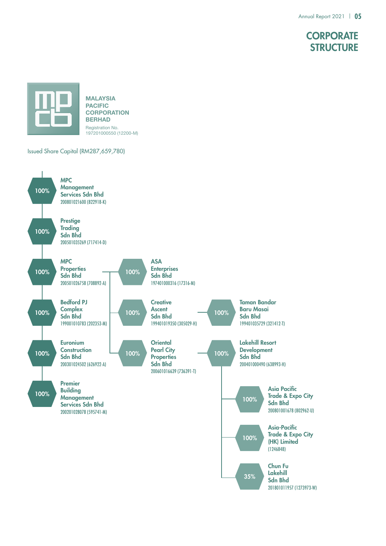# **CORPORATE STRUCTURE**



### Issued Share Capital (RM287,659,780)

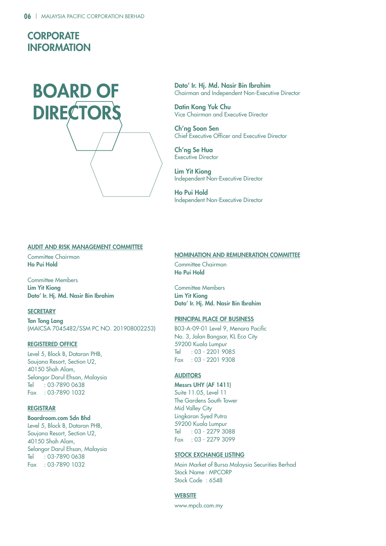# **CORPORATE INFORMATION**



Dato' Ir. Hj. Md. Nasir Bin Ibrahim Chairman and Independent Non-Executive Director

Datin Kong Yuk Chu Vice Chairman and Executive Director

Ch'ng Soon Sen Chief Executive Officer and Executive Director

Ch'ng Se Hua Executive Director

Lim Yit Kiong Independent Non-Executive Director

Ho Pui Hold Independent Non-Executive Director

### AUDIT AND RISK MANAGEMENT COMMITTEE

Committee Chairman Ho Pui Hold

Committee Members Lim Yit Kiong Dato' Ir. Hj. Md. Nasir Bin Ibrahim

### **SECRETARY**

Tan Tong Lang (MAICSA 7045482/SSM PC NO. 201908002253)

### REGISTERED OFFICE

Level 5, Block B, Dataran PHB, Saujana Resort, Section U2, 40150 Shah Alam, Selangor Darul Ehsan, Malaysia Tel : 03-7890 0638 Fax : 03-7890 1032

### REGISTRAR

### Boardroom.com Sdn Bhd

Level 5, Block B, Dataran PHB, Saujana Resort, Section U2, 40150 Shah Alam, Selangor Darul Ehsan, Malaysia Tel : 03-7890 0638 Fax : 03-7890 1032

### NOMINATION AND REMUNERATION COMMITTEE

Committee Chairman Ho Pui Hold

Committee Members Lim Yit Kiong Dato' Ir. Hj. Md. Nasir Bin Ibrahim

### PRINCIPAL PLACE OF BUSINESS

B03-A-09-01 Level 9, Menara Pacific No. 3, Jalan Bangsar, KL Eco City 59200 Kuala Lumpur Tel : 03 - 2201 9085 Fax : 03 - 2201 9308

### **AUDITORS**

Messrs UHY (AF 1411) Suite 11.05, Level 11 The Gardens South Tower **Mid Valley City** 

Lingkaran Syed Putra 59200 Kuala Lumpur Tel : 03 - 2279 3088 Fax : 03 - 2279 3099

### STOCK EXCHANGE LISTING

Main Market of Bursa Malaysia Securities Berhad Stock Name : MPCORP Stock Code : 6548

### **WEBSITE**

www.mpcb.com.my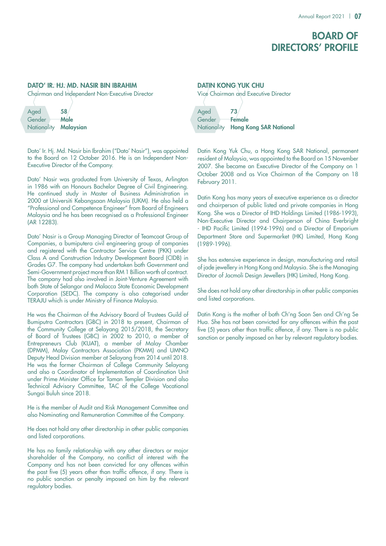# **BOARD OF** directors' profile

### DATO' IR. HJ. MD. NASIR BIN IBRAHIM

Chairman and Independent Non-Executive Director

| Aged                  | 58          |
|-----------------------|-------------|
| Gender                | <b>Male</b> |
| Nationality Malaysian |             |

Dato' Ir. Hj. Md. Nasir bin Ibrahim ("Dato' Nasir"), was appointed to the Board on 12 October 2016. He is an Independent Non-Executive Director of the Company.

Dato' Nasir was graduated from University of Texas, Arlington in 1986 with an Honours Bachelor Degree of Civil Engineering. He continued study in Master of Business Administration in 2000 at Universiti Kebangsaan Malaysia (UKM). He also held a "Professional and Competence Engineer" from Board of Engineers Malaysia and he has been recognised as a Professional Engineer (AR 12283).

Dato' Nasir is a Group Managing Director of Teamcoat Group of Companies, a bumiputera civil engineering group of companies and registered with the Contractor Service Centre (PKK) under Class A and Construction Industry Development Board (CIDB) in Grades G7. The company had undertaken both Government and Semi-Government project more than RM 1 Billion worth of contract. The company had also involved in Joint-Venture Agreement with both State of Selangor and Malacca State Economic Development Corporation (SEDC). The company is also categorised under TERAJU which is under Ministry of Finance Malaysia.

He was the Chairman of the Advisory Board of Trustees Guild of Bumiputra Contractors (GBC) in 2018 to present, Chairman of the Community College at Selayang 2015/2018, the Secretary of Board of Trustees (GBC) in 2002 to 2010, a member of Entrepreneurs Club (KUAT), a member of Malay Chamber (DPMM), Malay Contractors Association (PKMM) and UMNO Deputy Head Division member at Selayang from 2014 until 2018. He was the former Chairman of College Community Selayang and also a Coordinator of Implementation of Coordination Unit under Prime Minister Office for Taman Templer Division and also Technical Advisory Committee, TAC of the College Vocational Sungai Buluh since 2018.

He is the member of Audit and Risk Management Committee and also Nominating and Remuneration Committee of the Company.

He does not hold any other directorship in other public companies and listed corporations.

He has no family relationship with any other directors or major shareholder of the Company, no conflict of interest with the Company and has not been convicted for any offences within the past five (5) years other than traffic offence, if any. There is no public sanction or penalty imposed on him by the relevant regulatory bodies.

## DATIN KONG YUK CHU Vice Chairman and Executive Director

| Aged                 | 73.                                |
|----------------------|------------------------------------|
| Gender <b>Female</b> |                                    |
|                      | Nationality Hong Kong SAR National |

Datin Kong Yuk Chu, a Hong Kong SAR National, permanent resident of Malaysia, was appointed to the Board on 15 November 2007. She became an Executive Director of the Company on 1 October 2008 and as Vice Chairman of the Company on 18 February 2011.

Datin Kong has many years of executive experience as a director and chairperson of public listed and private companies in Hong Kong. She was a Director of IHD Holdings Limited (1986-1993), Non-Executive Director and Chairperson of China Everbright - IHD Pacific Limited (1994-1996) and a Director of Emporium Department Store and Supermarket (HK) Limited, Hong Kong (1989-1996).

She has extensive experience in design, manufacturing and retail of jade jewellery in Hong Kong and Malaysia. She is the Managing Director of Jacmoli Design Jewellers (HK) Limited, Hong Kong.

She does not hold any other directorship in other public companies and listed corporations.

Datin Kong is the mother of both Ch'ng Soon Sen and Ch'ng Se Hua. She has not been convicted for any offences within the past five (5) years other than traffic offence, if any. There is no public sanction or penalty imposed on her by relevant regulatory bodies.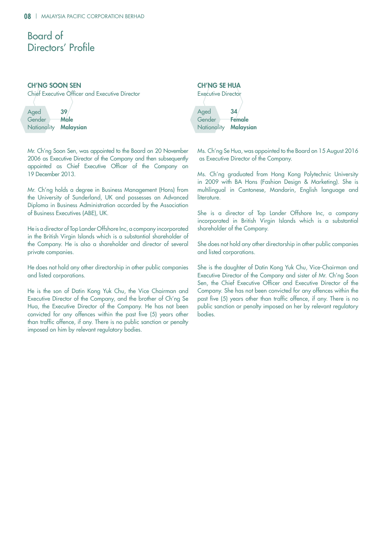# Board of Directors' Profile

### CH'NG SOON SEN

Chief Executive Officer and Executive Director

| Aged                         | 39          |
|------------------------------|-------------|
| Gender                       | <b>Male</b> |
| Nationality <b>Malaysian</b> |             |

Mr. Ch'ng Soon Sen, was appointed to the Board on 20 November 2006 as Executive Director of the Company and then subsequently appointed as Chief Executive Officer of the Company on 19 December 2013.

Mr. Ch'ng holds a degree in Business Management (Hons) from the University of Sunderland, UK and possesses an Advanced Diploma in Business Administration accorded by the Association of Business Executives (ABE), UK.

He is a director of Top Lander Offshore Inc, a company incorporated in the British Virgin Islands which is a substantial shareholder of the Company. He is also a shareholder and director of several private companies.

He does not hold any other directorship in other public companies and listed corporations.

He is the son of Datin Kong Yuk Chu, the Vice Chairman and Executive Director of the Company, and the brother of Ch'ng Se Hua, the Executive Director of the Company. He has not been convicted for any offences within the past five (5) years other than traffic offence, if any. There is no public sanction or penalty imposed on him by relevant regulatory bodies.

# CH'NG SE HUA



Ms. Ch'ng Se Hua, was appointed to the Board on 15 August 2016 as Executive Director of the Company.

Ms. Ch'ng graduated from Hong Kong Polytechnic University in 2009 with BA Hons (Fashion Design & Marketing). She is multilingual in Cantonese, Mandarin, English language and literature.

She is a director of Top Lander Offshore Inc, a company incorporated in British Virgin Islands which is a substantial shareholder of the Company.

She does not hold any other directorship in other public companies and listed corporations.

She is the daughter of Datin Kong Yuk Chu, Vice-Chairman and Executive Director of the Company and sister of Mr. Ch'ng Soon Sen, the Chief Executive Officer and Executive Director of the Company. She has not been convicted for any offences within the past five (5) years other than traffic offence, if any. There is no public sanction or penalty imposed on her by relevant regulatory bodies.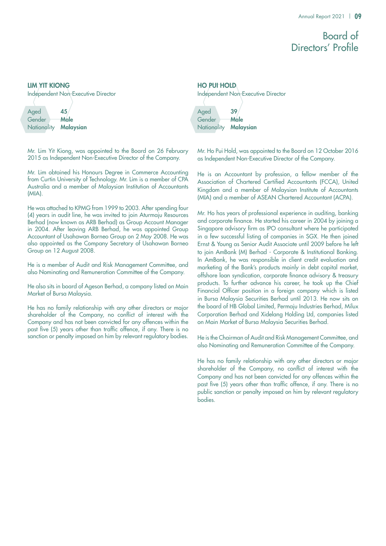# Board of Directors' Profile

### LIM YIT KIONG

Independent Non-Executive Director

| Aged                  | 45   |
|-----------------------|------|
| Gender                | Male |
| Nationality Malaysian |      |

Mr. Lim Yit Kiong, was appointed to the Board on 26 February 2015 as Independent Non-Executive Director of the Company.

Mr. Lim obtained his Honours Degree in Commerce Accounting from Curtin University of Technology. Mr. Lim is a member of CPA Australia and a member of Malaysian Institution of Accountants (MIA).

He was attached to KPMG from 1999 to 2003. After spending four (4) years in audit line, he was invited to join Aturmaju Resources Berhad (now known as ARB Berhad) as Group Account Manager in 2004. After leaving ARB Berhad, he was appointed Group Accountant of Usahawan Borneo Group on 2 May 2008. He was also appointed as the Company Secretary of Usahawan Borneo Group on 12 August 2008.

He is a member of Audit and Risk Management Committee, and also Nominating and Remuneration Committee of the Company.

He also sits in board of Ageson Berhad, a company listed on Main Market of Bursa Malaysia.

He has no family relationship with any other directors or major shareholder of the Company, no conflict of interest with the Company and has not been convicted for any offences within the past five (5) years other than traffic offence, if any. There is no sanction or penalty imposed on him by relevant regulatory bodies.

Aged 39 Gender Male Nationality **Malaysian** HO PUI HOLD Independent Non-Executive Director

Mr. Ho Pui Hold, was appointed to the Board on 12 October 2016 as Independent Non-Executive Director of the Company.

He is an Accountant by profession, a fellow member of the Association of Chartered Certified Accountants (FCCA), United Kingdom and a member of Malaysian Institute of Accountants (MIA) and a member of ASEAN Chartered Accountant (ACPA).

Mr. Ho has years of professional experience in auditing, banking and corporate finance. He started his career in 2004 by joining a Singapore advisory firm as IPO consultant where he participated in a few successful listing of companies in SGX. He then joined Ernst & Young as Senior Audit Associate until 2009 before he left to join AmBank (M) Berhad - Corporate & Institutional Banking. In AmBank, he was responsible in client credit evaluation and marketing of the Bank's products mainly in debt capital market, offshore loan syndication, corporate finance advisory & treasury products. To further advance his career, he took up the Chief Financial Officer position in a foreign company which is listed in Bursa Malaysia Securities Berhad until 2013. He now sits on the board of HB Global Limited, Permaju Industries Berhad, Milux Corporation Berhad and Xidelang Holding Ltd, companies listed on Main Market of Bursa Malaysia Securities Berhad.

He is the Chairman of Audit and Risk Management Committee, and also Nominating and Remuneration Committee of the Company.

He has no family relationship with any other directors or major shareholder of the Company, no conflict of interest with the Company and has not been convicted for any offences within the past five (5) years other than traffic offence, if any. There is no public sanction or penalty imposed on him by relevant regulatory bodies.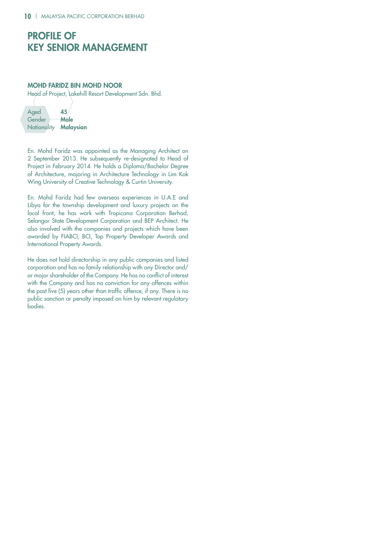# Profile of Key Senior Management

### Mohd Faridz bin Mohd Noor

Head of Project, Lakehill Resort Development Sdn. Bhd.

| Aged                  | 45          |
|-----------------------|-------------|
| Gender                | <b>Male</b> |
| Nationality Malaysian |             |

En. Mohd Faridz was appointed as the Managing Architect on 2 September 2013. He subsequently re-designated to Head of Project in February 2014. He holds a Diploma/Bachelor Degree of Architecture, majoring in Architecture Technology in Lim Kok Wing University of Creative Technology & Curtin University.

En. Mohd Faridz had few overseas experiences in U.A.E and Libya for the township development and luxury projects on the local front, he has work with Tropicana Corporation Berhad, Selangor State Development Corporation and BEP Architect. He also involved with the companies and projects which have been awarded by FIABCI, BCI, Top Property Developer Awards and International Property Awards.

He does not hold directorship in any public companies and listed corporation and has no family relationship with any Director and/ or major shareholder of the Company. He has no conflict of interest with the Company and has no conviction for any offences within the past five (5) years other than traffic offence, if any. There is no public sanction or penalty imposed on him by relevant regulatory bodies.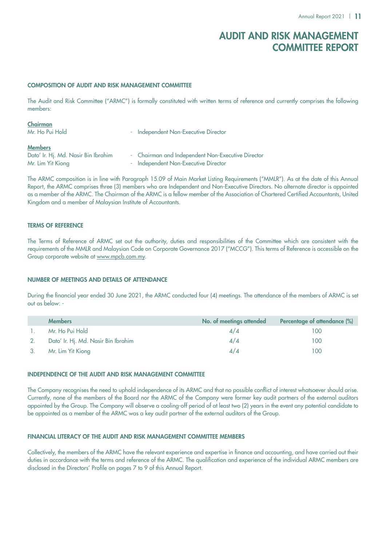# Audit and Risk Management Committee Report

### COMPOSITION OF AUDIT AND RISK MANAGEMENT COMMITTEE

The Audit and Risk Committee ("ARMC") is formally constituted with written terms of reference and currently comprises the following members:

| Chairman<br>Mr. Ho Pui Hold                                                | - Independent Non-Executive Director                                                      |
|----------------------------------------------------------------------------|-------------------------------------------------------------------------------------------|
| <b>Members</b><br>Dato' Ir. Hj. Md. Nasir Bin Ibrahim<br>Mr. Lim Yit Kiong | - Chairman and Independent Non-Executive Director<br>- Independent Non-Executive Director |

The ARMC composition is in line with Paragraph 15.09 of Main Market Listing Requirements ("MMLR"). As at the date of this Annual Report, the ARMC comprises three (3) members who are Independent and Non-Executive Directors. No alternate director is appointed as a member of the ARMC. The Chairman of the ARMC is a fellow member of the Association of Chartered Certified Accountants, United Kingdom and a member of Malaysian Institute of Accountants.

### TERMS OF REFERENCE

The Terms of Reference of ARMC set out the authority, duties and responsibilities of the Committee which are consistent with the requirements of the MMLR and Malaysian Code on Corporate Governance 2017 ("MCCG"). This terms of Reference is accessible on the Group corporate website at www.mpcb.com.my.

### NUMBER OF MEETINGS AND DETAILS OF ATTENDANCE

During the financial year ended 30 June 2021, the ARMC conducted four (4) meetings. The attendance of the members of ARMC is set out as below: -

| <b>Members</b>                      | No. of meetings attended | Percentage of attendance (%) |
|-------------------------------------|--------------------------|------------------------------|
| Mr. Ho Pui Hold                     | 4/4                      | 100                          |
| Dato' Ir. Hj. Md. Nasir Bin Ibrahim | 4/4                      | 100                          |
| Mr. Lim Yit Kiong                   | 4/4                      | 100                          |

### INDEPENDENCE OF THE AUDIT AND RISK MANAGEMENT COMMITTEE

The Company recognises the need to uphold independence of its ARMC and that no possible conflict of interest whatsoever should arise. Currently, none of the members of the Board nor the ARMC of the Company were former key audit partners of the external auditors appointed by the Group. The Company will observe a cooling-off period of at least two (2) years in the event any potential candidate to be appointed as a member of the ARMC was a key audit partner of the external auditors of the Group.

### FINANCIAL LITERACY OF THE AUDIT AND RISK MANAGEMENT COMMITTEE MEMBERS

Collectively, the members of the ARMC have the relevant experience and expertise in finance and accounting, and have carried out their duties in accordance with the terms and reference of the ARMC. The qualification and experience of the individual ARMC members are disclosed in the Directors' Profile on pages 7 to 9 of this Annual Report.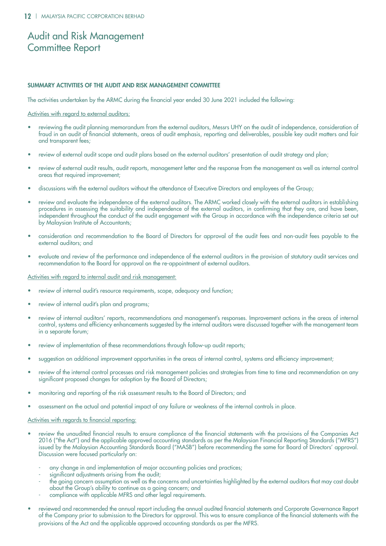# Audit and Risk Management Committee Report

### SUMMARY ACTIVITIES OF THE AUDIT AND RISK MANAGEMENT COMMITTEE

The activities undertaken by the ARMC during the financial year ended 30 June 2021 included the following:

### Activities with regard to external auditors:

- • reviewing the audit planning memorandum from the external auditors, Messrs UHY on the audit of independence, consideration of fraud in an audit of financial statements, areas of audit emphasis, reporting and deliverables, possible key audit matters and fair and transparent fees;
- review of external audit scope and audit plans based on the external auditors' presentation of audit strategy and plan;
- review of external audit results, audit reports, management letter and the response from the management as well as internal control areas that required improvement;
- discussions with the external auditors without the attendance of Executive Directors and employees of the Group;
- review and evaluate the independence of the external auditors. The ARMC worked closely with the external auditors in establishing procedures in assessing the suitability and independence of the external auditors, in confirming that they are, and have been, independent throughout the conduct of the audit engagement with the Group in accordance with the independence criteria set out by Malaysian Institute of Accountants;
- consideration and recommendation to the Board of Directors for approval of the audit fees and non-audit fees payable to the external auditors; and
- evaluate and review of the performance and independence of the external auditors in the provision of statutory audit services and recommendation to the Board for approval on the re-appointment of external auditors.

### Activities with regard to internal audit and risk management:

- review of internal audit's resource requirements, scope, adequacy and function;
- review of internal audit's plan and programs;
- review of internal auditors' reports, recommendations and management's responses. Improvement actions in the areas of internal control, systems and efficiency enhancements suggested by the internal auditors were discussed together with the management team in a separate forum;
- review of implementation of these recommendations through follow-up audit reports;
- suggestion on additional improvement opportunities in the areas of internal control, systems and efficiency improvement;
- review of the internal control processes and risk management policies and strategies from time to time and recommendation on any significant proposed changes for adoption by the Board of Directors;
- monitoring and reporting of the risk assessment results to the Board of Directors; and
- assessment on the actual and potential impact of any failure or weakness of the internal controls in place.

### Activities with regards to financial reporting:

- review the unaudited financial results to ensure compliance of the financial statements with the provisions of the Companies Act 2016 ("the Act") and the applicable approved accounting standards as per the Malaysian Financial Reporting Standards ("MFRS") issued by the Malaysian Accounting Standards Board ("MASB") before recommending the same for Board of Directors' approval. Discussion were focused particularly on:
	- any change in and implementation of major accounting policies and practices;
	- significant adjustments arising from the audit;
	- the going concern assumption as well as the concerns and uncertainties highlighted by the external auditors that may cast doubt about the Group's ability to continue as a going concern; and
	- compliance with applicable MFRS and other legal requirements.
- reviewed and recommended the annual report including the annual audited financial statements and Corporate Governance Report of the Company prior to submission to the Directors for approval. This was to ensure compliance of the financial statements with the provisions of the Act and the applicable approved accounting standards as per the MFRS.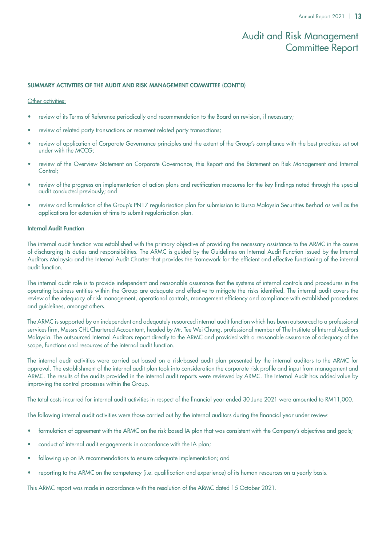# Audit and Risk Management Committee Report

### SUMMARY ACTIVITIES OF THE AUDIT AND RISK MANAGEMENT COMMITTEE (Cont'd)

### Other activities:

- review of its Terms of Reference periodically and recommendation to the Board on revision, if necessary;
- review of related party transactions or recurrent related party transactions;
- review of application of Corporate Governance principles and the extent of the Group's compliance with the best practices set out under with the MCCG;
- review of the Overview Statement on Corporate Governance, this Report and the Statement on Risk Management and Internal Control:
- review of the progress on implementation of action plans and rectification measures for the key findings noted through the special audit conducted previously; and
- review and formulation of the Group's PN17 regularisation plan for submission to Bursa Malaysia Securities Berhad as well as the applications for extension of time to submit regularisation plan.

### Internal Audit Function

The internal audit function was established with the primary objective of providing the necessary assistance to the ARMC in the course of discharging its duties and responsibilities. The ARMC is guided by the Guidelines on Internal Audit Function issued by the Internal Auditors Malaysia and the Internal Audit Charter that provides the framework for the efficient and effective functioning of the internal audit function.

The internal audit role is to provide independent and reasonable assurance that the systems of internal controls and procedures in the operating business entities within the Group are adequate and effective to mitigate the risks identified. The internal audit covers the review of the adequacy of risk management, operational controls, management efficiency and compliance with established procedures and guidelines, amongst others.

The ARMC is supported by an independent and adequately resourced internal audit function which has been outsourced to a professional services firm, Messrs CHL Chartered Accountant, headed by Mr. Tee Wei Chung, professional member of The Institute of Internal Auditors Malaysia. The outsourced Internal Auditors report directly to the ARMC and provided with a reasonable assurance of adequacy of the scope, functions and resources of the internal audit function.

The internal audit activities were carried out based on a risk-based audit plan presented by the internal auditors to the ARMC for approval. The establishment of the internal audit plan took into consideration the corporate risk profile and input from management and ARMC. The results of the audits provided in the internal audit reports were reviewed by ARMC. The Internal Audit has added value by improving the control processes within the Group.

The total costs incurred for internal audit activities in respect of the financial year ended 30 June 2021 were amounted to RM11,000.

The following internal audit activities were those carried out by the internal auditors during the financial year under review:

- formulation of agreement with the ARMC on the risk-based IA plan that was consistent with the Company's objectives and goals;
- conduct of internal audit engagements in accordance with the IA plan:
- following up on IA recommendations to ensure adequate implementation; and
- reporting to the ARMC on the competency (i.e. qualification and experience) of its human resources on a yearly basis.

This ARMC report was made in accordance with the resolution of the ARMC dated 15 October 2021.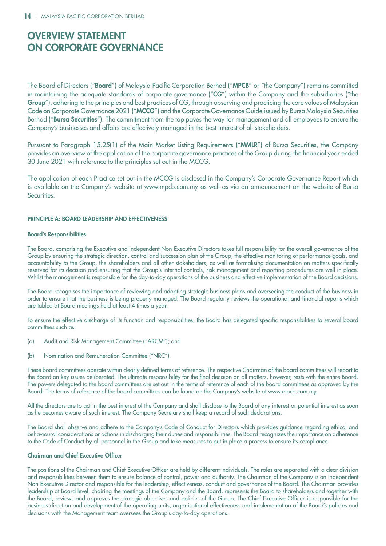The Board of Directors ("Board") of Malaysia Pacific Corporation Berhad ("MPCB" or "the Company") remains committed in maintaining the adequate standards of corporate governance ("CG") within the Company and the subsidiaries ("the Group"), adhering to the principles and best practices of CG, through observing and practicing the core values of Malaysian Code on Corporate Governance 2021 ("MCCG") and the Corporate Governance Guide issued by Bursa Malaysia Securities Berhad ("Bursa Securities"). The commitment from the top paves the way for management and all employees to ensure the Company's businesses and affairs are effectively managed in the best interest of all stakeholders.

Pursuant to Paragraph 15.25(1) of the Main Market Listing Requirements ("MMLR") of Bursa Securities, the Company provides an overview of the application of the corporate governance practices of the Group during the financial year ended 30 June 2021 with reference to the principles set out in the MCCG.

The application of each Practice set out in the MCCG is disclosed in the Company's Corporate Governance Report which is available on the Company's website at www.mpcb.com.my as well as via an announcement on the website of Bursa Securities.

### PRINCIPLE A: BOARD LEADERSHIP AND EFFECTIVENESS

### Board's Responsibilities

The Board, comprising the Executive and Independent Non-Executive Directors takes full responsibility for the overall governance of the Group by ensuring the strategic direction, control and succession plan of the Group, the effective monitoring of performance goals, and accountability to the Group, the shareholders and all other stakeholders, as well as formalising documentation on matters specifically reserved for its decision and ensuring that the Group's internal controls, risk management and reporting procedures are well in place. Whilst the management is responsible for the day-to-day operations of the business and effective implementation of the Board decisions.

The Board recognises the importance of reviewing and adopting strategic business plans and overseeing the conduct of the business in order to ensure that the business is being properly managed. The Board regularly reviews the operational and financial reports which are tabled at Board meetings held at least 4 times a year.

To ensure the effective discharge of its function and responsibilities, the Board has delegated specific responsibilities to several board committees such as:

- (a) Audit and Risk Management Committee ("ARCM"); and
- (b) Nomination and Remuneration Committee ("NRC").

These board committees operate within clearly defined terms of reference. The respective Chairman of the board committees will report to the Board on key issues deliberated. The ultimate responsibility for the final decision on all matters, however, rests with the entire Board. The powers delegated to the board committees are set out in the terms of reference of each of the board committees as approved by the Board. The terms of reference of the board committees can be found on the Company's website at www.mpcb.com.my.

All the directors are to act in the best interest of the Company and shall disclose to the Board of any interest or potential interest as soon as he becomes aware of such interest. The Company Secretary shall keep a record of such declarations.

The Board shall observe and adhere to the Company's Code of Conduct for Directors which provides guidance regarding ethical and behavioural considerations or actions in discharging their duties and responsibilities. The Board recognizes the importance on adherence to the Code of Conduct by all personnel in the Group and take measures to put in place a process to ensure its compliance

### Chairman and Chief Executive Officer

The positions of the Chairman and Chief Executive Officer are held by different individuals. The roles are separated with a clear division and responsibilities between them to ensure balance of control, power and authority. The Chairman of the Company is an Independent Non-Executive Director and responsible for the leadership, effectiveness, conduct and governance of the Board. The Chairman provides leadership at Board level, chairing the meetings of the Company and the Board, represents the Board to shareholders and together with the Board, reviews and approves the strategic objectives and policies of the Group. The Chief Executive Officer is responsible for the business direction and development of the operating units, organisational effectiveness and implementation of the Board's policies and decisions with the Management team oversees the Group's day-to-day operations.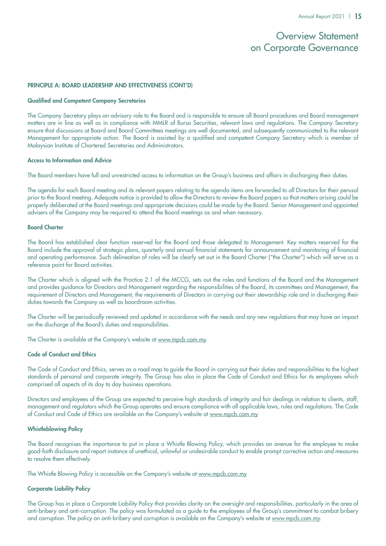### PRINCIPLE A: BOARD LEADERSHIP AND EFFECTIVENESS (CONT'D)

### Qualified and Competent Company Secretaries

The Company Secretary plays an advisory role to the Board and is responsible to ensure all Board procedures and Board management matters are in line as well as in compliance with MMLR of Bursa Securities, relevant laws and regulations. The Company Secretary ensure that discussions at Board and Board Committees meetings are well documented, and subsequently communicated to the relevant Management for appropriate action. The Board is assisted by a qualified and competent Company Secretary which is member of Malaysian Institute of Chartered Secretaries and Administrators.

### Access to Information and Advice

The Board members have full and unrestricted access to information on the Group's business and affairs in discharging their duties.

The agenda for each Board meeting and its relevant papers relating to the agenda items are forwarded to all Directors for their perusal prior to the Board meeting. Adequate notice is provided to allow the Directors to review the Board papers so that matters arising could be properly deliberated at the Board meetings and appropriate decisions could be made by the Board. Senior Management and appointed advisers of the Company may be required to attend the Board meetings as and when necessary.

### Board Charter

The Board has established clear function reserved for the Board and those delegated to Management. Key matters reserved for the Board include the approval of strategic plans, quarterly and annual financial statements for announcement and monitoring of financial and operating performance. Such delineation of roles will be clearly set out in the Board Charter ("the Charter") which will serve as a reference point for Board activities.

The Charter which is aligned with the Practice 2.1 of the MCCG, sets out the roles and functions of the Board and the Management and provides guidance for Directors and Management regarding the responsibilities of the Board, its committees and Management, the requirement of Directors and Management, the requirements of Directors in carrying out their stewardship role and in discharging their duties towards the Company as well as boardroom activities.

The Charter will be periodically reviewed and updated in accordance with the needs and any new regulations that may have an impact on the discharge of the Board's duties and responsibilities.

The Charter is available at the Company's website at www.mpcb.com.my.

### Code of Conduct and Ethics

The Code of Conduct and Ethics, serves as a road map to guide the Board in carrying out their duties and responsibilities to the highest standards of personal and corporate integrity. The Group has also in place the Code of Conduct and Ethics for its employees which comprised all aspects of its day to day business operations.

Directors and employees of the Group are expected to perceive high standards of integrity and fair dealings in relation to clients, staff, management and regulators which the Group operates and ensure compliance with all applicable laws, rules and regulations. The Code of Conduct and Code of Ethics are available on the Company's website at www.mpcb.com.my

### Whistleblowing Policy

The Board recognises the importance to put in place a Whistle Blowing Policy, which provides an avenue for the employee to make good-faith disclosure and report instance of unethical, unlawful or undesirable conduct to enable prompt corrective action and measures to resolve them effectively.

The Whistle Blowing Policy is accessible on the Company's website at www.mpcb.com.my

### Corporate Liability Policy

The Group has in place a Corporate Liability Policy that provides clarity on the oversight and responsibilities, particularly in the area of anti-bribery and anti-corruption. The policy was formulated as a guide to the employees of the Group's commitment to combat bribery and corruption. The policy on anti-bribery and corruption is available on the Company's website at www.mpcb.com.my.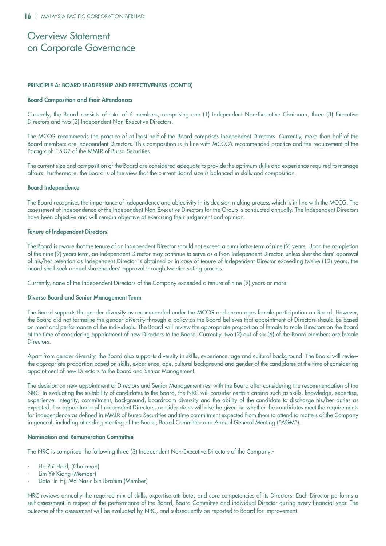### PRINCIPLE A: BOARD LEADERSHIP AND EFFECTIVENESS (CONT'D)

### Board Composition and their Attendances

Currently, the Board consists of total of 6 members, comprising one (1) Independent Non-Executive Chairman, three (3) Executive Directors and two (2) Independent Non-Executive Directors.

The MCCG recommends the practice of at least half of the Board comprises Independent Directors. Currently, more than half of the Board members are Independent Directors. This composition is in line with MCCG's recommended practice and the requirement of the Paragraph 15.02 of the MMLR of Bursa Securities.

The current size and composition of the Board are considered adequate to provide the optimum skills and experience required to manage affairs. Furthermore, the Board is of the view that the current Board size is balanced in skills and composition.

### Board Independence

The Board recognises the importance of independence and objectivity in its decision making process which is in line with the MCCG. The assessment of Independence of the Independent Non-Executive Directors for the Group is conducted annually. The Independent Directors have been objective and will remain objective at exercising their judgement and opinion.

### Tenure of Independent Directors

The Board is aware that the tenure of an Independent Director should not exceed a cumulative term of nine (9) years. Upon the completion of the nine (9) years term, an Independent Director may continue to serve as a Non-Independent Director, unless shareholders' approval of his/her retention as Independent Director is obtained or in case of tenure of Independent Director exceeding twelve (12) years, the board shall seek annual shareholders' approval through two-tier voting process.

Currently, none of the Independent Directors of the Company exceeded a tenure of nine (9) years or more.

### Diverse Board and Senior Management Team

The Board supports the gender diversity as recommended under the MCCG and encourages female participation on Board. However, the Board did not formalise the gender diversity through a policy as the Board believes that appointment of Directors should be based on merit and performance of the individuals. The Board will review the appropriate proportion of female to male Directors on the Board at the time of considering appointment of new Directors to the Board. Currently, two (2) out of six (6) of the Board members are female Directors.

Apart from gender diversity, the Board also supports diversity in skills, experience, age and cultural background. The Board will review the appropriate proportion based on skills, experience, age, cultural background and gender of the candidates at the time of considering appointment of new Directors to the Board and Senior Management.

The decision on new appointment of Directors and Senior Management rest with the Board after considering the recommendation of the NRC. In evaluating the suitability of candidates to the Board, the NRC will consider certain criteria such as skills, knowledge, expertise, experience, integrity, commitment, background, boardroom diversity and the ability of the candidate to discharge his/her duties as expected. For appointment of Independent Directors, considerations will also be given on whether the candidates meet the requirements for independence as defined in MMLR of Bursa Securities and time commitment expected from them to attend to matters of the Company in general, including attending meeting of the Board, Board Committee and Annual General Meeting ("AGM").

### Nomination and Remuneration Committee

The NRC is comprised the following three (3) Independent Non-Executive Directors of the Company:-

- Ho Pui Hold, (Chairman)
- Lim Yit Kiong (Member)
- Dato' Ir. Hj. Md Nasir bin Ibrahim (Member)

NRC reviews annually the required mix of skills, expertise attributes and core competencies of its Directors. Each Director performs a self-assessment in respect of the performance of the Board, Board Committee and individual Director during every financial year. The outcome of the assessment will be evaluated by NRC, and subsequently be reported to Board for improvement.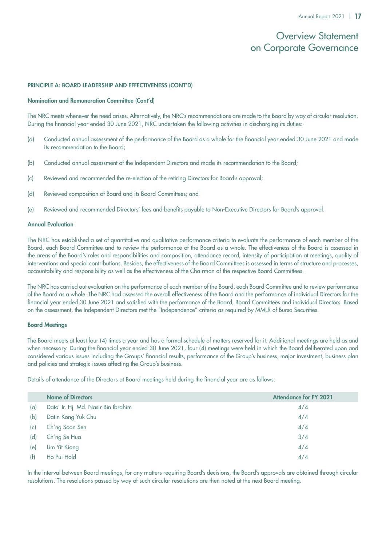### PRINCIPLE A: BOARD LEADERSHIP AND EFFECTIVENESS (CONT'D)

### Nomination and Remuneration Committee (Cont'd)

The NRC meets whenever the need arises. Alternatively, the NRC's recommendations are made to the Board by way of circular resolution. During the financial year ended 30 June 2021, NRC undertaken the following activities in discharging its duties:-

- (a) Conducted annual assessment of the performance of the Board as a whole for the financial year ended 30 June 2021 and made its recommendation to the Board;
- (b) Conducted annual assessment of the Independent Directors and made its recommendation to the Board;
- (c) Reviewed and recommended the re-election of the retiring Directors for Board's approval;
- (d) Reviewed composition of Board and its Board Committees; and
- (e) Reviewed and recommended Directors' fees and benefits payable to Non-Executive Directors for Board's approval.

### Annual Evaluation

The NRC has established a set of quantitative and qualitative performance criteria to evaluate the performance of each member of the Board, each Board Committee and to review the performance of the Board as a whole. The effectiveness of the Board is assessed in the areas of the Board's roles and responsibilities and composition, attendance record, intensity of participation at meetings, quality of interventions and special contributions. Besides, the effectiveness of the Board Committees is assessed in terms of structure and processes, accountability and responsibility as well as the effectiveness of the Chairman of the respective Board Committees.

The NRC has carried out evaluation on the performance of each member of the Board, each Board Committee and to review performance of the Board as a whole. The NRC had assessed the overall effectiveness of the Board and the performance of individual Directors for the financial year ended 30 June 2021 and satisfied with the performance of the Board, Board Committees and individual Directors. Based on the assessment, the Independent Directors met the "Independence" criteria as required by MMLR of Bursa Securities.

### Board Meetings

The Board meets at least four (4) times a year and has a formal schedule of matters reserved for it. Additional meetings are held as and when necessary. During the financial year ended 30 June 2021, four (4) meetings were held in which the Board deliberated upon and considered various issues including the Groups' financial results, performance of the Group's business, major investment, business plan and policies and strategic issues affecting the Group's business.

Details of attendance of the Directors at Board meetings held during the financial year are as follows:

|     | <b>Name of Directors</b>            | <b>Attendance for FY 2021</b> |
|-----|-------------------------------------|-------------------------------|
| (a) | Dato' Ir. Hj. Md. Nasir Bin Ibrahim | 4/4                           |
| (b) | Datin Kong Yuk Chu                  | 4/4                           |
| (c) | Ch'ng Soon Sen                      | 4/4                           |
| (d) | Ch'ng Se Hua                        | 3/4                           |
| (e) | Lim Yit Kiong                       | 4/4                           |
| (f) | Ho Pui Hold                         | 4/4                           |

In the interval between Board meetings, for any matters requiring Board's decisions, the Board's approvals are obtained through circular resolutions. The resolutions passed by way of such circular resolutions are then noted at the next Board meeting.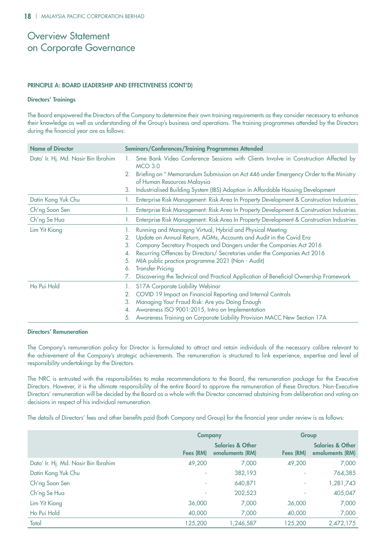### PRINCIPLE A: BOARD LEADERSHIP AND EFFECTIVENESS (CONT'D)

### Directors' Trainings

The Board empowered the Directors of the Company to determine their own training requirements as they consider necessary to enhance their knowledge as well as understanding of the Group's business and operations. The training programmes attended by the Directors during the financial year are as follows:

| <b>Name of Director</b>             | <b>Seminars/Conferences/Training Programmes Attended</b> |                                                                                                                     |  |
|-------------------------------------|----------------------------------------------------------|---------------------------------------------------------------------------------------------------------------------|--|
| Dato' Ir. Hj. Md. Nasir Bin Ibrahim |                                                          | Sme Bank Video Conference Sessions with Clients Involve in Construction Affected by<br><b>MCO 3.0</b>               |  |
|                                     | 2.                                                       | Briefing on " Memorandum Submission on Act 446 under Emergency Order to the Ministry<br>of Human Resources Malaysia |  |
|                                     | 3.                                                       | Industrialised Building System (IBS) Adoption in Affordable Housing Development                                     |  |
| Datin Kong Yuk Chu                  | $\mathbf{L}$                                             | Enterprise Risk Management: Risk Area In Property Development & Construction Industries                             |  |
| Ch'ng Soon Sen                      |                                                          | Enterprise Risk Management: Risk Area In Property Development & Construction Industries                             |  |
| Ch'ng Se Hua                        |                                                          | Enterprise Risk Management: Risk Area In Property Development & Construction Industries                             |  |
| Lim Yit Kiong                       |                                                          | Running and Managing Virtual, Hybrid and Physical Meeting                                                           |  |
|                                     | 2.                                                       | Update on Annual Return, AGMs, Accounts and Audit in the Covid Era                                                  |  |
|                                     | 3.                                                       | Company Secretary Prospects and Dangers under the Companies Act 2016                                                |  |
|                                     | 4.                                                       | Recurring Offences by Directors/ Secretaries under the Companies Act 2016                                           |  |
|                                     | 5.                                                       | MIA public practice programme 2021 (Non - Audit)                                                                    |  |
|                                     | 6.                                                       | <b>Transfer Pricing</b>                                                                                             |  |
|                                     |                                                          | Discovering the Technical and Practical Application of Beneficial Ownership Framework                               |  |
| Ho Pui Hold                         |                                                          | S17A Corporate Liability Webinar                                                                                    |  |
|                                     | 2.                                                       | COVID 19 Impact on Financial Reporting and Internal Controls                                                        |  |
|                                     | 3.                                                       | Managing Your Fraud Risk: Are you Doing Enough                                                                      |  |
|                                     | 4.                                                       | Awareness ISO 9001:2015, Intro on Implementation                                                                    |  |
|                                     | 5.                                                       | Awareness Training on Corporate Liability Provision MACC New Section 17A                                            |  |

### Directors' Remuneration

The Company's remuneration policy for Director is formulated to attract and retain individuals of the necessary calibre relevant to the achievement of the Company's strategic achievements. The remuneration is structured to link experience, expertise and level of responsibility undertakings by the Directors.

The NRC is entrusted with the responsibilities to make recommendations to the Board, the remuneration package for the Executive Directors. However, it is the ultimate responsibility of the entire Board to approve the remuneration of these Directors. Non-Executive Directors' remuneration will be decided by the Board as a whole with the Director concerned abstaining from deliberation and voting on decisions in respect of his individual remuneration.

The details of Directors' fees and other benefits paid (both Company and Group) for the financial year under review is as follows:

|                                     | <b>Company</b> |                                                | Group     |                                                |  |
|-------------------------------------|----------------|------------------------------------------------|-----------|------------------------------------------------|--|
|                                     | Fees (RM)      | <b>Salaries &amp; Other</b><br>emoluments (RM) | Fees (RM) | <b>Salaries &amp; Other</b><br>emoluments (RM) |  |
| Dato' Ir. Hj. Md. Nasir Bin Ibrahim | 49,200         | 7,000                                          | 49,200    | 7,000                                          |  |
| Datin Kong Yuk Chu                  | ٠              | 382,193                                        | ÷         | 764,385                                        |  |
| Ch'ng Soon Sen                      | ٠              | 640,871                                        | ÷         | 1,281,743                                      |  |
| Ch'ng Se Hua                        | ٠              | 202,523                                        |           | 405,047                                        |  |
| Lim Yit Kiong                       | 36,000         | 7,000                                          | 36,000    | 7,000                                          |  |
| Ho Pui Hold                         | 40,000         | 7,000                                          | 40,000    | 7,000                                          |  |
| Total                               | 125,200        | 1,246,587                                      | 125,200   | 2,472,175                                      |  |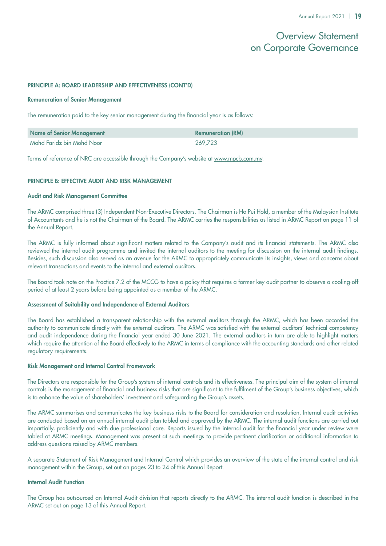### PRINCIPLE A: BOARD LEADERSHIP AND EFFECTIVENESS (CONT'D)

### Remuneration of Senior Management

The remuneration paid to the key senior management during the financial year is as follows:

| <b>Name of Senior Management</b> | <b>Remuneration (RM)</b> |
|----------------------------------|--------------------------|
| Mohd Faridz bin Mohd Noor        | 269,723                  |

Terms of reference of NRC are accessible through the Company's website at www.mpcb.com.my.

### PRINCIPLE B: EFFECTIVE AUDIT AND RISK MANAGEMENT

### Audit and Risk Management Committee

The ARMC comprised three (3) Independent Non-Executive Directors. The Chairman is Ho Pui Hold, a member of the Malaysian Institute of Accountants and he is not the Chairman of the Board. The ARMC carries the responsibilities as listed in ARMC Report on page 11 of the Annual Report.

The ARMC is fully informed about significant matters related to the Company's audit and its financial statements. The ARMC also reviewed the internal audit programme and invited the internal auditors to the meeting for discussion on the internal audit findings. Besides, such discussion also served as an avenue for the ARMC to appropriately communicate its insights, views and concerns about relevant transactions and events to the internal and external auditors.

The Board took note on the Practice 7.2 of the MCCG to have a policy that requires a former key audit partner to observe a cooling-off period of at least 2 years before being appointed as a member of the ARMC.

### Assessment of Suitability and Independence of External Auditors

The Board has established a transparent relationship with the external auditors through the ARMC, which has been accorded the authority to communicate directly with the external auditors. The ARMC was satisfied with the external auditors' technical competency and audit independence during the financial year ended 30 June 2021. The external auditors in turn are able to highlight matters which require the attention of the Board effectively to the ARMC in terms of compliance with the accounting standards and other related regulatory requirements.

### Risk Management and Internal Control Framework

The Directors are responsible for the Group's system of internal controls and its effectiveness. The principal aim of the system of internal controls is the management of financial and business risks that are significant to the fulfilment of the Group's business objectives, which is to enhance the value of shareholders' investment and safeguarding the Group's assets.

The ARMC summarises and communicates the key business risks to the Board for consideration and resolution. Internal audit activities are conducted based on an annual internal audit plan tabled and approved by the ARMC. The internal audit functions are carried out impartially, proficiently and with due professional care. Reports issued by the internal audit for the financial year under review were tabled at ARMC meetings. Management was present at such meetings to provide pertinent clarification or additional information to address questions raised by ARMC members.

A separate Statement of Risk Management and Internal Control which provides an overview of the state of the internal control and risk management within the Group, set out on pages 23 to 24 of this Annual Report.

### Internal Audit Function

The Group has outsourced an Internal Audit division that reports directly to the ARMC. The internal audit function is described in the ARMC set out on page 13 of this Annual Report.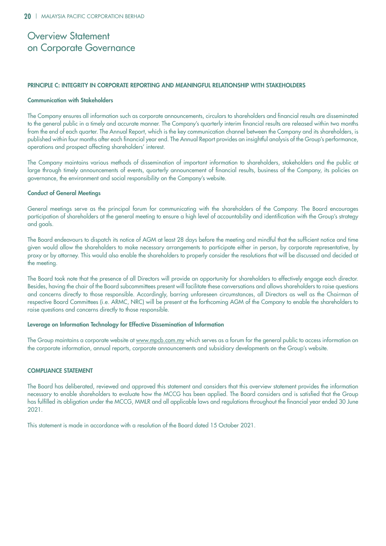### PRINCIPLE C: INTEGRITY IN CORPORATE REPORTING AND MEANINGFUL RELATIONSHIP WITH STAKEHOLDERS

### Communication with Stakeholders

The Company ensures all information such as corporate announcements, circulars to shareholders and financial results are disseminated to the general public in a timely and accurate manner. The Company's quarterly interim financial results are released within two months from the end of each quarter. The Annual Report, which is the key communication channel between the Company and its shareholders, is published within four months after each financial year end. The Annual Report provides an insightful analysis of the Group's performance, operations and prospect affecting shareholders' interest.

The Company maintains various methods of dissemination of important information to shareholders, stakeholders and the public at large through timely announcements of events, quarterly announcement of financial results, business of the Company, its policies on governance, the environment and social responsibility on the Company's website.

### Conduct of General Meetings

General meetings serve as the principal forum for communicating with the shareholders of the Company. The Board encourages participation of shareholders at the general meeting to ensure a high level of accountability and identification with the Group's strategy and goals.

The Board endeavours to dispatch its notice of AGM at least 28 days before the meeting and mindful that the sufficient notice and time given would allow the shareholders to make necessary arrangements to participate either in person, by corporate representative, by proxy or by attorney. This would also enable the shareholders to properly consider the resolutions that will be discussed and decided at the meeting.

The Board took note that the presence of all Directors will provide an opportunity for shareholders to effectively engage each director. Besides, having the chair of the Board subcommittees present will facilitate these conversations and allows shareholders to raise questions and concerns directly to those responsible. Accordingly, barring unforeseen circumstances, all Directors as well as the Chairman of respective Board Committees (i.e. ARMC, NRC) will be present at the forthcoming AGM of the Company to enable the shareholders to raise questions and concerns directly to those responsible.

### Leverage on Information Technology for Effective Dissemination of Information

The Group maintains a corporate website at www.mpcb.com.my which serves as a forum for the general public to access information on the corporate information, annual reports, corporate announcements and subsidiary developments on the Group's website.

### COMPLIANCE STATEMENT

The Board has deliberated, reviewed and approved this statement and considers that this overview statement provides the information necessary to enable shareholders to evaluate how the MCCG has been applied. The Board considers and is satisfied that the Group has fulfilled its obligation under the MCCG, MMLR and all applicable laws and regulations throughout the financial year ended 30 June 2021.

This statement is made in accordance with a resolution of the Board dated 15 October 2021.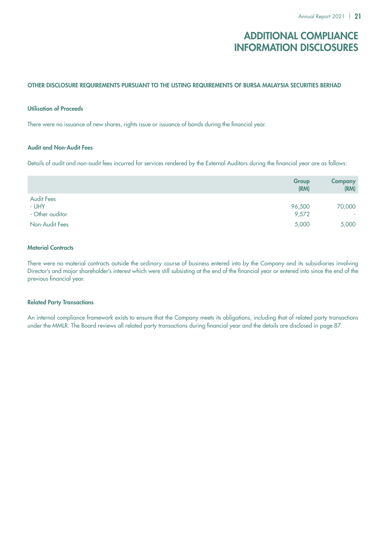# Additional Compliance Information Disclosures

### OTHER DISCLOSURE REQUIREMENTS PURSUANT TO THE LISTING REQUIREMENTS OF BURSA MALAYSIA SECURITIES BERHAD

### Utilisation of Proceeds

There were no issuance of new shares, rights issue or issuance of bonds during the financial year.

### Audit and Non-Audit Fees

Details of audit and non-audit fees incurred for services rendered by the External Auditors during the financial year are as follows:

|                   | Group<br>(RM) | <b>Company</b><br>(RM) |
|-------------------|---------------|------------------------|
| <b>Audit Fees</b> |               |                        |
| - UHY             | 96,500        | 70,000                 |
| - Other auditor   | 9,572         | $\sim$                 |
| Non-Audit Fees    | 5,000         | 5,000                  |

### **Material Contracts**

There were no material contracts outside the ordinary course of business entered into by the Company and its subsidiaries involving Director's and major shareholder's interest which were still subsisting at the end of the financial year or entered into since the end of the previous financial year.

### Related Party Transactions

An internal compliance framework exists to ensure that the Company meets its obligations, including that of related party transactions under the MMLR. The Board reviews all related party transactions during financial year and the details are disclosed in page 87.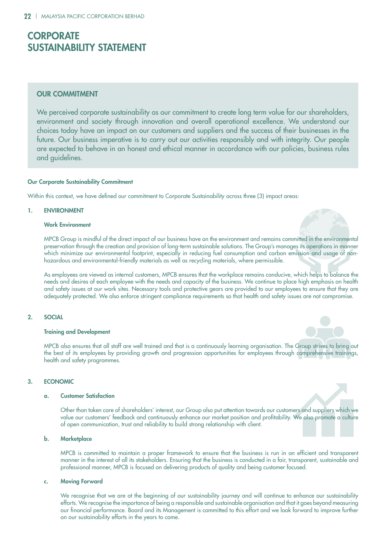# **CORPORATE** Sustainability Statement

### **OUR COMMITMENT**

We perceived corporate sustainability as our commitment to create long term value for our shareholders, environment and society through innovation and overall operational excellence. We understand our choices today have an impact on our customers and suppliers and the success of their businesses in the future. Our business imperative is to carry out our activities responsibly and with integrity. Our people are expected to behave in an honest and ethical manner in accordance with our policies, business rules and guidelines.

### Our Corporate Sustainability Commitment

Within this context, we have defined our commitment to Corporate Sustainability across three (3) impact areas:

### 1. ENVIRONMENT

### Work Environment



MPCB Group is mindful of the direct impact of our business have on the environment and remains committed in the environmental preservation through the creation and provision of long-term sustainable solutions. The Group's manages its operations in manner which minimize our environmental footprint, especially in reducing fuel consumption and carbon emission and usage of nonhazardous and environmental-friendly materials as well as recycling materials, where permissible.

As employees are viewed as internal customers, MPCB ensures that the workplace remains conducive, which helps to balance the needs and desires of each employee with the needs and capacity of the business. We continue to place high emphasis on health and safety issues at our work sites. Necessary tools and protective gears are provided to our employees to ensure that they are adequately protected. We also enforce stringent compliance requirements so that health and safety issues are not compromise.

### 2. SOCIAL

### Training and Development

MPCB also ensures that all staff are well trained and that is a continuously learning organisation. The Group strives to bring out the best of its employees by providing growth and progression opportunities for employees through comprehensive trainings, health and safety programmes.

### 3. ECONOMIC

### a. Customer Satisfaction

Other than taken care of shareholders' interest, our Group also put attention towards our customers and suppliers which we value our customers' feedback and continuously enhance our market position and profitability. We also promote a culture of open communication, trust and reliability to build strong relationship with client.

### b. Marketplace

MPCB is committed to maintain a proper framework to ensure that the business is run in an efficient and transparent manner in the interest of all its stakeholders. Ensuring that the business is conducted in a fair, transparent, sustainable and professional manner, MPCB is focused on delivering products of quality and being customer focused.

### c. Moving Forward

We recognise that we are at the beginning of our sustainability journey and will continue to enhance our sustainability efforts. We recognise the importance of being a responsible and sustainable organisation and that it goes beyond measuring our financial performance. Board and its Management is committed to this effort and we look forward to improve further on our sustainability efforts in the years to come.



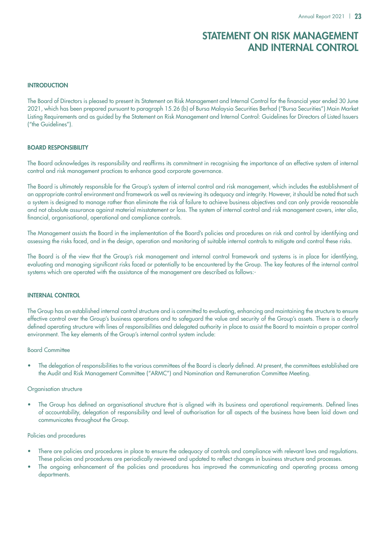# Statement on Risk Management and Internal Control

### **INTRODUCTION**

The Board of Directors is pleased to present its Statement on Risk Management and Internal Control for the financial year ended 30 June 2021, which has been prepared pursuant to paragraph 15.26 (b) of Bursa Malaysia Securities Berhad ("Bursa Securities") Main Market Listing Requirements and as guided by the Statement on Risk Management and Internal Control: Guidelines for Directors of Listed Issuers ("the Guidelines").

### Board Responsibility

The Board acknowledges its responsibility and reaffirms its commitment in recognising the importance of an effective system of internal control and risk management practices to enhance good corporate governance.

The Board is ultimately responsible for the Group's system of internal control and risk management, which includes the establishment of an appropriate control environment and framework as well as reviewing its adequacy and integrity. However, it should be noted that such a system is designed to manage rather than eliminate the risk of failure to achieve business objectives and can only provide reasonable and not absolute assurance against material misstatement or loss. The system of internal control and risk management covers, inter alia, financial, organisational, operational and compliance controls.

The Management assists the Board in the implementation of the Board's policies and procedures on risk and control by identifying and assessing the risks faced, and in the design, operation and monitoring of suitable internal controls to mitigate and control these risks.

The Board is of the view that the Group's risk management and internal control framework and systems is in place for identifying, evaluating and managing significant risks faced or potentially to be encountered by the Group. The key features of the internal control systems which are operated with the assistance of the management are described as follows:-

### Internal Control

The Group has an established internal control structure and is committed to evaluating, enhancing and maintaining the structure to ensure effective control over the Group's business operations and to safeguard the value and security of the Group's assets. There is a clearly defined operating structure with lines of responsibilities and delegated authority in place to assist the Board to maintain a proper control environment. The key elements of the Group's internal control system include:

### Board Committee

• The delegation of responsibilities to the various committees of the Board is clearly defined. At present, the committees established are the Audit and Risk Management Committee ("ARMC") and Nomination and Remuneration Committee Meeting.

### Organisation structure

The Group has defined an organisational structure that is aligned with its business and operational requirements. Defined lines of accountability, delegation of responsibility and level of authorisation for all aspects of the business have been laid down and communicates throughout the Group.

### Policies and procedures

- There are policies and procedures in place to ensure the adequacy of controls and compliance with relevant laws and regulations. These policies and procedures are periodically reviewed and updated to reflect changes in business structure and processes.
- The ongoing enhancement of the policies and procedures has improved the communicating and operating process among departments.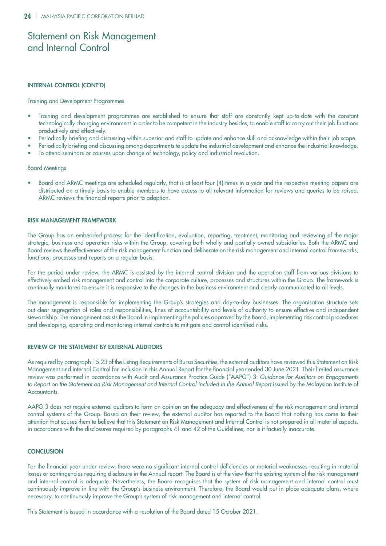# Statement on Risk Management and Internal Control

### Internal Control (Cont'd)

Training and Development Programmes

- Training and development programmes are established to ensure that staff are constantly kept up-to-date with the constant technologically changing environment in order to be competent in the industry besides, to enable staff to carry out their job functions productively and effectively.
- Periodically briefing and discussing within superior and staff to update and enhance skill and acknowledge within their job scope.
- Periodically briefing and discussing among departments to update the industrial development and enhance the industrial knowledge.
- To attend seminars or courses upon change of technology, policy and industrial revolution.

### Board Meetings

• Board and ARMC meetings are scheduled regularly, that is at least four (4) times in a year and the respective meeting papers are distributed on a timely basis to enable members to have access to all relevant information for reviews and queries to be raised. ARMC reviews the financial reports prior to adoption.

### Risk Management Framework

The Group has an embedded process for the identification, evaluation, reporting, treatment, monitoring and reviewing of the major strategic, business and operation risks within the Group, covering both wholly and partially owned subsidiaries. Both the ARMC and Board reviews the effectiveness of the risk management function and deliberate on the risk management and internal control frameworks, functions, processes and reports on a regular basis.

For the period under review, the ARMC is assisted by the internal control division and the operation staff from various divisions to effectively embed risk management and control into the corporate culture, processes and structures within the Group. The framework is continually monitored to ensure it is responsive to the changes in the business environment and clearly communicated to all levels.

The management is responsible for implementing the Group's strategies and day-to-day businesses. The organisation structure sets out clear segregation of roles and responsibilities, lines of accountability and levels of authority to ensure effective and independent stewardship. The management assists the Board in implementing the policies approved by the Board, implementing risk control procedures and developing, operating and monitoring internal controls to mitigate and control identified risks.

### Review of the Statement by External Auditors

As required by paragraph 15.23 of the Listing Requirements of Bursa Securities, the external auditors have reviewed this Statement on Risk Management and Internal Control for inclusion in this Annual Report for the financial year ended 30 June 2021. Their limited assurance review was performed in accordance with Audit and Assurance Practice Guide ("AAPG") 3: *Guidance for Auditors on Engagements*  to Report on the Statement on Risk Management and Internal Control included in the Annual Report issued by the Malaysian Institute of Accountants.

AAPG 3 does not require external auditors to form an opinion on the adequacy and effectiveness of the risk management and internal control systems of the Group. Based on their review, the external auditor has reported to the Board that nothing has come to their attention that causes them to believe that this Statement on Risk Management and Internal Control is not prepared in all material aspects, in accordance with the disclosures required by paragraphs 41 and 42 of the Guidelines, nor is it factually inaccurate.

### **CONCLUSION**

For the financial year under review, there were no significant internal control deficiencies or material weaknesses resulting in material losses or contingencies requiring disclosure in the Annual report. The Board is of the view that the existing system of the risk management and internal control is adequate. Nevertheless, the Board recognises that the system of risk management and internal control must continuously improve in line with the Group's business environment. Therefore, the Board would put in place adequate plans, where necessary, to continuously improve the Group's system of risk management and internal control.

This Statement is issued in accordance with a resolution of the Board dated 15 October 2021.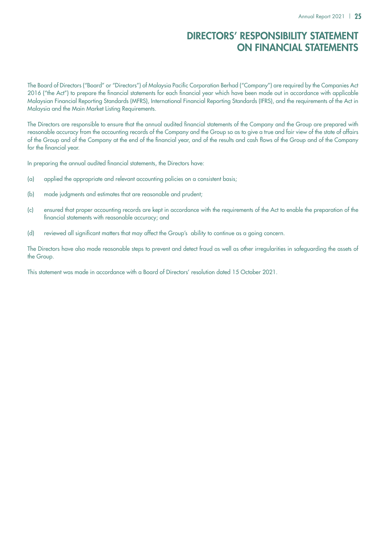# Directors' Responsibility Statement on Financial Statements

The Board of Directors ("Board" or "Directors") of Malaysia Pacific Corporation Berhad ("Company") are required by the Companies Act 2016 ("the Act") to prepare the financial statements for each financial year which have been made out in accordance with applicable Malaysian Financial Reporting Standards (MFRS), International Financial Reporting Standards (IFRS), and the requirements of the Act in Malaysia and the Main Market Listing Requirements.

The Directors are responsible to ensure that the annual audited financial statements of the Company and the Group are prepared with reasonable accuracy from the accounting records of the Company and the Group so as to give a true and fair view of the state of affairs of the Group and of the Company at the end of the financial year, and of the results and cash flows of the Group and of the Company for the financial year.

In preparing the annual audited financial statements, the Directors have:

- (a) applied the appropriate and relevant accounting policies on a consistent basis;
- (b) made judgments and estimates that are reasonable and prudent;
- (c) ensured that proper accounting records are kept in accordance with the requirements of the Act to enable the preparation of the financial statements with reasonable accuracy; and
- (d) reviewed all significant matters that may affect the Group's ability to continue as a going concern.

The Directors have also made reasonable steps to prevent and detect fraud as well as other irregularities in safeguarding the assets of the Group.

This statement was made in accordance with a Board of Directors' resolution dated 15 October 2021.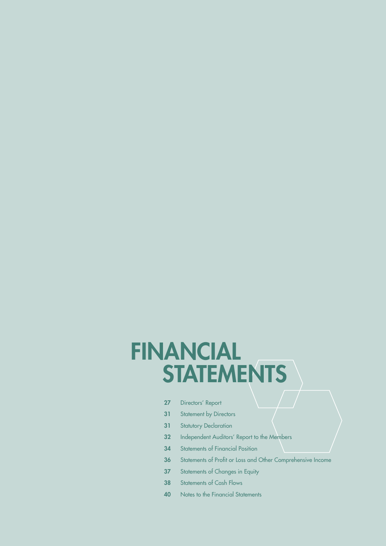# **STATEMENTS FINANCIAL**

- 27 Directors' Report
- 31 Statement by Directors
- 31 Statutory Declaration
- 32 Independent Auditors' Report to the Members
- 34 Statements of Financial Position
- 36 Statements of Profit or Loss and Other Comprehensive Income
- 37 Statements of Changes in Equity
- 38 Statements of Cash Flows
- 40 Notes to the Financial Statements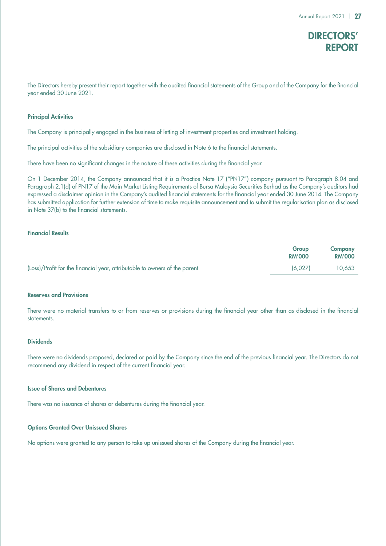# DIRECTORS' REPORT

The Directors hereby present their report together with the audited financial statements of the Group and of the Company for the financial year ended 30 June 2021.

### Principal Activities

The Company is principally engaged in the business of letting of investment properties and investment holding.

The principal activities of the subsidiary companies are disclosed in Note 6 to the financial statements.

There have been no significant changes in the nature of these activities during the financial year.

On 1 December 2014, the Company announced that it is a Practice Note 17 ("PN17") company pursuant to Paragraph 8.04 and Paragraph 2.1(d) of PN17 of the Main Market Listing Requirements of Bursa Malaysia Securities Berhad as the Company's auditors had expressed a disclaimer opinion in the Company's audited financial statements for the financial year ended 30 June 2014. The Company has submitted application for further extension of time to make requisite announcement and to submit the regularisation plan as disclosed in Note 37(b) to the financial statements.

### Financial Results

| Group                                                                                 | <b>Company</b> |
|---------------------------------------------------------------------------------------|----------------|
| <b>RM'000</b>                                                                         | <b>RM'000</b>  |
| (Loss)/Profit for the financial year, attributable to owners of the parent<br>(6.027) | 10.653         |

### Reserves and Provisions

There were no material transfers to or from reserves or provisions during the financial year other than as disclosed in the financial statements.

### **Dividends**

There were no dividends proposed, declared or paid by the Company since the end of the previous financial year. The Directors do not recommend any dividend in respect of the current financial year.

### Issue of Shares and Debentures

There was no issuance of shares or debentures during the financial year.

### Options Granted Over Unissued Shares

No options were granted to any person to take up unissued shares of the Company during the financial year.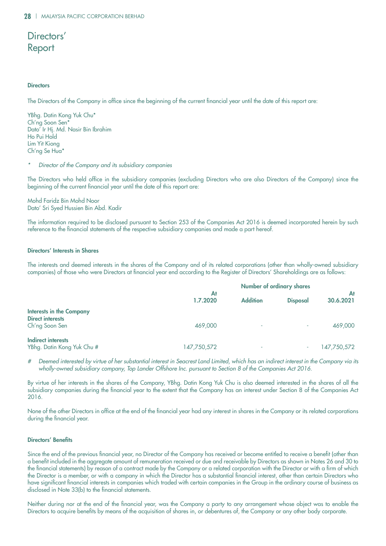# Directors' Report

### **Directors**

The Directors of the Company in office since the beginning of the current financial year until the date of this report are:

YBhg. Datin Kong Yuk Chu\* Ch'ng Soon Sen\* Dato' Ir Hj. Md. Nasir Bin Ibrahim Ho Pui Hold Lim Yit Kiong Ch'ng Se Hua\*

### *\* Director of the Company and its subsidiary companies*

The Directors who held office in the subsidiary companies (excluding Directors who are also Directors of the Company) since the beginning of the current financial year until the date of this report are:

Mohd Faridz Bin Mohd Noor Dato' Sri Syed Hussien Bin Abd. Kadir

The information required to be disclosed pursuant to Section 253 of the Companies Act 2016 is deemed incorporated herein by such reference to the financial statements of the respective subsidiary companies and made a part hereof.

### Directors' Interests in Shares

The interests and deemed interests in the shares of the Company and of its related corporations (other than wholly-owned subsidiary companies) of those who were Directors at financial year end according to the Register of Directors' Shareholdings are as follows:

|                                                                              |                | <b>Number of ordinary shares</b> |                 |                 |
|------------------------------------------------------------------------------|----------------|----------------------------------|-----------------|-----------------|
|                                                                              | At<br>1.7.2020 | <b>Addition</b>                  | <b>Disposal</b> | At<br>30.6.2021 |
| <b>Interests in the Company</b><br><b>Direct interests</b><br>Ch'ng Soon Sen | 469,000        | ۰                                |                 | 469,000         |
| <b>Indirect interests</b><br>YBhg. Datin Kong Yuk Chu #                      | 147,750,572    | ۰                                |                 | 147,750,572     |

*# Deemed interested by virtue of her substantial interest in Seacrest Land Limited, which has an indirect interest in the Company via its wholly-owned subsidiary company, Top Lander Offshore Inc. pursuant to Section 8 of the Companies Act 2016.*

By virtue of her interests in the shares of the Company, YBhg. Datin Kong Yuk Chu is also deemed interested in the shares of all the subsidiary companies during the financial year to the extent that the Company has an interest under Section 8 of the Companies Act 2016.

None of the other Directors in office at the end of the financial year had any interest in shares in the Company or its related corporations during the financial year.

### Directors' Benefits

Since the end of the previous financial year, no Director of the Company has received or become entitled to receive a benefit (other than a benefit included in the aggregate amount of remuneration received or due and receivable by Directors as shown in Notes 26 and 30 to the financial statements) by reason of a contract made by the Company or a related corporation with the Director or with a firm of which the Director is a member, or with a company in which the Director has a substantial financial interest, other than certain Directors who have significant financial interests in companies which traded with certain companies in the Group in the ordinary course of business as disclosed in Note 33(b) to the financial statements.

Neither during nor at the end of the financial year, was the Company a party to any arrangement whose object was to enable the Directors to acquire benefits by means of the acquisition of shares in, or debentures of, the Company or any other body corporate.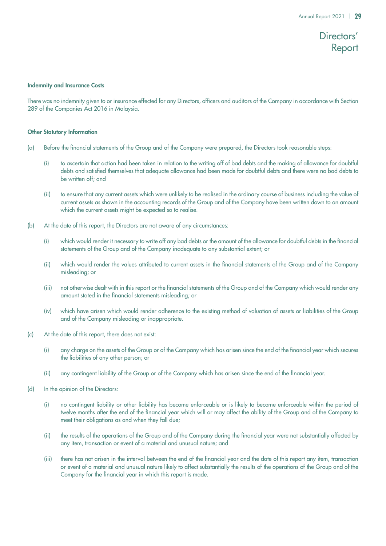# Directors' Report

### Indemnity and Insurance Costs

There was no indemnity given to or insurance effected for any Directors, officers and auditors of the Company in accordance with Section 289 of the Companies Act 2016 in Malaysia.

### Other Statutory Information

- (a) Before the financial statements of the Group and of the Company were prepared, the Directors took reasonable steps:
	- (i) to ascertain that action had been taken in relation to the writing off of bad debts and the making of allowance for doubtful debts and satisfied themselves that adequate allowance had been made for doubtful debts and there were no bad debts to be written off; and
	- (ii) to ensure that any current assets which were unlikely to be realised in the ordinary course of business including the value of current assets as shown in the accounting records of the Group and of the Company have been written down to an amount which the current assets might be expected so to realise.
- (b) At the date of this report, the Directors are not aware of any circumstances:
	- (i) which would render it necessary to write off any bad debts or the amount of the allowance for doubtful debts in the financial statements of the Group and of the Company inadequate to any substantial extent; or
	- (ii) which would render the values attributed to current assets in the financial statements of the Group and of the Company misleading; or
	- (iii) not otherwise dealt with in this report or the financial statements of the Group and of the Company which would render any amount stated in the financial statements misleading; or
	- (iv) which have arisen which would render adherence to the existing method of valuation of assets or liabilities of the Group and of the Company misleading or inappropriate.
- (c) At the date of this report, there does not exist:
	- (i) any charge on the assets of the Group or of the Company which has arisen since the end of the financial year which secures the liabilities of any other person; or
	- (ii) any contingent liability of the Group or of the Company which has arisen since the end of the financial year.
- (d) In the opinion of the Directors:
	- (i) no contingent liability or other liability has become enforceable or is likely to become enforceable within the period of twelve months after the end of the financial year which will or may affect the ability of the Group and of the Company to meet their obligations as and when they fall due;
	- (ii) the results of the operations of the Group and of the Company during the financial year were not substantially affected by any item, transaction or event of a material and unusual nature; and
	- (iii) there has not arisen in the interval between the end of the financial year and the date of this report any item, transaction or event of a material and unusual nature likely to affect substantially the results of the operations of the Group and of the Company for the financial year in which this report is made.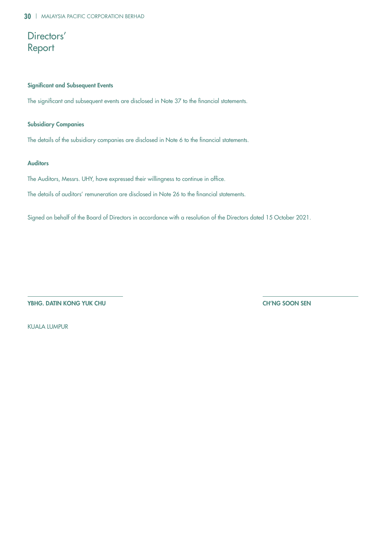# Directors' Report

### Significant and Subsequent Events

The significant and subsequent events are disclosed in Note 37 to the financial statements.

### Subsidiary Companies

The details of the subsidiary companies are disclosed in Note 6 to the financial statements.

### Auditors

The Auditors, Messrs. UHY, have expressed their willingness to continue in office.

The details of auditors' remuneration are disclosed in Note 26 to the financial statements.

Signed on behalf of the Board of Directors in accordance with a resolution of the Directors dated 15 October 2021.

YBHG. DATIN KONG YUK CHU CH'NG SOON SEN

KUALA LUMPUR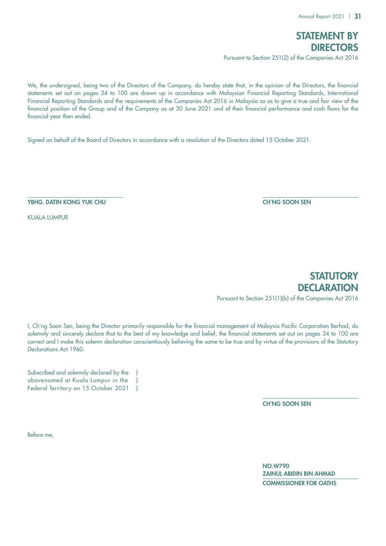

We, the undersigned, being two of the Directors of the Company, do hereby state that, in the opinion of the Directors, the financial statements set out on pages 34 to 100 are drawn up in accordance with Malaysian Financial Reporting Standards, International Financial Reporting Standards and the requirements of the Companies Act 2016 in Malaysia so as to give a true and fair view of the financial position of the Group and of the Company as at 30 June 2021 and of their financial performance and cash flows for the financial year then ended.

Signed on behalf of the Board of Directors in accordance with a resolution of the Directors dated 15 October 2021.

YBHG. DATIN KONG YUK CHU CH'NG SOON SEN

KUALA LUMPUR

**STATUTORY DECLARATION** Pursuant to Section 251(1)(b) of the Companies Act 2016

I, Ch'ng Soon Sen, being the Director primarily responsible for the financial management of Malaysia Pacific Corporation Berhad, do solemnly and sincerely declare that to the best of my knowledge and belief, the financial statements set out on pages 34 to 100 are correct and I make this solemn declaration conscientiously believing the same to be true and by virtue of the provisions of the Statutory Declarations Act 1960.

Subscribed and solemnly declared by the abovenamed at Kuala Lumpur in the ) Federal Territory on 15 October 2021 )

CH'NG SOON SEN

Before me,

 NO.W790 ZAINUL ABIDIN BIN AHMAD COMMISSIONER FOR OATHS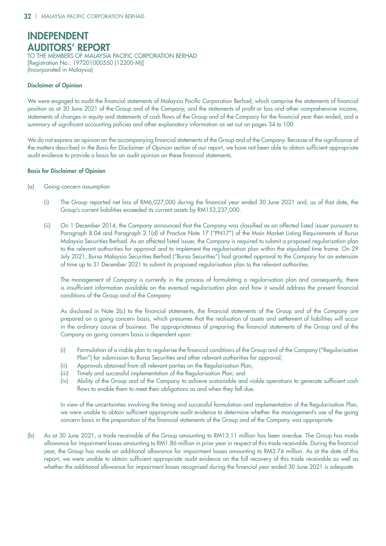# INDEPENDENT AUDITORS' REPORT

TO THE MEMBERS OF MALAYSIA PACIFIC CORPORATION BERHAD [Registration No.: 197201000550 (12200-M)] (Incorporated in Malaysia)

### Disclaimer of Opinion

We were engaged to audit the financial statements of Malaysia Pacific Corporation Berhad, which comprise the statements of financial position as at 30 June 2021 of the Group and of the Company, and the statements of profit or loss and other comprehensive income, statements of changes in equity and statements of cash flows of the Group and of the Company for the financial year then ended, and a summary of significant accounting policies and other explanatory information as set out on pages 34 to 100.

We do not express an opinion on the accompanying financial statements of the Group and of the Company. Because of the significance of the matters described *in the Basis for Disclaimer of Opinion* section of our report, we have not been able to obtain sufficient appropriate audit evidence to provide a basis for an audit opinion on these financial statements.

### Basis for Disclaimer of Opinion

- (a) Going concern assumption
	- (i) The Group reported net loss of RM6,027,000 during the financial year ended 30 June 2021 and, as of that date, the Group's current liabilities exceeded its current assets by RM153,237,000.
	- (ii) On 1 December 2014, the Company announced that the Company was classified as an affected listed issuer pursuant to Paragraph 8.04 and Paragraph 2.1(d) of Practice Note 17 ("PN17") of the Main Market Listing Requirements of Bursa Malaysia Securities Berhad. As an affected listed issuer, the Company is required to submit a proposed regularisation plan to the relevant authorities for approval and to implement the regularisation plan within the stipulated time frame. On 29 July 2021, Bursa Malaysia Securities Berhad ("Bursa Securities") had granted approval to the Company for an extension of time up to 31 December 2021 to submit its proposed regularisation plan to the relevant authorities.

The management of Company is currently in the process of formulating a regularisation plan and consequently, there is insufficient information available on the eventual regularisation plan and how it would address the present financial conditions of the Group and of the Company.

As disclosed in Note 2(c) to the financial statements, the financial statements of the Group and of the Company are prepared on a going concern basis, which presumes that the realisation of assets and settlement of liabilities will occur in the ordinary course of business. The appropriateness of preparing the financial statements of the Group and of the Company on going concern basis is dependent upon:

- (i) Formulation of a viable plan to regularise the financial conditions of the Group and of the Company ("Regularisation Plan") for submission to Bursa Securities and other relevant authorities for approval;
- (ii) Approvals obtained from all relevant parties on the Regularisation Plan;
- (iii) Timely and successful implementation of the Regularisation Plan; and
- (iv) Ability of the Group and of the Company to achieve sustainable and viable operations to generate sufficient cash flows to enable them to meet their obligations as and when they fall due.

In view of the uncertainties involving the timing and successful formulation and implementation of the Regularisation Plan, we were unable to obtain sufficient appropriate audit evidence to determine whether the management's use of the going concern basis in the preparation of the financial statements of the Group and of the Company was appropriate.

(b) As at 30 June 2021, a trade receivable of the Group amounting to RM13.11 million has been overdue. The Group has made allowance for impairment losses amounting to RM1.86 million in prior year in respect of this trade receivable. During the financial year, the Group has made an additional allowance for impairment losses amounting to RM3.74 million. As at the date of this report, we were unable to obtain sufficient appropriate audit evidence on the full recovery of this trade receivable as well as whether the additional allowance for impairment losses recognised during the financial year ended 30 June 2021 is adequate.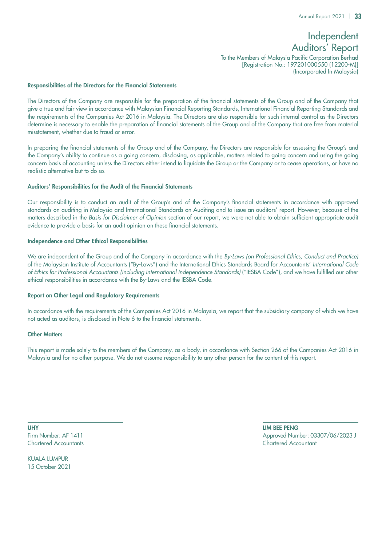## Independent Auditors' Report

To the Members of Malaysia Pacific Corporation Berhad [Registration No.: 197201000550 (12200-M)] (Incorporated In Malaysia)

### Responsibilities of the Directors for the Financial Statements

The Directors of the Company are responsible for the preparation of the financial statements of the Group and of the Company that give a true and fair view in accordance with Malaysian Financial Reporting Standards, International Financial Reporting Standards and the requirements of the Companies Act 2016 in Malaysia. The Directors are also responsible for such internal control as the Directors determine is necessary to enable the preparation of financial statements of the Group and of the Company that are free from material misstatement, whether due to fraud or error.

In preparing the financial statements of the Group and of the Company, the Directors are responsible for assessing the Group's and the Company's ability to continue as a going concern, disclosing, as applicable, matters related to going concern and using the going concern basis of accounting unless the Directors either intend to liquidate the Group or the Company or to cease operations, or have no realistic alternative but to do so.

### Auditors' Responsibilities for the Audit of the Financial Statements

Our responsibility is to conduct an audit of the Group's and of the Company's financial statements in accordance with approved standards on auditing in Malaysia and International Standards on Auditing and to issue an auditors' report. However, because of the matters described in the *Basis for Disclaimer of Opinion* section of our report, we were not able to obtain sufficient appropriate audit evidence to provide a basis for an audit opinion on these financial statements.

### Independence and Other Ethical Responsibilities

We are independent of the Group and of the Company in accordance with the *By-Laws (on Professional Ethics, Conduct and Practice)*  of the Malaysian Institute of Accountants ("By-Laws") and the International Ethics Standards Board for Accountants' *International Code of Ethics for Professional Accountants (including International Independence Standards)* ("IESBA Code"), and we have fulfilled our other ethical responsibilities in accordance with the By-Laws and the IESBA Code.

### Report on Other Legal and Regulatory Requirements

In accordance with the requirements of the Companies Act 2016 in Malaysia, we report that the subsidiary company of which we have not acted as auditors, is disclosed in Note 6 to the financial statements.

### Other Matters

This report is made solely to the members of the Company, as a body, in accordance with Section 266 of the Companies Act 2016 in Malaysia and for no other purpose. We do not assume responsibility to any other person for the content of this report.

UHY LIM BEE PENG Chartered Accountants Chartered Accountant

KUALA LUMPUR 15 October 2021

Firm Number: AF 1411 Approved Number: 03307/06/2023 J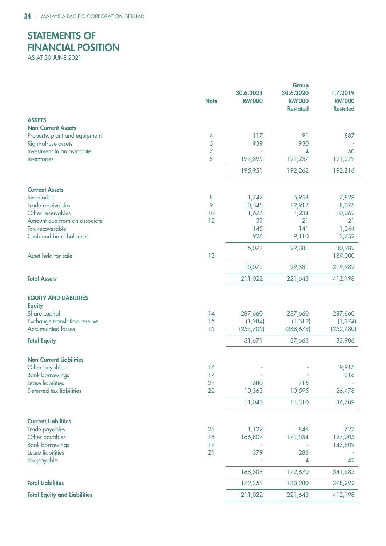# STATE MENTS OF FINANCIAL POSITION

AS AT 30 JUNE 2021

|                                                                 | <b>Note</b> | 30.6.2021<br><b>RM'000</b> | Group<br>30.6.2020<br><b>RM'000</b><br><b>Restated</b> | 1.7.2019<br><b>RM'000</b><br><b>Restated</b> |
|-----------------------------------------------------------------|-------------|----------------------------|--------------------------------------------------------|----------------------------------------------|
| <b>ASSETS</b>                                                   |             |                            |                                                        |                                              |
| <b>Non-Current Assets</b>                                       |             |                            |                                                        |                                              |
| Property, plant and equipment                                   | 4           | 117<br>939                 | 91<br>930                                              | 887                                          |
| Right-of-use assets<br>Investment in an associate               | 5<br>7      |                            | 4                                                      | 50                                           |
| Inventories                                                     | 8           | 194,895                    | 191,237                                                | 191,279                                      |
|                                                                 |             | 195,951                    | 192,262                                                | 192,216                                      |
| <b>Current Assets</b>                                           |             |                            |                                                        |                                              |
| Inventories                                                     | 8           | 1,742                      | 5,958                                                  | 7,828                                        |
| Trade receivables                                               | 9           | 10,545                     | 12,917                                                 | 8,075                                        |
| Other receivables                                               | 10          | 1,674                      | 1,234                                                  | 10,062                                       |
| Amount due from an associate                                    | 12          | 39                         | 21                                                     | 21                                           |
| Tax recoverable                                                 |             | 145                        | 141                                                    | 1,244                                        |
| Cash and bank balances                                          |             | 926                        | 9,110                                                  | 3,752                                        |
| Asset held for sale                                             | 13          | 15,071                     | 29,381                                                 | 30,982<br>189,000                            |
|                                                                 |             | 15,071                     | 29,381                                                 | 219,982                                      |
| <b>Total Assets</b>                                             |             | 211,022                    | 221,643                                                | 412,198                                      |
| <b>EQUITY AND LIABILITIES</b><br><b>Equity</b><br>Share capital | 14          | 287,660                    | 287,660                                                | 287,660                                      |
| Exchange translation reserve                                    | 15          | (1, 284)                   | (1, 319)                                               | (1, 274)                                     |
| <b>Accumulated losses</b>                                       | 15          | (254, 705)                 | (248, 678)                                             | (252, 480)                                   |
| <b>Total Equity</b>                                             |             | 31,671                     | 37,663                                                 | 33,906                                       |
| <b>Non-Current Liabilities</b>                                  |             |                            |                                                        |                                              |
| Other payables                                                  | 16          |                            |                                                        | 9,915                                        |
| <b>Bank borrowings</b>                                          | 17          |                            |                                                        | 316                                          |
| Lease liabilities                                               | 21          | 680                        | 715                                                    |                                              |
| Deferred tax liabilities                                        | 22          | 10,363                     | 10,595                                                 | 26,478                                       |
|                                                                 |             | 11,043                     | 11,310                                                 | 36,709                                       |
| <b>Current Liabilities</b>                                      |             |                            |                                                        |                                              |
| Trade payables                                                  | 23          | 1,122                      | 846                                                    | 727                                          |
| Other payables                                                  | 16          | 166,807                    | 171,534                                                | 197,005                                      |
| <b>Bank borrowings</b>                                          | 17          |                            |                                                        | 143,809                                      |
| Lease liabilities                                               | 21          | 379                        | 286                                                    |                                              |
| Tax payable                                                     |             |                            | 4                                                      | 42                                           |
|                                                                 |             | 168,308                    | 172,670                                                | 341,583                                      |
| <b>Total Liabilities</b>                                        |             | 179,351                    | 183,980                                                | 378,292                                      |
| <b>Total Equity and Liabilities</b>                             |             | 211,022                    | 221,643                                                | 412,198                                      |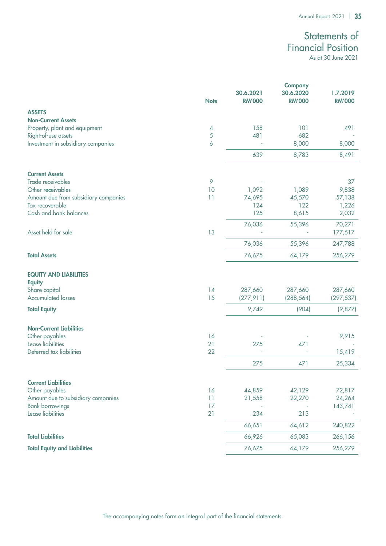# Statements of Financial Position

As at 30 June 2021

|                                      |             |               | <b>Company</b> |               |
|--------------------------------------|-------------|---------------|----------------|---------------|
|                                      |             | 30.6.2021     | 30.6.2020      | 1.7.2019      |
|                                      | <b>Note</b> | <b>RM'000</b> | <b>RM'000</b>  | <b>RM'000</b> |
| <b>ASSETS</b>                        |             |               |                |               |
| <b>Non-Current Assets</b>            |             |               |                |               |
| Property, plant and equipment        | 4           | 158           | 101            | 491           |
| Right-of-use assets                  | $\sqrt{5}$  | 481           | 682            |               |
| Investment in subsidiary companies   | 6           |               | 8,000          | 8,000         |
|                                      |             |               |                |               |
|                                      |             | 639           | 8,783          | 8,491         |
| <b>Current Assets</b>                |             |               |                |               |
| Trade receivables                    | 9           |               |                | 37            |
| Other receivables                    | 10          | 1,092         | 1,089          | 9,838         |
| Amount due from subsidiary companies | 11          | 74,695        | 45,570         | 57,138        |
| Tax recoverable                      |             | 124           | 122            | 1,226         |
| Cash and bank balances               |             | 125           | 8,615          | 2,032         |
|                                      |             |               |                |               |
|                                      |             | 76,036        | 55,396         | 70,271        |
| Asset held for sale                  | 13          |               |                | 177,517       |
|                                      |             | 76,036        | 55,396         | 247,788       |
| <b>Total Assets</b>                  |             | 76,675        | 64,179         | 256,279       |
| <b>EQUITY AND LIABILITIES</b>        |             |               |                |               |
|                                      |             |               |                |               |
| <b>Equity</b><br>Share capital       | 14          | 287,660       | 287,660        | 287,660       |
| <b>Accumulated losses</b>            | 15          |               |                |               |
|                                      |             | (277, 911)    | (288, 564)     | (297, 537)    |
| <b>Total Equity</b>                  |             | 9,749         | (904)          | (9,877)       |
| <b>Non-Current Liabilities</b>       |             |               |                |               |
| Other payables                       | 16          |               |                | 9,915         |
| Lease liabilities                    | 21          | 275           | 471            |               |
| Deferred tax liabilities             | 22          |               |                | 15,419        |
|                                      |             | 275           | 471            | 25,334        |
|                                      |             |               |                |               |
| <b>Current Liabilities</b>           |             |               |                |               |
| Other payables                       | 16          | 44,859        | 42,129         | 72,817        |
| Amount due to subsidiary companies   | 11          | 21,558        | 22,270         | 24,264        |
| <b>Bank borrowings</b>               | 17          |               |                | 143,741       |
| Lease liabilities                    | 21          | 234           | 213            |               |
|                                      |             |               |                |               |
|                                      |             | 66,651        | 64,612         | 240,822       |
| <b>Total Liabilities</b>             |             | 66,926        | 65,083         | 266,156       |
| <b>Total Equity and Liabilities</b>  |             | 76,675        | 64,179         | 256,279       |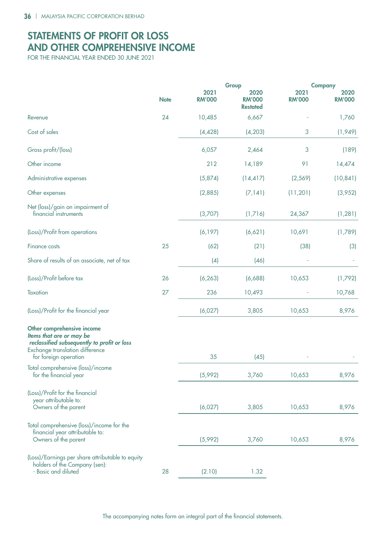# STATEMENTS OF PROFIT OR LOSS AND OTHER COMPREHENSIVE INCOME

FOR THE FINANCIAL YEAR ENDED 30 JUNE 2021

|                                                                                                                                                                   |             |                       | Group                                    | <b>Company</b>        |                       |
|-------------------------------------------------------------------------------------------------------------------------------------------------------------------|-------------|-----------------------|------------------------------------------|-----------------------|-----------------------|
|                                                                                                                                                                   | <b>Note</b> | 2021<br><b>RM'000</b> | 2020<br><b>RM'000</b><br><b>Restated</b> | 2021<br><b>RM'000</b> | 2020<br><b>RM'000</b> |
| Revenue                                                                                                                                                           | 24          | 10,485                | 6,667                                    |                       | 1,760                 |
| Cost of sales                                                                                                                                                     |             | (4, 428)              | (4, 203)                                 | 3                     | (1,949)               |
| Gross profit/(loss)                                                                                                                                               |             | 6,057                 | 2,464                                    | 3                     | (189)                 |
| Other income                                                                                                                                                      |             | 212                   | 14,189                                   | 91                    | 14,474                |
| Administrative expenses                                                                                                                                           |             | (5,874)               | (14, 417)                                | (2, 569)              | (10, 841)             |
| Other expenses                                                                                                                                                    |             | (2,885)               | (7, 141)                                 | (11, 201)             | (3,952)               |
| Net (loss)/gain on impairment of<br>financial instruments                                                                                                         |             | (3,707)               | (1,716)                                  | 24,367                | (1, 281)              |
| (Loss)/Profit from operations                                                                                                                                     |             | (6, 197)              | (6,621)                                  | 10,691                | (1,789)               |
| <b>Finance costs</b>                                                                                                                                              | 25          | (62)                  | (21)                                     | (38)                  | (3)                   |
| Share of results of an associate, net of tax                                                                                                                      |             | (4)                   | (46)                                     |                       |                       |
| (Loss)/Profit before tax                                                                                                                                          | 26          | (6, 263)              | (6,688)                                  | 10,653                | (1,792)               |
| Taxation                                                                                                                                                          | 27          | 236                   | 10,493                                   |                       | 10,768                |
| (Loss)/Profit for the financial year                                                                                                                              |             | (6,027)               | 3,805                                    | 10,653                | 8,976                 |
| Other comprehensive income<br>Items that are or may be<br>reclassified subsequently to profit or loss<br>Exchange translation difference<br>for foreign operation |             | 35                    | (45)                                     |                       |                       |
| Total comprehensive (loss)/income<br>for the financial year                                                                                                       |             | (5,992)               | 3,760                                    | 10,653                | 8,976                 |
| (Loss)/Profit for the financial<br>year attributable to:<br>Owners of the parent                                                                                  |             | (6,027)               | 3,805                                    | 10,653                | 8,976                 |
| Total comprehensive (loss)/income for the<br>financial year attributable to:<br>Owners of the parent                                                              |             | (5,992)               | 3,760                                    | 10,653                | 8,976                 |
| (Loss)/Earnings per share attributable to equity<br>holders of the Company (sen):<br>- Basic and diluted                                                          | 28          | (2.10)                | 1.32                                     |                       |                       |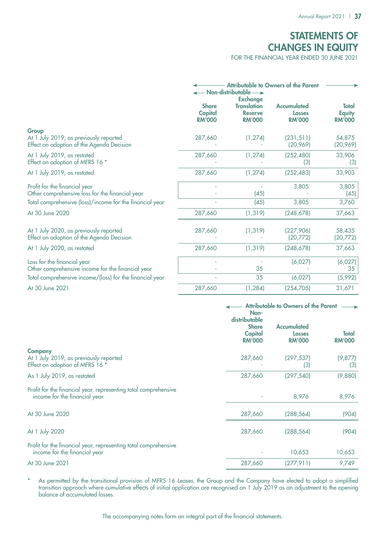# STATEMENTS OF CHANGES IN EQUITY

FOR THE FINANCIAL YEAR ENDED 30 JUNE 2021

|                                                                                              | $-$ Non-distributable $\longrightarrow$         |                                                                          |                                               |                                                |
|----------------------------------------------------------------------------------------------|-------------------------------------------------|--------------------------------------------------------------------------|-----------------------------------------------|------------------------------------------------|
|                                                                                              | <b>Share</b><br><b>Capital</b><br><b>RM'000</b> | <b>Exchange</b><br><b>Translation</b><br><b>Reserve</b><br><b>RM'000</b> | <b>Accumulated</b><br>Losses<br><b>RM'000</b> | <b>Total</b><br><b>Equity</b><br><b>RM'000</b> |
| Group<br>At 1 July 2019, as previously reported<br>Effect on adoption of the Agenda Decision | 287,660                                         | (1, 274)                                                                 | (231, 511)<br>(20, 969)                       | 54,875<br>(20, 969)                            |
| At 1 July 2019, as restated<br>Effect on adoption of MFRS 16 *                               | 287,660                                         | (1, 274)                                                                 | (252, 480)<br>(3)                             | 33,906<br>(3)                                  |
| At 1 July 2019, as restated                                                                  | 287,660                                         | (1, 274)                                                                 | (252, 483)                                    | 33,903                                         |
| Profit for the financial year<br>Other comprehensive loss for the financial year             |                                                 | (45)                                                                     | 3,805                                         | 3,805<br>(45)                                  |
| Total comprehensive (loss)/income for the financial year                                     |                                                 | (45)                                                                     | 3,805                                         | 3,760                                          |
| At 30 June 2020                                                                              | 287,660                                         | (1, 319)                                                                 | (248, 678)                                    | 37,663                                         |
| At 1 July 2020, as previously reported<br>Effect on adoption of the Agenda Decision          | 287,660                                         | (1, 319)                                                                 | (227, 906)<br>(20,772)                        | 58,435<br>(20,772)                             |
| At 1 July 2020, as restated                                                                  | 287,660                                         | (1, 319)                                                                 | (248,678)                                     | 37,663                                         |
| Loss for the financial year<br>Other comprehensive income for the financial year             |                                                 | 35                                                                       | (6,027)                                       | (6,027)<br>35                                  |
| Total comprehensive income/(loss) for the financial year                                     |                                                 | 35                                                                       | (6,027)                                       | (5,992)                                        |
| At 30 June 2021                                                                              | 287,660                                         | (1, 284)                                                                 | (254, 705)                                    | 31,671                                         |

|                                                                                                  | <b>Attributable to Owners of the Parent</b><br>Non-<br>distributable |                                               |                               |
|--------------------------------------------------------------------------------------------------|----------------------------------------------------------------------|-----------------------------------------------|-------------------------------|
|                                                                                                  | <b>Share</b><br><b>Capital</b><br><b>RM'000</b>                      | <b>Accumulated</b><br>Losses<br><b>RM'000</b> | <b>Total</b><br><b>RM'000</b> |
| <b>Company</b><br>At 1 July 2019, as previously reported<br>Effect on adoption of MFRS 16 *      | 287,660                                                              | (297,537)<br>(3)                              | (9, 877)<br>(3)               |
| As 1 July 2019, as restated                                                                      | 287,660                                                              | (297, 540)                                    | (9,880)                       |
| Profit for the financial year, representing total comprehensive<br>income for the financial year |                                                                      | 8,976                                         | 8,976                         |
| At 30 June 2020                                                                                  | 287,660                                                              | (288,564)                                     | (904)                         |
| At 1 July 2020                                                                                   | 287,660                                                              | (288,564)                                     | (904)                         |
| Profit for the financial year, representing total comprehensive<br>income for the financial year |                                                                      | 10,653                                        | 10,653                        |
| At 30 June 2021                                                                                  | 287,660                                                              | (277,911)                                     | 9,749                         |

\* As permitted by the transitional provision of MFRS 16 Leases, the Group and the Company have elected to adopt a simplified transition approach where cumulative effects of initial application are recognised on 1 July 2019 as an adjustment to the opening balance of accumulated losses.

The accompanying notes form an integral part of the financial statements.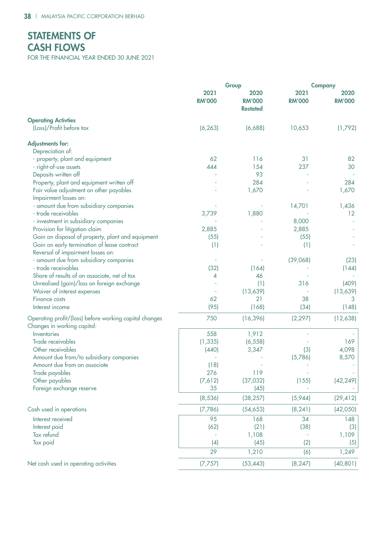# STATEMENTS OF CASH FLOWS

FOR THE FINANCIAL YEAR ENDED 30 JUNE 2021

|                                                                                       |                       | Group                                    | <b>Company</b>        |                       |
|---------------------------------------------------------------------------------------|-----------------------|------------------------------------------|-----------------------|-----------------------|
|                                                                                       | 2021<br><b>RM'000</b> | 2020<br><b>RM'000</b><br><b>Restated</b> | 2021<br><b>RM'000</b> | 2020<br><b>RM'000</b> |
| <b>Operating Activties</b>                                                            |                       |                                          |                       |                       |
| (Loss)/Profit before tax                                                              | (6, 263)              | (6,688)                                  | 10,653                | (1,792)               |
| <b>Adjustments for:</b>                                                               |                       |                                          |                       |                       |
| Depreciation of:                                                                      |                       |                                          |                       |                       |
| - property, plant and equipment                                                       | 62                    | 116                                      | 31                    | 82                    |
| - right-of-use assets                                                                 | 444                   | 154                                      | 237                   | 30                    |
| Deposits written off                                                                  |                       | 93                                       |                       |                       |
| Property, plant and equipment written off                                             |                       | 284                                      |                       | 284                   |
| Fair value adjustment on other payables                                               |                       | 1,670                                    |                       | 1,670                 |
| Impairment losses on:                                                                 |                       |                                          |                       |                       |
| - amount due from subsidiary companies                                                |                       |                                          | 14,701                | 1,436                 |
| - trade receivables                                                                   | 3,739                 | 1,880                                    |                       | 12                    |
| - investment in subsidiary companies                                                  |                       |                                          | 8,000                 |                       |
| Provision for litigation claim                                                        | 2,885                 |                                          | 2,885                 |                       |
| Gain on disposal of property, plant and equipment                                     | (55)                  |                                          | (55)                  |                       |
| Gain on early termination of lease contract                                           | (1)                   |                                          | (1)                   |                       |
| Reversal of impairment losses on:                                                     |                       |                                          |                       |                       |
| - amount due from subsidiary companies                                                |                       |                                          | (39,068)              | (23)                  |
| - trade receivables                                                                   | (32)                  | (164)                                    |                       | (144)                 |
| Share of results of an associate, net of tax                                          | 4                     | 46                                       |                       |                       |
| Unrealised (gain)/loss on foreign exchange                                            |                       | (1)                                      | 316                   | (409)                 |
| Waiver of interest expenses                                                           |                       | (13,639)                                 |                       | (13, 639)             |
| <b>Finance costs</b>                                                                  | 62                    | 21                                       | 38                    | 3                     |
| Interest income                                                                       | (95)                  | (168)                                    | (34)                  | (148)                 |
| Operating profit/(loss) before working capital changes<br>Changes in working capital: | 750                   | (16, 396)                                | (2, 297)              | (12,638)              |
| Inventories                                                                           | 558                   | 1,912                                    |                       |                       |
| Trade receivables                                                                     | (1, 335)              | (6, 558)                                 |                       | 169                   |
| Other receivables                                                                     | (440)                 | 3,347                                    | (3)                   | 4,098                 |
| Amount due from/to subsidiary companies                                               |                       |                                          | (5,786)               | 8,570                 |
| Amount due from an associate                                                          | (18)                  |                                          |                       |                       |
| Trade payables                                                                        | 276                   | 119                                      |                       |                       |
| Other payables                                                                        | (7,612)               | (37, 032)                                | (155)                 | (42, 249)             |
| Foreign exchange reserve                                                              | 35                    | (45)                                     |                       |                       |
|                                                                                       | (8, 536)              | (38, 257)                                | (5,944)               | (29, 412)             |
| Cash used in operations                                                               | (7,786)               | (54, 653)                                | (8, 241)              | (42,050)              |
| Interest received                                                                     | 95                    | 168                                      | 34                    | 148                   |
| Interest paid                                                                         | (62)                  | (21)                                     | (38)                  | (3)                   |
| Tax refund                                                                            |                       | 1,108                                    |                       | 1,109                 |
| Tax paid                                                                              | (4)                   | (45)                                     | (2)                   | (5)                   |
|                                                                                       | 29                    | 1,210                                    | (6)                   | 1,249                 |
| Net cash used in operating activities                                                 | (7,757)               | (53, 443)                                | (8, 247)              | (40, 801)             |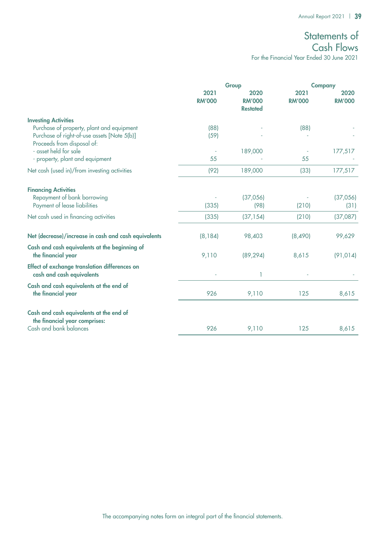# Statements of Cash Flows

For the Financial Year Ended 30 June 2021

|                                                                                                                                                       |                       | Group                                    |                       | <b>Company</b>        |  |
|-------------------------------------------------------------------------------------------------------------------------------------------------------|-----------------------|------------------------------------------|-----------------------|-----------------------|--|
|                                                                                                                                                       | 2021<br><b>RM'000</b> | 2020<br><b>RM'000</b><br><b>Restated</b> | 2021<br><b>RM'000</b> | 2020<br><b>RM'000</b> |  |
| <b>Investing Activities</b><br>Purchase of property, plant and equipment<br>Purchase of right-of-use assets [Note 5(b)]<br>Proceeds from disposal of: | (88)<br>(59)          |                                          | (88)                  |                       |  |
| - asset held for sale<br>- property, plant and equipment                                                                                              | 55                    | 189,000                                  | 55                    | 177,517               |  |
| Net cash (used in)/from investing activities                                                                                                          | (92)                  | 189,000                                  | (33)                  | 177,517               |  |
| <b>Financing Activities</b><br>Repayment of bank borrowing<br>Payment of lease liabilities                                                            | (335)                 | (37,056)<br>(98)                         | (210)                 | (37,056)<br>(31)      |  |
| Net cash used in financing activities                                                                                                                 | (335)                 | (37, 154)                                | (210)                 | (37,087)              |  |
| Net (decrease)/increase in cash and cash equivalents                                                                                                  | (8, 184)              | 98,403                                   | (8,490)               | 99,629                |  |
| Cash and cash equivalents at the beginning of<br>the financial year                                                                                   | 9,110                 | (89, 294)                                | 8,615                 | (91, 014)             |  |
| Effect of exchange translation differences on<br>cash and cash equivalents                                                                            |                       |                                          |                       |                       |  |
| Cash and cash equivalents at the end of<br>the financial year                                                                                         | 926                   | 9,110                                    | 125                   | 8,615                 |  |
| Cash and cash equivalents at the end of<br>the financial year comprises:<br>Cash and bank balances                                                    | 926                   | 9,110                                    | 125                   | 8,615                 |  |
|                                                                                                                                                       |                       |                                          |                       |                       |  |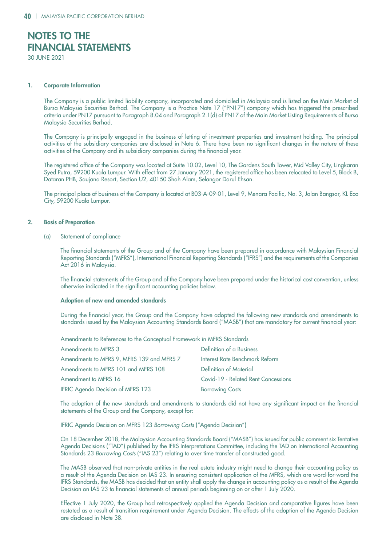# NOTES TO THE Financial Statements

30 June 2021

### 1. Corporate Information

The Company is a public limited liability company, incorporated and domiciled in Malaysia and is listed on the Main Market of Bursa Malaysia Securities Berhad. The Company is a Practice Note 17 ("PN17") company which has triggered the prescribed criteria under PN17 pursuant to Paragraph 8.04 and Paragraph 2.1(d) of PN17 of the Main Market Listing Requirements of Bursa Malaysia Securities Berhad.

The Company is principally engaged in the business of letting of investment properties and investment holding. The principal activities of the subsidiary companies are disclosed in Note 6. There have been no significant changes in the nature of these activities of the Company and its subsidiary companies during the financial year.

The registered office of the Company was located at Suite 10.02, Level 10, The Gardens South Tower, Mid Valley City, Lingkaran Syed Putra, 59200 Kuala Lumpur. With effect from 27 January 2021, the registered office has been relocated to Level 5, Block B, Dataran PHB, Saujana Resort, Section U2, 40150 Shah Alam, Selangor Darul Ehsan.

The principal place of business of the Company is located at B03-A-09-01, Level 9, Menara Pacific, No. 3, Jalan Bangsar, KL Eco City, 59200 Kuala Lumpur.

### 2. Basis of Preparation

(a) Statement of compliance

The financial statements of the Group and of the Company have been prepared in accordance with Malaysian Financial Reporting Standards ("MFRS"), International Financial Reporting Standards ("IFRS") and the requirements of the Companies Act 2016 in Malaysia.

The financial statements of the Group and of the Company have been prepared under the historical cost convention, unless otherwise indicated in the significant accounting policies below.

### Adoption of new and amended standards

During the financial year, the Group and the Company have adopted the following new standards and amendments to standards issued by the Malaysian Accounting Standards Board ("MASB") that are mandatory for current financial year:

Amendments to References to the Conceptual Framework in MFRS Standards

| Amendments to MFRS 3                      | Definition of a Business            |
|-------------------------------------------|-------------------------------------|
| Amendments to MFRS 9, MFRS 139 and MFRS 7 | Interest Rate Benchmark Reform      |
| Amendments to MFRS 101 and MFRS 108       | Definition of Material              |
| Amendment to MFRS 16                      | Covid-19 - Related Rent Concessions |
| <b>IFRIC Agenda Decision of MFRS 123</b>  | <b>Borrowing Costs</b>              |
|                                           |                                     |

The adoption of the new standards and amendments to standards did not have any significant impact on the financial statements of the Group and the Company, except for:

IFRIC Agenda Decision on MFRS 123 *Borrowing Costs* ("Agenda Decision")

On 18 December 2018, the Malaysian Accounting Standards Board ("MASB") has issued for public comment six Tentative Agenda Decisions ("TAD") published by the IFRS Interpretations Committee, including the TAD on International Accounting Standards 23 *Borrowing Costs* ("IAS 23") relating to over time transfer of constructed good.

The MASB observed that non-private entities in the real estate industry might need to change their accounting policy as a result of the Agenda Decision on IAS 23. In ensuring consistent application of the MFRS, which are word-for-word the IFRS Standards, the MASB has decided that an entity shall apply the change in accounting policy as a result of the Agenda Decision on IAS 23 to financial statements of annual periods beginning on or after 1 July 2020.

Effective 1 July 2020, the Group had retrospectively applied the Agenda Decision and comparative figures have been restated as a result of transition requirement under Agenda Decision. The effects of the adoption of the Agenda Decision are disclosed in Note 38.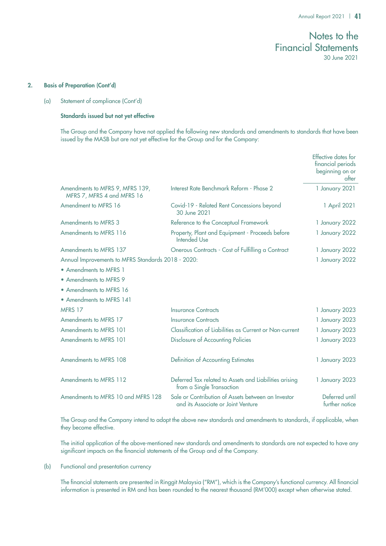### 2. Basis of Preparation (Cont'd)

(a) Statement of compliance (Cont'd)

### Standards issued but not yet effective

The Group and the Company have not applied the following new standards and amendments to standards that have been issued by the MASB but are not yet effective for the Group and for the Company:

|                                                               |                                                                                          | Effective dates for<br>financial periods<br>beginning on or<br>after |
|---------------------------------------------------------------|------------------------------------------------------------------------------------------|----------------------------------------------------------------------|
| Amendments to MFRS 9, MFRS 139,<br>MFRS 7, MFRS 4 and MFRS 16 | Interest Rate Benchmark Reform - Phase 2                                                 | 1 January 2021                                                       |
| Amendment to MFRS 16                                          | Covid-19 - Related Rent Concessions beyond<br>30 June 2021                               | 1 April 2021                                                         |
| Amendments to MFRS 3                                          | Reference to the Conceptual Framework                                                    | 1 January 2022                                                       |
| Amendments to MFRS 116                                        | Property, Plant and Equipment - Proceeds before<br>Intended Use                          | 1 January 2022                                                       |
| Amendments to MFRS 137                                        | Onerous Contracts - Cost of Fulfilling a Contract                                        | 1 January 2022                                                       |
| Annual Improvements to MFRS Standards 2018 - 2020:            |                                                                                          | 1 January 2022                                                       |
| • Amendments to MFRS 1                                        |                                                                                          |                                                                      |
| • Amendments to MFRS 9                                        |                                                                                          |                                                                      |
| • Amendments to MFRS 16                                       |                                                                                          |                                                                      |
| • Amendments to MFRS 141                                      |                                                                                          |                                                                      |
| MFRS 17                                                       | <b>Insurance Contracts</b>                                                               | 1 January 2023                                                       |
| Amendments to MFRS 17                                         | <b>Insurance Contracts</b>                                                               | 1 January 2023                                                       |
| Amendments to MFRS 101                                        | Classification of Liabilities as Current or Non-current                                  | 1 January 2023                                                       |
| Amendments to MFRS 101                                        | <b>Disclosure of Accounting Policies</b>                                                 | 1 January 2023                                                       |
| Amendments to MFRS 108                                        | Definition of Accounting Estimates                                                       | 1 January 2023                                                       |
| Amendments to MFRS 112                                        | Deferred Tax related to Assets and Liabilities arising<br>from a Single Transaction      | 1 January 2023                                                       |
| Amendments to MFRS 10 and MFRS 128                            | Sale or Contribution of Assets between an Investor<br>and its Associate or Joint Venture | Deferred until<br>further notice                                     |

The Group and the Company intend to adopt the above new standards and amendments to standards, if applicable, when they become effective.

The initial application of the above-mentioned new standards and amendments to standards are not expected to have any significant impacts on the financial statements of the Group and of the Company.

### (b) Functional and presentation currency

The financial statements are presented in Ringgit Malaysia ("RM"), which is the Company's functional currency. All financial information is presented in RM and has been rounded to the nearest thousand (RM'000) except when otherwise stated.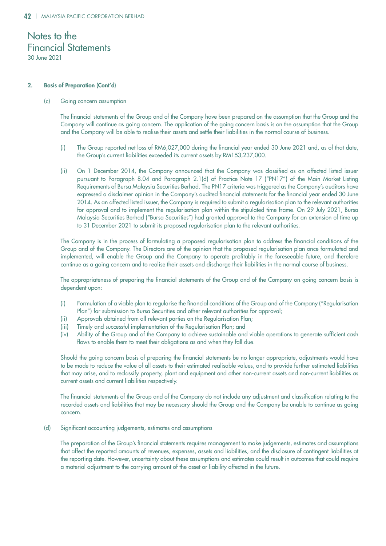### 2. Basis of Preparation (Cont'd)

(c) Going concern assumption

The financial statements of the Group and of the Company have been prepared on the assumption that the Group and the Company will continue as going concern. The application of the going concern basis is on the assumption that the Group and the Company will be able to realise their assets and settle their liabilities in the normal course of business.

- (i) The Group reported net loss of RM6,027,000 during the financial year ended 30 June 2021 and, as of that date, the Group's current liabilities exceeded its current assets by RM153,237,000.
- (ii) On 1 December 2014, the Company announced that the Company was classified as an affected listed issuer pursuant to Paragraph 8.04 and Paragraph 2.1(d) of Practice Note 17 ("PN17") of the Main Market Listing Requirements of Bursa Malaysia Securities Berhad. The PN17 criteria was triggered as the Company's auditors have expressed a disclaimer opinion in the Company's audited financial statements for the financial year ended 30 June 2014. As an affected listed issuer, the Company is required to submit a regularisation plan to the relevant authorities for approval and to implement the regularisation plan within the stipulated time frame. On 29 July 2021, Bursa Malaysia Securities Berhad ("Bursa Securities") had granted approval to the Company for an extension of time up to 31 December 2021 to submit its proposed regularisation plan to the relevant authorities.

The Company is in the process of formulating a proposed regularisation plan to address the financial conditions of the Group and of the Company. The Directors are of the opinion that the proposed regularisation plan once formulated and implemented, will enable the Group and the Company to operate profitably in the foreseeable future, and therefore continue as a going concern and to realise their assets and discharge their liabilities in the normal course of business.

The appropriateness of preparing the financial statements of the Group and of the Company on going concern basis is dependent upon:

- (i) Formulation of a viable plan to regularise the financial conditions of the Group and of the Company ("Regularisation Plan") for submission to Bursa Securities and other relevant authorities for approval;
- (ii) Approvals obtained from all relevant parties on the Regularisation Plan;
- (iii) Timely and successful implementation of the Regularisation Plan; and
- (iv) Ability of the Group and of the Company to achieve sustainable and viable operations to generate sufficient cash flows to enable them to meet their obligations as and when they fall due.

Should the going concern basis of preparing the financial statements be no longer appropriate, adjustments would have to be made to reduce the value of all assets to their estimated realisable values, and to provide further estimated liabilities that may arise, and to reclassify property, plant and equipment and other non-current assets and non-current liabilities as current assets and current liabilities respectively.

The financial statements of the Group and of the Company do not include any adjustment and classification relating to the recorded assets and liabilities that may be necessary should the Group and the Company be unable to continue as going concern.

(d) Significant accounting judgements, estimates and assumptions

The preparation of the Group's financial statements requires management to make judgements, estimates and assumptions that affect the reported amounts of revenues, expenses, assets and liabilities, and the disclosure of contingent liabilities at the reporting date. However, uncertainty about these assumptions and estimates could result in outcomes that could require a material adjustment to the carrying amount of the asset or liability affected in the future.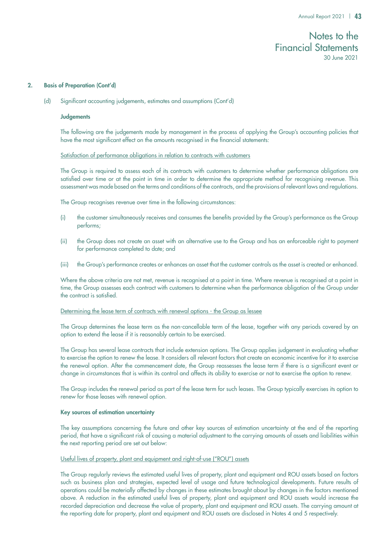### 2. Basis of Preparation (Cont'd)

(d) Significant accounting judgements, estimates and assumptions (Cont'd)

### **Judgements**

The following are the judgements made by management in the process of applying the Group's accounting policies that have the most significant effect on the amounts recognised in the financial statements:

### Satisfaction of performance obligations in relation to contracts with customers

The Group is required to assess each of its contracts with customers to determine whether performance obligations are satisfied over time or at the point in time in order to determine the appropriate method for recognising revenue. This assessment was made based on the terms and conditions of the contracts, and the provisions of relevant laws and regulations.

The Group recognises revenue over time in the following circumstances:

- (i) the customer simultaneously receives and consumes the benefits provided by the Group's performance as the Group performs;
- (ii) the Group does not create an asset with an alternative use to the Group and has an enforceable right to payment for performance completed to date; and
- (iii) the Group's performance creates or enhances an asset that the customer controls as the asset is created or enhanced.

Where the above criteria are not met, revenue is recognised at a point in time. Where revenue is recognised at a point in time, the Group assesses each contract with customers to determine when the performance obligation of the Group under the contract is satisfied.

### Determining the lease term of contracts with renewal options - the Group as lessee

The Group determines the lease term as the non-cancellable term of the lease, together with any periods covered by an option to extend the lease if it is reasonably certain to be exercised.

The Group has several lease contracts that include extension options. The Group applies judgement in evaluating whether to exercise the option to renew the lease. It considers all relevant factors that create an economic incentive for it to exercise the renewal option. After the commencement date, the Group reassesses the lease term if there is a significant event or change in circumstances that is within its control and affects its ability to exercise or not to exercise the option to renew.

The Group includes the renewal period as part of the lease term for such leases. The Group typically exercises its option to renew for those leases with renewal option.

### Key sources of estimation uncertainty

The key assumptions concerning the future and other key sources of estimation uncertainty at the end of the reporting period, that have a significant risk of causing a material adjustment to the carrying amounts of assets and liabilities within the next reporting period are set out below:

### Useful lives of property, plant and equipment and right-of-use ("ROU") assets

The Group regularly reviews the estimated useful lives of property, plant and equipment and ROU assets based on factors such as business plan and strategies, expected level of usage and future technological developments. Future results of operations could be materially affected by changes in these estimates brought about by changes in the factors mentioned above. A reduction in the estimated useful lives of property, plant and equipment and ROU assets would increase the recorded depreciation and decrease the value of property, plant and equipment and ROU assets. The carrying amount at the reporting date for property, plant and equipment and ROU assets are disclosed in Notes 4 and 5 respectively.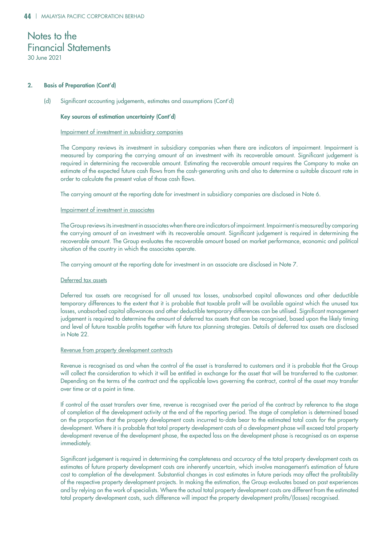### 2. Basis of Preparation (Cont'd)

(d) Significant accounting judgements, estimates and assumptions (Cont'd)

### Key sources of estimation uncertainty (Cont'd)

### Impairment of investment in subsidiary companies

The Company reviews its investment in subsidiary companies when there are indicators of impairment. Impairment is measured by comparing the carrying amount of an investment with its recoverable amount. Significant judgement is required in determining the recoverable amount. Estimating the recoverable amount requires the Company to make an estimate of the expected future cash flows from the cash-generating units and also to determine a suitable discount rate in order to calculate the present value of those cash flows.

The carrying amount at the reporting date for investment in subsidiary companies are disclosed in Note 6.

### Impairment of investment in associates

The Group reviews its investment in associates when there are indicators of impairment. Impairment is measured by comparing the carrying amount of an investment with its recoverable amount. Significant judgement is required in determining the recoverable amount. The Group evaluates the recoverable amount based on market performance, economic and political situation of the country in which the associates operate.

The carrying amount at the reporting date for investment in an associate are disclosed in Note 7.

### Deferred tax assets

Deferred tax assets are recognised for all unused tax losses, unabsorbed capital allowances and other deductible temporary differences to the extent that it is probable that taxable profit will be available against which the unused tax losses, unabsorbed capital allowances and other deductible temporary differences can be utilised. Significant management judgement is required to determine the amount of deferred tax assets that can be recognised, based upon the likely timing and level of future taxable profits together with future tax planning strategies. Details of deferred tax assets are disclosed in Note 22.

### Revenue from property development contracts

Revenue is recognised as and when the control of the asset is transferred to customers and it is probable that the Group will collect the consideration to which it will be entitled in exchange for the asset that will be transferred to the customer. Depending on the terms of the contract and the applicable laws governing the contract, control of the asset may transfer over time or at a point in time.

If control of the asset transfers over time, revenue is recognised over the period of the contract by reference to the stage of completion of the development activity at the end of the reporting period. The stage of completion is determined based on the proportion that the property development costs incurred to-date bear to the estimated total costs for the property development. Where it is probable that total property development costs of a development phase will exceed total property development revenue of the development phase, the expected loss on the development phase is recognised as an expense immediately.

Significant judgement is required in determining the completeness and accuracy of the total property development costs as estimates of future property development costs are inherently uncertain, which involve management's estimation of future cost to completion of the development. Substantial changes in cost estimates in future periods may affect the profitability of the respective property development projects. In making the estimation, the Group evaluates based on past experiences and by relying on the work of specialists. Where the actual total property development costs are different from the estimated total property development costs, such difference will impact the property development profits/(losses) recognised.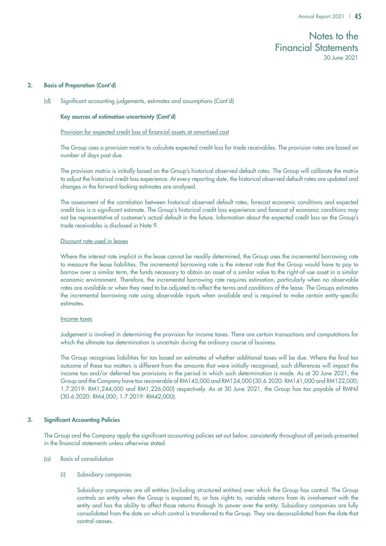### 2. Basis of Preparation (Cont'd)

(d) Significant accounting judgements, estimates and assumptions (Cont'd)

### Key sources of estimation uncertainty (Cont'd)

### Provision for expected credit loss of financial assets at amortised cost

The Group uses a provision matrix to calculate expected credit loss for trade receivables. The provision rates are based on number of days past due.

The provision matrix is initially based on the Group's historical observed default rates. The Group will calibrate the matrix to adjust the historical credit loss experience. At every reporting date, the historical observed default rates are updated and changes in the forward-looking estimates are analysed.

The assessment of the correlation between historical observed default rates, forecast economic conditions and expected credit loss is a significant estimate. The Group's historical credit loss experience and forecast of economic conditions may not be representative of customer's actual default in the future. Information about the expected credit loss on the Group's trade receivables is disclosed in Note 9.

### Discount rate used in leases

Where the interest rate implicit in the lease cannot be readily determined, the Group uses the incremental borrowing rate to measure the lease liabilities. The incremental borrowing rate is the interest rate that the Group would have to pay to borrow over a similar term, the funds necessary to obtain an asset of a similar value to the right-of-use asset in a similar economic environment. Therefore, the incremental borrowing rate requires estimation, particularly when no observable rates are available or when they need to be adjusted to reflect the terms and conditions of the lease. The Groups estimates the incremental borrowing rate using observable inputs when available and is required to make certain entity-specific estimates.

### Income taxes

Judgement is involved in determining the provision for income taxes. There are certain transactions and computations for which the ultimate tax determination is uncertain during the ordinary course of business.

The Group recognises liabilities for tax based on estimates of whether additional taxes will be due. Where the final tax outcome of these tax matters is different from the amounts that were initially recognised, such differences will impact the income tax and/or deferred tax provisions in the period in which such determination is made. As at 30 June 2021, the Group and the Company have tax recoverable of RM145,000 and RM124,000 (30.6.2020: RM141,000 and RM122,000; 1.7.2019: RM1,244,000 and RM1,226,000) respectively. As at 30 June 2021, the Group has tax payable of RMNil (30.6.2020: RM4,000; 1.7.2019: RM42,000).

### 3. Significant Accounting Policies

The Group and the Company apply the significant accounting policies set out below, consistently throughout all periods presented in the financial statements unless otherwise stated.

- (a) Basis of consolidation
	- (i) Subsidiary companies

Subsidiary companies are all entities (including structured entities) over which the Group has control. The Group controls an entity when the Group is exposed to, or has rights to, variable returns from its involvement with the entity and has the ability to affect those returns through its power over the entity. Subsidiary companies are fully consolidated from the date on which control is transferred to the Group. They are deconsolidated from the date that control ceases.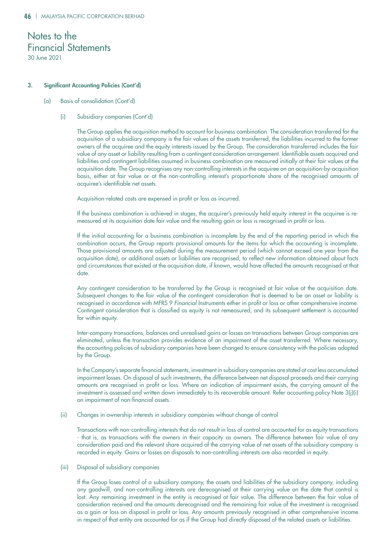### 3. Significant Accounting Policies (Cont'd)

- (a) Basis of consolidation (Cont'd)
	- (i) Subsidiary companies (Cont'd)

The Group applies the acquisition method to account for business combination. The consideration transferred for the acquisition of a subsidiary company is the fair values of the assets transferred, the liabilities incurred to the former owners of the acquiree and the equity interests issued by the Group. The consideration transferred includes the fair value of any asset or liability resulting from a contingent consideration arrangement. Identifiable assets acquired and liabilities and contingent liabilities assumed in business combination are measured initially at their fair values at the acquisition date. The Group recognises any non-controlling interests in the acquiree on an acquisition-by-acquisition basis, either at fair value or at the non-controlling interest's proportionate share of the recognised amounts of acquiree's identifiable net assets.

Acquisition-related costs are expensed in profit or loss as incurred.

If the business combination is achieved in stages, the acquirer's previously held equity interest in the acquiree is remeasured at its acquisition date fair value and the resulting gain or loss is recognised in profit or loss.

If the initial accounting for a business combination is incomplete by the end of the reporting period in which the combination occurs, the Group reports provisional amounts for the items for which the accounting is incomplete. Those provisional amounts are adjusted during the measurement period (which cannot exceed one year from the acquisition date), or additional assets or liabilities are recognised, to reflect new information obtained about facts and circumstances that existed at the acquisition date, if known, would have affected the amounts recognised at that date.

Any contingent consideration to be transferred by the Group is recognised at fair value at the acquisition date. Subsequent changes to the fair value of the contingent consideration that is deemed to be an asset or liability is recognised in accordance with MFRS 9 *Financial Instruments* either in profit or loss or other comprehensive income. Contingent consideration that is classified as equity is not remeasured, and its subsequent settlement is accounted for within equity.

Inter-company transactions, balances and unrealised gains or losses on transactions between Group companies are eliminated, unless the transaction provides evidence of an impairment of the asset transferred. Where necessary, the accounting policies of subsidiary companies have been changed to ensure consistency with the policies adopted by the Group.

In the Company's separate financial statements, investment in subsidiary companies are stated at cost less accumulated impairment losses. On disposal of such investments, the difference between net disposal proceeds and their carrying amounts are recognised in profit or loss. Where an indication of impairment exists, the carrying amount of the investment is assessed and written down immediately to its recoverable amount. Refer accounting policy Note 3(j)(i) on impairment of non-financial assets.

(ii) Changes in ownership interests in subsidiary companies without change of control

Transactions with non-controlling interests that do not result in loss of control are accounted for as equity transactions - that is, as transactions with the owners in their capacity as owners. The difference between fair value of any consideration paid and the relevant share acquired of the carrying value of net assets of the subsidiary company is recorded in equity. Gains or losses on disposals to non-controlling interests are also recorded in equity.

### (iii) Disposal of subsidiary companies

If the Group loses control of a subsidiary company, the assets and liabilities of the subsidiary company, including any goodwill, and non-controlling interests are derecognised at their carrying value on the date that control is lost. Any remaining investment in the entity is recognised at fair value. The difference between the fair value of consideration received and the amounts derecognised and the remaining fair value of the investment is recognised as a gain or loss on disposal in profit or loss. Any amounts previously recognised in other comprehensive income in respect of that entity are accounted for as if the Group had directly disposed of the related assets or liabilities.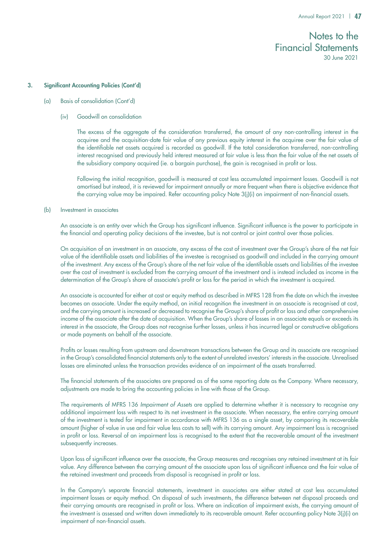### 3. Significant Accounting Policies (Cont'd)

- (a) Basis of consolidation (Cont'd)
	- (iv) Goodwill on consolidation

The excess of the aggregate of the consideration transferred, the amount of any non-controlling interest in the acquiree and the acquisition-date fair value of any previous equity interest in the acquiree over the fair value of the identifiable net assets acquired is recorded as goodwill. If the total consideration transferred, non-controlling interest recognised and previously held interest measured at fair value is less than the fair value of the net assets of the subsidiary company acquired (ie. a bargain purchase), the gain is recognised in profit or loss.

Following the initial recognition, goodwill is measured at cost less accumulated impairment losses. Goodwill is not amortised but instead, it is reviewed for impairment annually or more frequent when there is objective evidence that the carrying value may be impaired. Refer accounting policy Note 3(j)(i) on impairment of non-financial assets.

### (b) Investment in associates

An associate is an entity over which the Group has significant influence. Significant influence is the power to participate in the financial and operating policy decisions of the investee, but is not control or joint control over those policies.

On acquisition of an investment in an associate, any excess of the cost of investment over the Group's share of the net fair value of the identifiable assets and liabilities of the investee is recognised as goodwill and included in the carrying amount of the investment. Any excess of the Group's share of the net fair value of the identifiable assets and liabilities of the investee over the cost of investment is excluded from the carrying amount of the investment and is instead included as income in the determination of the Group's share of associate's profit or loss for the period in which the investment is acquired.

An associate is accounted for either at cost or equity method as described in MFRS 128 from the date on which the investee becomes an associate. Under the equity method, on initial recognition the investment in an associate is recognised at cost, and the carrying amount is increased or decreased to recognise the Group's share of profit or loss and other comprehensive income of the associate after the date of acquisition. When the Group's share of losses in an associate equals or exceeds its interest in the associate, the Group does not recognise further losses, unless it has incurred legal or constructive obligations or made payments on behalf of the associate.

Profits or losses resulting from upstream and downstream transactions between the Group and its associate are recognised in the Group's consolidated financial statements only to the extent of unrelated investors' interests in the associate. Unrealised losses are eliminated unless the transaction provides evidence of an impairment of the assets transferred.

The financial statements of the associates are prepared as of the same reporting date as the Company. Where necessary, adjustments are made to bring the accounting policies in line with those of the Group.

The requirements of MFRS 136 *Impairment of Assets* are applied to determine whether it is necessary to recognise any additional impairment loss with respect to its net investment in the associate. When necessary, the entire carrying amount of the investment is tested for impairment in accordance with MFRS 136 as a single asset, by comparing its recoverable amount (higher of value in use and fair value less costs to sell) with its carrying amount. Any impairment loss is recognised in profit or loss. Reversal of an impairment loss is recognised to the extent that the recoverable amount of the investment subsequently increases.

Upon loss of significant influence over the associate, the Group measures and recognises any retained investment at its fair value. Any difference between the carrying amount of the associate upon loss of significant influence and the fair value of the retained investment and proceeds from disposal is recognised in profit or loss.

In the Company's separate financial statements, investment in associates are either stated at cost less accumulated impairment losses or equity method. On disposal of such investments, the difference between net disposal proceeds and their carrying amounts are recognised in profit or loss. Where an indication of impairment exists, the carrying amount of the investment is assessed and written down immediately to its recoverable amount. Refer accounting policy Note 3(j)(i) on impairment of non-financial assets.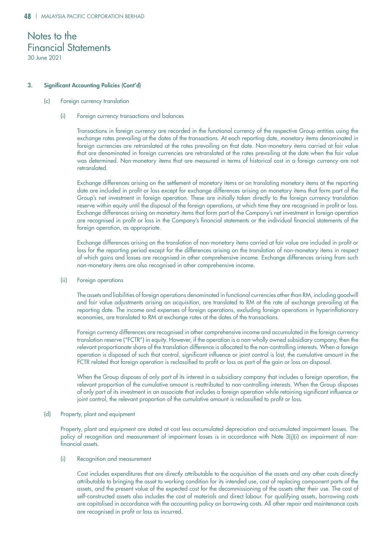### 3. Significant Accounting Policies (Cont'd)

(c) Foreign currency translation

### (i) Foreign currency transactions and balances

Transactions in foreign currency are recorded in the functional currency of the respective Group entities using the exchange rates prevailing at the dates of the transactions. At each reporting date, monetary items denominated in foreign currencies are retranslated at the rates prevailing on that date. Non-monetary items carried at fair value that are denominated in foreign currencies are retranslated at the rates prevailing at the date when the fair value was determined. Non-monetary items that are measured in terms of historical cost in a foreign currency are not retranslated.

Exchange differences arising on the settlement of monetary items or on translating monetary items at the reporting date are included in profit or loss except for exchange differences arising on monetary items that form part of the Group's net investment in foreign operation. These are initially taken directly to the foreign currency translation reserve within equity until the disposal of the foreign operations, at which time they are recognised in profit or loss. Exchange differences arising on monetary items that form part of the Company's net investment in foreign operation are recognised in profit or loss in the Company's financial statements or the individual financial statements of the foreign operation, as appropriate.

Exchange differences arising on the translation of non-monetary items carried at fair value are included in profit or loss for the reporting period except for the differences arising on the translation of non-monetary items in respect of which gains and losses are recognised in other comprehensive income. Exchange differences arising from such non-monetary items are also recognised in other comprehensive income.

(ii) Foreign operations

The assets and liabilities of foreign operations denominated in functional currencies other than RM, including goodwill and fair value adjustments arising on acquisition, are translated to RM at the rate of exchange prevailing at the reporting date. The income and expenses of foreign operations, excluding foreign operations in hyperinflationary economies, are translated to RM at exchange rates at the dates of the transactions.

Foreign currency differences are recognised in other comprehensive income and accumulated in the foreign currency translation reserve ("FCTR") in equity. However, if the operation is a non-wholly owned subsidiary company, then the relevant proportionate share of the translation difference is allocated to the non-controlling interests. When a foreign operation is disposed of such that control, significant influence or joint control is lost, the cumulative amount in the FCTR related that foreign operation is reclassified to profit or loss as part of the gain or loss on disposal.

When the Group disposes of only part of its interest in a subsidiary company that includes a foreign operation, the relevant proportion of the cumulative amount is reattributed to non-controlling interests. When the Group disposes of only part of its investment in an associate that includes a foreign operation while retaining significant influence or joint control, the relevant proportion of the cumulative amount is reclassified to profit or loss.

### (d) Property, plant and equipment

Property, plant and equipment are stated at cost less accumulated depreciation and accumulated impairment losses. The policy of recognition and measurement of impairment losses is in accordance with Note 3(j)(i) on impairment of nonfinancial assets.

(i) Recognition and measurement

Cost includes expenditures that are directly attributable to the acquisition of the assets and any other costs directly attributable to bringing the asset to working condition for its intended use, cost of replacing component parts of the assets, and the present value of the expected cost for the decommissioning of the assets after their use. The cost of self-constructed assets also includes the cost of materials and direct labour. For qualifying assets, borrowing costs are capitalised in accordance with the accounting policy on borrowing costs. All other repair and maintenance costs are recognised in profit or loss as incurred.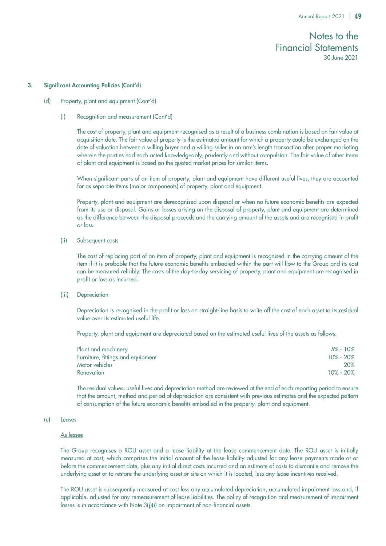#### 3. Significant Accounting Policies (Cont'd)

- (d) Property, plant and equipment (Cont'd)
	- (i) Recognition and measurement (Cont'd)

The cost of property, plant and equipment recognised as a result of a business combination is based on fair value at acquisition date. The fair value of property is the estimated amount for which a property could be exchanged on the date of valuation between a willing buyer and a willing seller in an arm's length transaction after proper marketing wherein the parties had each acted knowledgeably, prudently and without compulsion. The fair value of other items of plant and equipment is based on the quoted market prices for similar items.

When significant parts of an item of property, plant and equipment have different useful lives, they are accounted for as separate items (major components) of property, plant and equipment.

Property, plant and equipment are derecognised upon disposal or when no future economic benefits are expected from its use or disposal. Gains or losses arising on the disposal of property, plant and equipment are determined as the difference between the disposal proceeds and the carrying amount of the assets and are recognised in profit or loss.

(ii) Subsequent costs

The cost of replacing part of an item of property, plant and equipment is recognised in the carrying amount of the item if it is probable that the future economic benefits embodied within the part will flow to the Group and its cost can be measured reliably. The costs of the day-to-day servicing of property, plant and equipment are recognised in profit or loss as incurred.

(iii) Depreciation

Depreciation is recognised in the profit or loss on straight-line basis to write off the cost of each asset to its residual value over its estimated useful life.

Property, plant and equipment are depreciated based on the estimated useful lives of the assets as follows:

| $5\% - 10\%$ |
|--------------|
| 10% - 20%    |
| 20%          |
| 10% - 20%    |
|              |

The residual values, useful lives and depreciation method are reviewed at the end of each reporting period to ensure that the amount, method and period of depreciation are consistent with previous estimates and the expected pattern of consumption of the future economic benefits embodied in the property, plant and equipment.

### (e) Leases

### As lessee

The Group recognises a ROU asset and a lease liability at the lease commencement date. The ROU asset is initially measured at cost, which comprises the initial amount of the lease liability adjusted for any lease payments made at or before the commencement date, plus any initial direct costs incurred and an estimate of costs to dismantle and remove the underlying asset or to restore the underlying asset or site on which it is located, less any lease incentives received.

The ROU asset is subsequently measured at cost less any accumulated depreciation, accumulated impairment loss and, if applicable, adjusted for any remeasurement of lease liabilities. The policy of recognition and measurement of impairment losses is in accordance with Note 3(j)(i) on impairment of non-financial assets.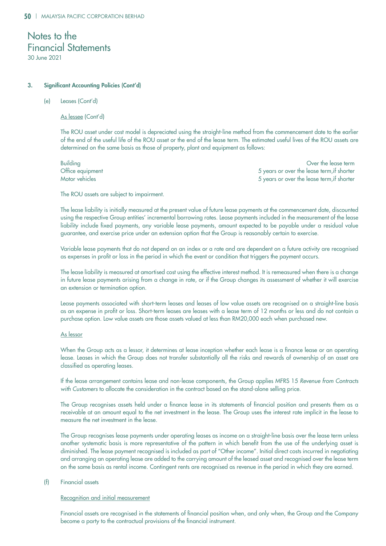### 3. Significant Accounting Policies (Cont'd)

### (e) Leases (Cont'd)

As lessee (Cont'd)

The ROU asset under cost model is depreciated using the straight-line method from the commencement date to the earlier of the end of the useful life of the ROU asset or the end of the lease term. The estimated useful lives of the ROU assets are determined on the same basis as those of property, plant and equipment as follows:

Building Over the lease term Office equipment 5 years or over the lease term,if shorter Motor vehicles 5 years or over the lease term,if shorter

The ROU assets are subject to impairment.

The lease liability is initially measured at the present value of future lease payments at the commencement date, discounted using the respective Group entities' incremental borrowing rates. Lease payments included in the measurement of the lease liability include fixed payments, any variable lease payments, amount expected to be payable under a residual value guarantee, and exercise price under an extension option that the Group is reasonably certain to exercise.

Variable lease payments that do not depend on an index or a rate and are dependent on a future activity are recognised as expenses in profit or loss in the period in which the event or condition that triggers the payment occurs.

The lease liability is measured at amortised cost using the effective interest method. It is remeasured when there is a change in future lease payments arising from a change in rate, or if the Group changes its assessment of whether it will exercise an extension or termination option.

Lease payments associated with short-term leases and leases of low value assets are recognised on a straight-line basis as an expense in profit or loss. Short-term leases are leases with a lease term of 12 months or less and do not contain a purchase option. Low value assets are those assets valued at less than RM20,000 each when purchased new.

### As lessor

When the Group acts as a lessor, it determines at lease inception whether each lease is a finance lease or an operating lease. Leases in which the Group does not transfer substantially all the risks and rewards of ownership of an asset are classified as operating leases.

If the lease arrangement contains lease and non-lease components, the Group applies MFRS 15 *Revenue from Contracts*  with Customers to allocate the consideration in the contract based on the stand-alone selling price.

The Group recognises assets held under a finance lease in its statements of financial position and presents them as a receivable at an amount equal to the net investment in the lease. The Group uses the interest rate implicit in the lease to measure the net investment in the lease.

The Group recognises lease payments under operating leases as income on a straight-line basis over the lease term unless another systematic basis is more representative of the pattern in which benefit from the use of the underlying asset is diminished. The lease payment recognised is included as part of "Other income". Initial direct costs incurred in negotiating and arranging an operating lease are added to the carrying amount of the leased asset and recognised over the lease term on the same basis as rental income. Contingent rents are recognised as revenue in the period in which they are earned.

### (f) Financial assets

### Recognition and initial measurement

Financial assets are recognised in the statements of financial position when, and only when, the Group and the Company become a party to the contractual provisions of the financial instrument.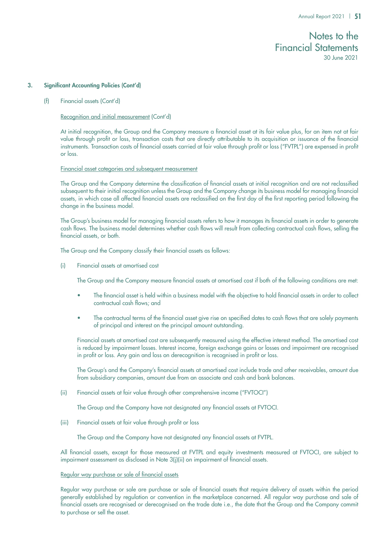### 3. Significant Accounting Policies (Cont'd)

(f) Financial assets (Cont'd)

### Recognition and initial measurement (Cont'd)

At initial recognition, the Group and the Company measure a financial asset at its fair value plus, for an item not at fair value through profit or loss, transaction costs that are directly attributable to its acquisition or issuance of the financial instruments. Transaction costs of financial assets carried at fair value through profit or loss ("FVTPL") are expensed in profit or loss.

### Financial asset categories and subsequent measurement

The Group and the Company determine the classification of financial assets at initial recognition and are not reclassified subsequent to their initial recognition unless the Group and the Company change its business model for managing financial assets, in which case all affected financial assets are reclassified on the first day of the first reporting period following the change in the business model.

The Group's business model for managing financial assets refers to how it manages its financial assets in order to generate cash flows. The business model determines whether cash flows will result from collecting contractual cash flows, selling the financial assets, or both.

The Group and the Company classify their financial assets as follows:

(i) Financial assets at amortised cost

The Group and the Company measure financial assets at amortised cost if both of the following conditions are met:

- The financial asset is held within a business model with the objective to hold financial assets in order to collect contractual cash flows; and
- The contractual terms of the financial asset give rise on specified dates to cash flows that are solely payments of principal and interest on the principal amount outstanding.

Financial assets at amortised cost are subsequently measured using the effective interest method. The amortised cost is reduced by impairment losses. Interest income, foreign exchange gains or losses and impairment are recognised in profit or loss. Any gain and loss on derecognition is recognised in profit or loss.

The Group's and the Company's financial assets at amortised cost include trade and other receivables, amount due from subsidiary companies, amount due from an associate and cash and bank balances.

### (ii) Financial assets at fair value through other comprehensive income ("FVTOCI")

The Group and the Company have not designated any financial assets at FVTOCI.

(iii) Financial assets at fair value through profit or loss

The Group and the Company have not designated any financial assets at FVTPL.

All financial assets, except for those measured at FVTPL and equity investments measured at FVTOCI, are subject to impairment assessment as disclosed in Note 3(j)(ii) on impairment of financial assets.

### Regular way purchase or sale of financial assets

Regular way purchase or sale are purchase or sale of financial assets that require delivery of assets within the period generally established by regulation or convention in the marketplace concerned. All regular way purchase and sale of financial assets are recognised or derecognised on the trade date i.e., the date that the Group and the Company commit to purchase or sell the asset.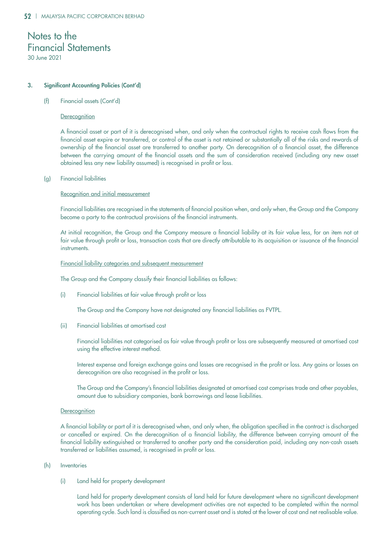### 3. Significant Accounting Policies (Cont'd)

(f) Financial assets (Cont'd)

### **Derecognition**

A financial asset or part of it is derecognised when, and only when the contractual rights to receive cash flows from the financial asset expire or transferred, or control of the asset is not retained or substantially all of the risks and rewards of ownership of the financial asset are transferred to another party. On derecognition of a financial asset, the difference between the carrying amount of the financial assets and the sum of consideration received (including any new asset obtained less any new liability assumed) is recognised in profit or loss.

### (g) Financial liabilities

### Recognition and initial measurement

Financial liabilities are recognised in the statements of financial position when, and only when, the Group and the Company become a party to the contractual provisions of the financial instruments.

At initial recognition, the Group and the Company measure a financial liability at its fair value less, for an item not at fair value through profit or loss, transaction costs that are directly attributable to its acquisition or issuance of the financial instruments.

### Financial liability categories and subsequent measurement

The Group and the Company classify their financial liabilities as follows:

(i) Financial liabilities at fair value through profit or loss

The Group and the Company have not designated any financial liabilities as FVTPL.

(ii) Financial liabilities at amortised cost

Financial liabilities not categorised as fair value through profit or loss are subsequently measured at amortised cost using the effective interest method.

Interest expense and foreign exchange gains and losses are recognised in the profit or loss. Any gains or losses on derecognition are also recognised in the profit or loss.

The Group and the Company's financial liabilities designated at amortised cost comprises trade and other payables, amount due to subsidiary companies, bank borrowings and lease liabilities.

### **Derecognition**

A financial liability or part of it is derecognised when, and only when, the obligation specified in the contract is discharged or cancelled or expired. On the derecognition of a financial liability, the difference between carrying amount of the financial liability extinguished or transferred to another party and the consideration paid, including any non-cash assets transferred or liabilities assumed, is recognised in profit or loss.

### (h) Inventories

(i) Land held for property development

Land held for property development consists of land held for future development where no significant development work has been undertaken or where development activities are not expected to be completed within the normal operating cycle. Such land is classified as non-current asset and is stated at the lower of cost and net realisable value.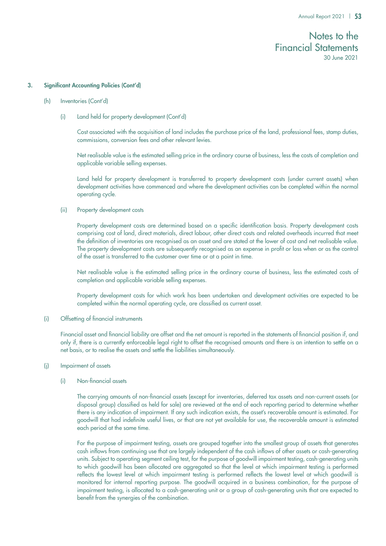### 3. Significant Accounting Policies (Cont'd)

- (h) Inventories (Cont'd)
	- (i) Land held for property development (Cont'd)

Cost associated with the acquisition of land includes the purchase price of the land, professional fees, stamp duties, commissions, conversion fees and other relevant levies.

Net realisable value is the estimated selling price in the ordinary course of business, less the costs of completion and applicable variable selling expenses.

Land held for property development is transferred to property development costs (under current assets) when development activities have commenced and where the development activities can be completed within the normal operating cycle.

(ii) Property development costs

Property development costs are determined based on a specific identification basis. Property development costs comprising cost of land, direct materials, direct labour, other direct costs and related overheads incurred that meet the definition of inventories are recognised as an asset and are stated at the lower of cost and net realisable value. The property development costs are subsequently recognised as an expense in profit or loss when or as the control of the asset is transferred to the customer over time or at a point in time.

Net realisable value is the estimated selling price in the ordinary course of business, less the estimated costs of completion and applicable variable selling expenses.

Property development costs for which work has been undertaken and development activities are expected to be completed within the normal operating cycle, are classified as current asset.

(i) Offsetting of financial instruments

Financial asset and financial liability are offset and the net amount is reported in the statements of financial position if, and only if, there is a currently enforceable legal right to offset the recognised amounts and there is an intention to settle on a net basis, or to realise the assets and settle the liabilities simultaneously.

(j) Impairment of assets

### (i) Non-financial assets

The carrying amounts of non-financial assets (except for inventories, deferred tax assets and non-current assets (or disposal group) classified as held for sale) are reviewed at the end of each reporting period to determine whether there is any indication of impairment. If any such indication exists, the asset's recoverable amount is estimated. For goodwill that had indefinite useful lives, or that are not yet available for use, the recoverable amount is estimated each period at the same time.

For the purpose of impairment testing, assets are grouped together into the smallest group of assets that generates cash inflows from continuing use that are largely independent of the cash inflows of other assets or cash-generating units. Subject to operating segment ceiling test, for the purpose of goodwill impairment testing, cash-generating units to which goodwill has been allocated are aggregated so that the level at which impairment testing is performed reflects the lowest level at which impairment testing is performed reflects the lowest level at which goodwill is monitored for internal reporting purpose. The goodwill acquired in a business combination, for the purpose of impairment testing, is allocated to a cash-generating unit or a group of cash-generating units that are expected to benefit from the synergies of the combination.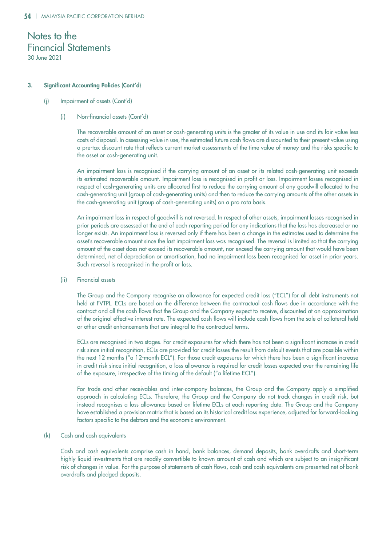### 3. Significant Accounting Policies (Cont'd)

### (j) Impairment of assets (Cont'd)

### (i) Non-financial assets (Cont'd)

The recoverable amount of an asset or cash-generating units is the greater of its value in use and its fair value less costs of disposal. In assessing value in use, the estimated future cash flows are discounted to their present value using a pre-tax discount rate that reflects current market assessments of the time value of money and the risks specific to the asset or cash-generating unit.

An impairment loss is recognised if the carrying amount of an asset or its related cash-generating unit exceeds its estimated recoverable amount. Impairment loss is recognised in profit or loss. Impairment losses recognised in respect of cash-generating units are allocated first to reduce the carrying amount of any goodwill allocated to the cash-generating unit (group of cash-generating units) and then to reduce the carrying amounts of the other assets in the cash-generating unit (group of cash-generating units) on a pro rata basis.

An impairment loss in respect of goodwill is not reversed. In respect of other assets, impairment losses recognised in prior periods are assessed at the end of each reporting period for any indications that the loss has decreased or no longer exists. An impairment loss is reversed only if there has been a change in the estimates used to determine the asset's recoverable amount since the last impairment loss was recognised. The reversal is limited so that the carrying amount of the asset does not exceed its recoverable amount, nor exceed the carrying amount that would have been determined, net of depreciation or amortisation, had no impairment loss been recognised for asset in prior years. Such reversal is recognised in the profit or loss.

### (ii) Financial assets

The Group and the Company recognise an allowance for expected credit loss ("ECL") for all debt instruments not held at FVTPL. ECLs are based on the difference between the contractual cash flows due in accordance with the contract and all the cash flows that the Group and the Company expect to receive, discounted at an approximation of the original effective interest rate. The expected cash flows will include cash flows from the sale of collateral held or other credit enhancements that are integral to the contractual terms.

ECLs are recognised in two stages. For credit exposures for which there has not been a significant increase in credit risk since initial recognition, ECLs are provided for credit losses the result from default events that are possible within the next 12 months ("a 12-month ECL"). For those credit exposures for which there has been a significant increase in credit risk since initial recognition, a loss allowance is required for credit losses expected over the remaining life of the exposure, irrespective of the timing of the default ("a lifetime ECL").

For trade and other receivables and inter-company balances, the Group and the Company apply a simplified approach in calculating ECLs. Therefore, the Group and the Company do not track changes in credit risk, but instead recognises a loss allowance based on lifetime ECLs at each reporting date. The Group and the Company have established a provision matrix that is based on its historical credit loss experience, adjusted for forward-looking factors specific to the debtors and the economic environment.

### (k) Cash and cash equivalents

Cash and cash equivalents comprise cash in hand, bank balances, demand deposits, bank overdrafts and short-term highly liquid investments that are readily convertible to known amount of cash and which are subject to an insignificant risk of changes in value. For the purpose of statements of cash flows, cash and cash equivalents are presented net of bank overdrafts and pledged deposits.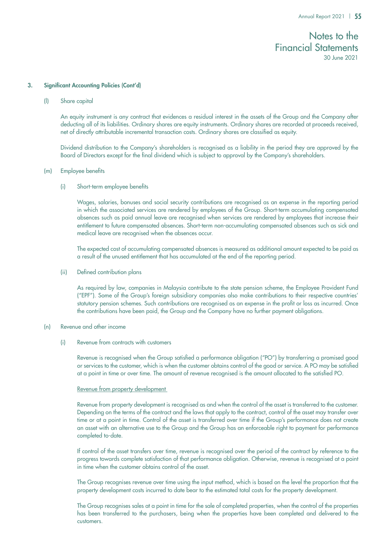### 3. Significant Accounting Policies (Cont'd)

(l) Share capital

An equity instrument is any contract that evidences a residual interest in the assets of the Group and the Company after deducting all of its liabilities. Ordinary shares are equity instruments. Ordinary shares are recorded at proceeds received, net of directly attributable incremental transaction costs. Ordinary shares are classified as equity.

Dividend distribution to the Company's shareholders is recognised as a liability in the period they are approved by the Board of Directors except for the final dividend which is subject to approval by the Company's shareholders.

### (m) Employee benefits

(i) Short-term employee benefits

Wages, salaries, bonuses and social security contributions are recognised as an expense in the reporting period in which the associated services are rendered by employees of the Group. Short-term accumulating compensated absences such as paid annual leave are recognised when services are rendered by employees that increase their entitlement to future compensated absences. Short-term non-accumulating compensated absences such as sick and medical leave are recognised when the absences occur.

The expected cost of accumulating compensated absences is measured as additional amount expected to be paid as a result of the unused entitlement that has accumulated at the end of the reporting period.

(ii) Defined contribution plans

As required by law, companies in Malaysia contribute to the state pension scheme, the Employee Provident Fund ("EPF"). Some of the Group's foreign subsidiary companies also make contributions to their respective countries' statutory pension schemes. Such contributions are recognised as an expense in the profit or loss as incurred. Once the contributions have been paid, the Group and the Company have no further payment obligations.

### (n) Revenue and other income

(i) Revenue from contracts with customers

Revenue is recognised when the Group satisfied a performance obligation ("PO") by transferring a promised good or services to the customer, which is when the customer obtains control of the good or service. A PO may be satisfied at a point in time or over time. The amount of revenue recognised is the amount allocated to the satisfied PO.

### Revenue from property development

Revenue from property development is recognised as and when the control of the asset is transferred to the customer. Depending on the terms of the contract and the laws that apply to the contract, control of the asset may transfer over time or at a point in time. Control of the asset is transferred over time if the Group's performance does not create an asset with an alternative use to the Group and the Group has an enforceable right to payment for performance completed to-date.

If control of the asset transfers over time, revenue is recognised over the period of the contract by reference to the progress towards complete satisfaction of that performance obligation. Otherwise, revenue is recognised at a point in time when the customer obtains control of the asset.

The Group recognises revenue over time using the input method, which is based on the level the proportion that the property development costs incurred to date bear to the estimated total costs for the property development.

The Group recognises sales at a point in time for the sale of completed properties, when the control of the properties has been transferred to the purchasers, being when the properties have been completed and delivered to the customers.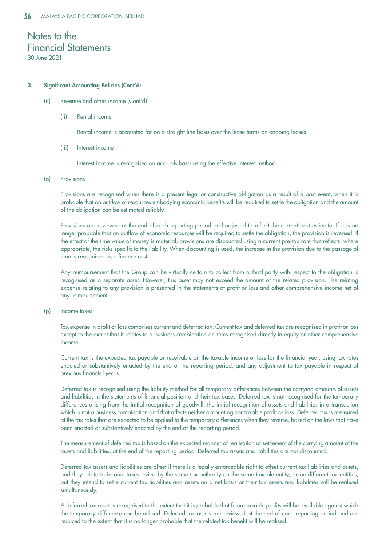### 3. Significant Accounting Policies (Cont'd)

- (n) Revenue and other income (Cont'd)
	- (ii) Rental income

Rental income is accounted for on a straight-line basis over the lease terms on ongoing leases.

(iii) Interest income

Interest income is recognised on accruals basis using the effective interest method.

(o) Provisions

Provisions are recognised when there is a present legal or constructive obligation as a result of a past event, when it is probable that an outflow of resources embodying economic benefits will be required to settle the obligation and the amount of the obligation can be estimated reliably.

Provisions are reviewed at the end of each reporting period and adjusted to reflect the current best estimate. If it is no longer probable that an outflow of economic resources will be required to settle the obligation, the provision is reversed. If the effect of the time value of money is material, provisions are discounted using a current pre-tax rate that reflects, where appropriate, the risks specific to the liability. When discounting is used, the increase in the provision due to the passage of time is recognised as a finance cost.

Any reimbursement that the Group can be virtually certain to collect from a third party with respect to the obligation is recognised as a separate asset. However, this asset may not exceed the amount of the related provision. The relating expense relating to any provision is presented in the statements of profit or loss and other comprehensive income net of any reimbursement.

(p) Income taxes

Tax expense in profit or loss comprises current and deferred tax. Current tax and deferred tax are recognised in profit or loss except to the extent that it relates to a business combination or items recognised directly in equity or other comprehensive income.

Current tax is the expected tax payable or receivable on the taxable income or loss for the financial year, using tax rates enacted or substantively enacted by the end of the reporting period, and any adjustment to tax payable in respect of previous financial years.

Deferred tax is recognised using the liability method for all temporary differences between the carrying amounts of assets and liabilities in the statements of financial position and their tax bases. Deferred tax is not recognised for the temporary differences arising from the initial recognition of goodwill, the initial recognition of assets and liabilities in a transaction which is not a business combination and that affects neither accounting nor taxable profit or loss. Deferred tax is measured at the tax rates that are expected to be applied to the temporary differences when they reverse, based on the laws that have been enacted or substantively enacted by the end of the reporting period.

The measurement of deferred tax is based on the expected manner of realisation or settlement of the carrying amount of the assets and liabilities, at the end of the reporting period. Deferred tax assets and liabilities are not discounted.

Deferred tax assets and liabilities are offset if there is a legally enforceable right to offset current tax liabilities and assets, and they relate to income taxes levied by the same tax authority on the same taxable entity, or on different tax entities, but they intend to settle current tax liabilities and assets on a net basis or their tax assets and liabilities will be realised simultaneously.

A deferred tax asset is recognised to the extent that it is probable that future taxable profits will be available against which the temporary difference can be utilised. Deferred tax assets are reviewed at the end of each reporting period and are reduced to the extent that it is no longer probable that the related tax benefit will be realised.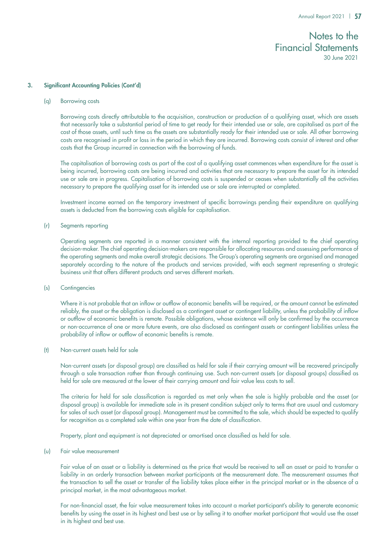### 3. Significant Accounting Policies (Cont'd)

### (q) Borrowing costs

Borrowing costs directly attributable to the acquisition, construction or production of a qualifying asset, which are assets that necessarily take a substantial period of time to get ready for their intended use or sale, are capitalised as part of the cost of those assets, until such time as the assets are substantially ready for their intended use or sale. All other borrowing costs are recognised in profit or loss in the period in which they are incurred. Borrowing costs consist of interest and other costs that the Group incurred in connection with the borrowing of funds.

The capitalisation of borrowing costs as part of the cost of a qualifying asset commences when expenditure for the asset is being incurred, borrowing costs are being incurred and activities that are necessary to prepare the asset for its intended use or sale are in progress. Capitalisation of borrowing costs is suspended or ceases when substantially all the activities necessary to prepare the qualifying asset for its intended use or sale are interrupted or completed.

Investment income earned on the temporary investment of specific borrowings pending their expenditure on qualifying assets is deducted from the borrowing costs eligible for capitalisation.

### (r) Segments reporting

Operating segments are reported in a manner consistent with the internal reporting provided to the chief operating decision-maker. The chief operating decision-makers are responsible for allocating resources and assessing performance of the operating segments and make overall strategic decisions. The Group's operating segments are organised and managed separately according to the nature of the products and services provided, with each segment representing a strategic business unit that offers different products and serves different markets.

### (s) Contingencies

Where it is not probable that an inflow or outflow of economic benefits will be required, or the amount cannot be estimated reliably, the asset or the obligation is disclosed as a contingent asset or contingent liability, unless the probability of inflow or outflow of economic benefits is remote. Possible obligations, whose existence will only be confirmed by the occurrence or non-occurrence of one or more future events, are also disclosed as contingent assets or contingent liabilities unless the probability of inflow or outflow of economic benefits is remote.

### (t) Non-current assets held for sale

Non-current assets (or disposal group) are classified as held for sale if their carrying amount will be recovered principally through a sale transaction rather than through continuing use. Such non-current assets (or disposal groups) classified as held for sale are measured at the lower of their carrying amount and fair value less costs to sell.

The criteria for held for sale classification is regarded as met only when the sale is highly probable and the asset (or disposal group) is available for immediate sale in its present condition subject only to terms that are usual and customary for sales of such asset (or disposal group). Management must be committed to the sale, which should be expected to qualify for recognition as a completed sale within one year from the date of classification.

Property, plant and equipment is not depreciated or amortised once classified as held for sale.

### (u) Fair value measurement

Fair value of an asset or a liability is determined as the price that would be received to sell an asset or paid to transfer a liability in an orderly transaction between market participants at the measurement date. The measurement assumes that the transaction to sell the asset or transfer of the liability takes place either in the principal market or in the absence of a principal market, in the most advantageous market.

For non-financial asset, the fair value measurement takes into account a market participant's ability to generate economic benefits by using the asset in its highest and best use or by selling it to another market participant that would use the asset in its highest and best use.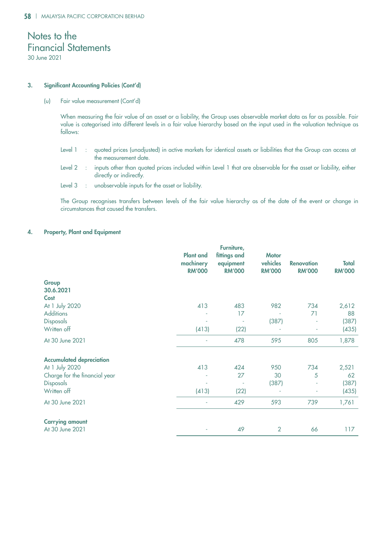### 3. Significant Accounting Policies (Cont'd)

(u) Fair value measurement (Cont'd)

When measuring the fair value of an asset or a liability, the Group uses observable market data as far as possible. Fair value is categorised into different levels in a fair value hierarchy based on the input used in the valuation technique as follows:

- Level 1 : quoted prices (unadjusted) in active markets for identical assets or liabilities that the Group can access at the measurement date.
- Level 2 : inputs other than quoted prices included within Level 1 that are observable for the asset or liability, either directly or indirectly.
- Level 3 : unobservable inputs for the asset or liability.

The Group recognises transfers between levels of the fair value hierarchy as of the date of the event or change in circumstances that caused the transfers.

### 4. Property, Plant and Equipment

|                                 | <b>Plant and</b><br>machinery<br><b>RM'000</b> | Furniture,<br>fittings and<br>equipment<br><b>RM'000</b> | <b>Motor</b><br>vehicles<br><b>RM'000</b> | <b>Renovation</b><br><b>RM'000</b> | <b>Total</b><br><b>RM'000</b> |
|---------------------------------|------------------------------------------------|----------------------------------------------------------|-------------------------------------------|------------------------------------|-------------------------------|
| Group                           |                                                |                                                          |                                           |                                    |                               |
| 30.6.2021                       |                                                |                                                          |                                           |                                    |                               |
| Cost                            |                                                |                                                          |                                           |                                    |                               |
| At 1 July 2020                  | 413                                            | 483                                                      | 982                                       | 734                                | 2,612                         |
| <b>Additions</b>                |                                                | 17                                                       |                                           | 71                                 | 88                            |
| Disposals                       |                                                |                                                          | (387)                                     |                                    | (387)                         |
| Written off                     | (413)                                          | (22)                                                     |                                           |                                    | (435)                         |
| At 30 June 2021                 |                                                | 478                                                      | 595                                       | 805                                | 1,878                         |
| <b>Accumulated depreciation</b> |                                                |                                                          |                                           |                                    |                               |
| At 1 July 2020                  | 413                                            | 424                                                      | 950                                       | 734                                | 2,521                         |
| Charge for the financial year   |                                                | 27                                                       | 30                                        | 5                                  | 62                            |
| Disposals                       |                                                | ÷                                                        | (387)                                     |                                    | (387)                         |
| Written off                     | (413)                                          | (22)                                                     |                                           |                                    | (435)                         |
| At 30 June 2021                 |                                                | 429                                                      | 593                                       | 739                                | 1,761                         |
| <b>Carrying amount</b>          |                                                |                                                          |                                           |                                    |                               |
| At 30 June 2021                 | ÷                                              | 49                                                       | 2                                         | 66                                 | 117                           |
|                                 |                                                |                                                          |                                           |                                    |                               |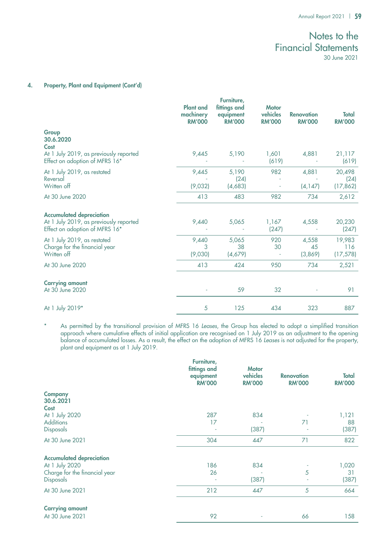### 4. Property, Plant and Equipment (Cont'd)

|                                                                                                             | <b>Plant and</b><br>machinery<br><b>RM'000</b> | Furniture,<br>fittings and<br>equipment<br><b>RM'000</b> | <b>Motor</b><br>vehicles<br><b>RM'000</b> | <b>Renovation</b><br><b>RM'000</b> | <b>Total</b><br><b>RM'000</b> |
|-------------------------------------------------------------------------------------------------------------|------------------------------------------------|----------------------------------------------------------|-------------------------------------------|------------------------------------|-------------------------------|
| Group<br>30.6.2020<br>Cost<br>At 1 July 2019, as previously reported                                        | 9,445                                          | 5,190                                                    | 1,601                                     | 4,881                              | 21,117                        |
| Effect on adoption of MFRS 16*                                                                              |                                                |                                                          | (619)                                     |                                    | (619)                         |
| At 1 July 2019, as restated<br>Reversal<br>Written off                                                      | 9,445<br>(9,032)                               | 5,190<br>(24)<br>(4,683)                                 | 982<br>$\overline{\phantom{a}}$           | 4,881<br>(4, 147)                  | 20,498<br>(24)<br>(17, 862)   |
| At 30 June 2020                                                                                             | 413                                            | 483                                                      | 982                                       | 734                                | 2,612                         |
| <b>Accumulated depreciation</b><br>At 1 July 2019, as previously reported<br>Effect on adoption of MFRS 16* | 9,440                                          | 5,065                                                    | 1,167<br>(247)                            | 4,558                              | 20,230<br>(247)               |
| At 1 July 2019, as restated<br>Charge for the financial year<br>Written off                                 | 9,440<br>3<br>(9,030)                          | 5,065<br>38<br>(4,679)                                   | 920<br>30<br>$\overline{\phantom{a}}$     | 4,558<br>45<br>(3,869)             | 19,983<br>116<br>(17, 578)    |
| At 30 June 2020                                                                                             | 413                                            | 424                                                      | 950                                       | 734                                | 2,521                         |
| <b>Carrying amount</b><br>At 30 June 2020                                                                   |                                                | 59                                                       | 32                                        |                                    | 91                            |
| At 1 July 2019*                                                                                             | 5                                              | 125                                                      | 434                                       | 323                                | 887                           |

\* As permitted by the transitional provision of MFRS 16 Leases, the Group has elected to adopt a simplified transition approach where cumulative effects of initial application are recognised on 1 July 2019 as an adjustment to the opening balance of accumulated losses. As a result, the effect on the adoption of MFRS 16 Leases is not adjusted for the property, plant and equipment as at 1 July 2019.

|                                            | Furniture,<br>fittings and<br>equipment<br><b>RM'000</b> | <b>Motor</b><br>vehicles<br><b>RM'000</b> | <b>Renovation</b><br><b>RM'000</b> | <b>Total</b><br><b>RM'000</b> |
|--------------------------------------------|----------------------------------------------------------|-------------------------------------------|------------------------------------|-------------------------------|
| <b>Company</b><br>30.6.2021<br>Cost        |                                                          |                                           |                                    |                               |
| At 1 July 2020                             | 287                                                      | 834                                       |                                    | 1,121                         |
| <b>Additions</b>                           | 17                                                       |                                           | 71                                 | 88                            |
| Disposals                                  |                                                          | (387)                                     |                                    | (387)                         |
| At 30 June 2021                            | 304                                                      | 447                                       | 71                                 | 822                           |
| <b>Accumulated depreciation</b>            |                                                          |                                           |                                    |                               |
| At 1 July 2020                             | 186                                                      | 834                                       |                                    | 1,020                         |
| Charge for the financial year<br>Disposals | 26                                                       | (387)                                     | 5                                  | 31<br>(387)                   |
| At 30 June 2021                            | 212                                                      | 447                                       | 5                                  | 664                           |
| <b>Carrying amount</b>                     |                                                          |                                           |                                    |                               |
| At 30 June 2021                            | 92                                                       |                                           | 66                                 | 158                           |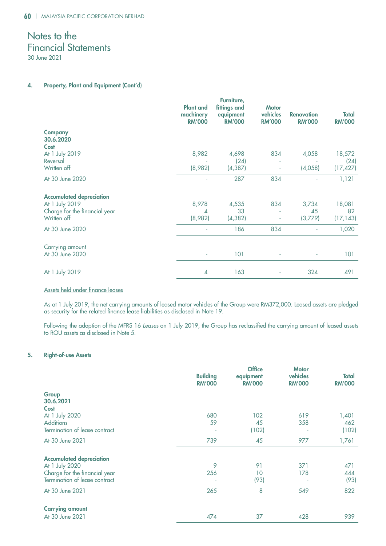### 4. Property, Plant and Equipment (Cont'd)

| <b>Plant and</b><br>machinery<br><b>RM'000</b> | Furniture,<br>fittings and<br>equipment<br><b>RM'000</b> | <b>Motor</b><br>vehicles<br><b>RM'000</b> | <b>Renovation</b><br><b>RM'000</b> | <b>Total</b><br><b>RM'000</b> |
|------------------------------------------------|----------------------------------------------------------|-------------------------------------------|------------------------------------|-------------------------------|
|                                                |                                                          |                                           |                                    |                               |
|                                                |                                                          |                                           |                                    |                               |
|                                                |                                                          |                                           |                                    |                               |
|                                                |                                                          |                                           |                                    | 18,572                        |
|                                                |                                                          |                                           |                                    | (24)                          |
|                                                |                                                          |                                           |                                    | (17, 427)                     |
|                                                | 287                                                      | 834                                       |                                    | 1,121                         |
|                                                |                                                          |                                           |                                    |                               |
| 8,978                                          | 4,535                                                    | 834                                       | 3,734                              | 18,081                        |
| 4                                              | 33                                                       | ٠                                         | 45                                 | 82                            |
| (8,982)                                        | (4, 382)                                                 |                                           | (3,779)                            | (17, 143)                     |
|                                                | 186                                                      | 834                                       |                                    | 1,020                         |
|                                                |                                                          |                                           |                                    |                               |
|                                                | 101                                                      |                                           |                                    | 101                           |
|                                                |                                                          |                                           |                                    | 491                           |
|                                                | 8,982<br>(8,982)<br>4                                    | 4,698<br>(24)<br>(4, 387)<br>163          | 834                                | 4,058<br>(4,058)<br>324       |

### Assets held under finance leases

As at 1 July 2019, the net carrying amounts of leased motor vehicles of the Group were RM372,000. Leased assets are pledged as security for the related finance lease liabilities as disclosed in Note 19.

Following the adoption of the MFRS 16 *Leases* on 1 July 2019, the Group has reclassified the carrying amount of leased assets to ROU assets as disclosed in Note 5.

### 5. Right-of-use Assets

|                                   | <b>Building</b><br><b>RM'000</b> | <b>Office</b><br>equipment<br><b>RM'000</b> | <b>Motor</b><br>vehicles<br><b>RM'000</b> | <b>Total</b><br><b>RM'000</b> |
|-----------------------------------|----------------------------------|---------------------------------------------|-------------------------------------------|-------------------------------|
| Group<br>30.6.2021<br><b>Cost</b> |                                  |                                             |                                           |                               |
| At 1 July 2020                    | 680                              | 102                                         | 619                                       | 1,401                         |
| <b>Additions</b>                  | 59                               | 45                                          | 358                                       | 462                           |
| Termination of lease contract     |                                  | (102)                                       |                                           | (102)                         |
| At 30 June 2021                   | 739                              | 45                                          | 977                                       | 1,761                         |
| <b>Accumulated depreciation</b>   |                                  |                                             |                                           |                               |
| At 1 July 2020                    | 9                                | 91                                          | 371                                       | 471                           |
| Charge for the financial year     | 256                              | 10                                          | 178                                       | 444                           |
| Termination of lease contract     |                                  | (93)                                        |                                           | (93)                          |
| At 30 June 2021                   | 265                              | 8                                           | 549                                       | 822                           |
| <b>Carrying amount</b>            |                                  |                                             |                                           |                               |
| At 30 June 2021                   | 474                              | 37                                          | 428                                       | 939                           |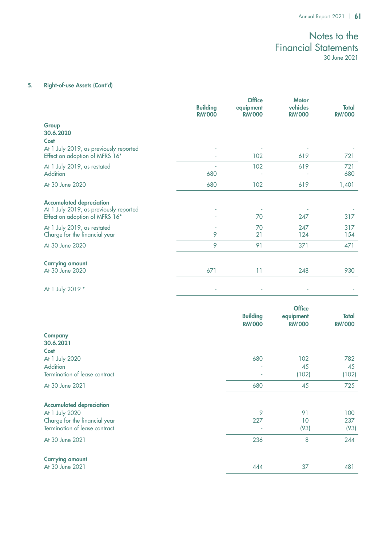### 5. Right-of-use Assets (Cont'd)

|                                                                                                             | <b>Building</b><br><b>RM'000</b> | <b>Office</b><br>equipment<br><b>RM'000</b> | <b>Motor</b><br>vehicles<br><b>RM'000</b> | Total<br><b>RM'000</b> |
|-------------------------------------------------------------------------------------------------------------|----------------------------------|---------------------------------------------|-------------------------------------------|------------------------|
| Group<br>30.6.2020<br>Cost                                                                                  |                                  |                                             |                                           |                        |
| At 1 July 2019, as previously reported<br>Effect on adoption of MFRS 16*                                    |                                  | 102                                         | 619                                       | 721                    |
| At 1 July 2019, as restated<br>Addition                                                                     | 680                              | 102                                         | 619                                       | 721<br>680             |
| At 30 June 2020                                                                                             | 680                              | 102                                         | 619                                       | 1,401                  |
| <b>Accumulated depreciation</b><br>At 1 July 2019, as previously reported<br>Effect on adoption of MFRS 16* |                                  | 70                                          | 247                                       | 317                    |
| At 1 July 2019, as restated<br>Charge for the financial year                                                | ÷<br>9                           | 70<br>21                                    | 247<br>124                                | 317<br>154             |
| At 30 June 2020                                                                                             | 9                                | 91                                          | 371                                       | 471                    |
| <b>Carrying amount</b><br>At 30 June 2020                                                                   | 671                              | 11                                          | 248                                       | 930                    |
| At 1 July 2019 *                                                                                            |                                  |                                             |                                           |                        |

|                                            | <b>Building</b><br><b>RM'000</b> | <b>Office</b><br>equipment<br><b>RM'000</b> | <b>Total</b><br><b>RM'000</b> |
|--------------------------------------------|----------------------------------|---------------------------------------------|-------------------------------|
| <b>Company</b><br>30.6.2021<br><b>Cost</b> |                                  |                                             |                               |
| At 1 July 2020                             | 680                              | 102                                         | 782                           |
| Addition                                   |                                  | 45                                          | 45                            |
| Termination of lease contract              |                                  | (102)                                       | (102)                         |
| At 30 June 2021                            | 680                              | 45                                          | 725                           |
| <b>Accumulated depreciation</b>            |                                  |                                             |                               |
| At 1 July 2020                             | 9                                | 91                                          | 100                           |
| Charge for the financial year              | 227                              | 10                                          | 237                           |
| Termination of lease contract              |                                  | (93)                                        | (93)                          |
| At 30 June 2021                            | 236                              | 8                                           | 244                           |
| <b>Carrying amount</b>                     |                                  |                                             |                               |
| At 30 June 2021                            | 444                              | 37                                          | 481                           |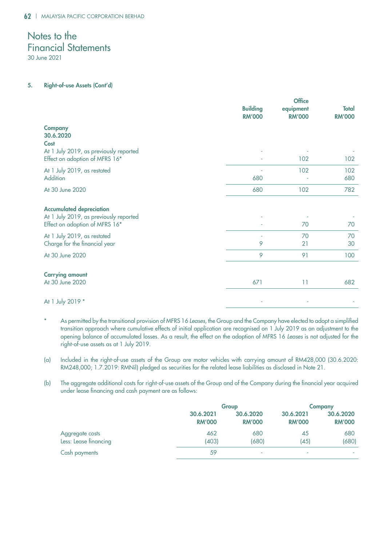30 June 2021

### 5. Right-of-use Assets (Cont'd)

|                                                                                                                 | <b>Building</b><br><b>RM'000</b> | <b>Office</b><br>equipment<br><b>RM'000</b> | <b>Total</b><br><b>RM'000</b> |
|-----------------------------------------------------------------------------------------------------------------|----------------------------------|---------------------------------------------|-------------------------------|
| <b>Company</b><br>30.6.2020<br>Cost<br>At 1 July 2019, as previously reported<br>Effect on adoption of MFRS 16* |                                  | 102                                         | 102                           |
| At 1 July 2019, as restated<br>Addition                                                                         | 680                              | 102                                         | 102<br>680                    |
| At 30 June 2020                                                                                                 | 680                              | 102                                         | 782                           |
| <b>Accumulated depreciation</b><br>At 1 July 2019, as previously reported<br>Effect on adoption of MFRS 16*     |                                  | 70                                          | 70                            |
| At 1 July 2019, as restated<br>Charge for the financial year                                                    | 9                                | 70<br>21                                    | 70<br>30                      |
| At 30 June 2020                                                                                                 | 9                                | 91                                          | 100                           |
| <b>Carrying amount</b><br>At 30 June 2020                                                                       | 671                              | 11                                          | 682                           |
| At 1 July 2019 *                                                                                                |                                  |                                             |                               |

- As permitted by the transitional provision of MFRS 16 Leases, the Group and the Company have elected to adopt a simplified transition approach where cumulative effects of initial application are recognised on 1 July 2019 as an adjustment to the opening balance of accumulated losses. As a result, the effect on the adoption of MFRS 16 Leases is not adjusted for the right-of-use assets as at 1 July 2019.
- (a) Included in the right-of-use assets of the Group are motor vehicles with carrying amount of RM428,000 (30.6.2020: RM248,000; 1.7.2019: RMNil) pledged as securities for the related lease liabilities as disclosed in Note 21.
- (b) The aggregate additional costs for right-of-use assets of the Group and of the Company during the financial year acquired under lease financing and cash payment are as follows:

|                       | Group                      |                            | <b>Company</b>             |                            |
|-----------------------|----------------------------|----------------------------|----------------------------|----------------------------|
|                       | 30.6.2021<br><b>RM'000</b> | 30.6.2020<br><b>RM'000</b> | 30.6.2021<br><b>RM'000</b> | 30.6.2020<br><b>RM'000</b> |
| Aggregate costs       | 462                        | 680                        | 45                         | 680                        |
| Less: Lease financing | (403)                      | (680)                      | (45)                       | (680)                      |
| Cash payments         | 59                         |                            | $\overline{\phantom{a}}$   |                            |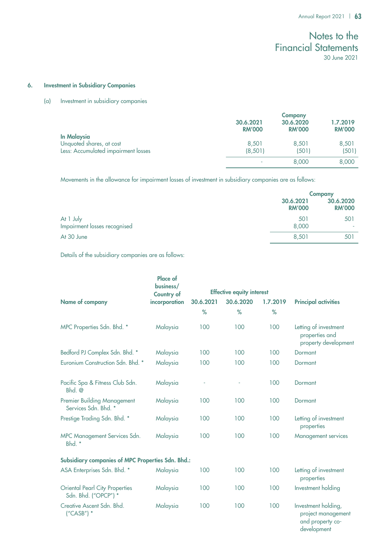### 6. Investment in Subsidiary Companies

### (a) Investment in subsidiary companies

|                                                | <b>Company</b>             |                            |                           |
|------------------------------------------------|----------------------------|----------------------------|---------------------------|
|                                                | 30.6.2021<br><b>RM'000</b> | 30.6.2020<br><b>RM'000</b> | 1.7.2019<br><b>RM'000</b> |
| <b>In Malaysia</b><br>Unquoted shares, at cost | 8,501                      | 8,501                      | 8,501                     |
| Less: Accumulated impairment losses            | (8, 501)                   | (501)                      | (501)                     |
|                                                | ۰                          | 8,000                      | 8,000                     |
|                                                |                            |                            |                           |

Movements in the allowance for impairment losses of investment in subsidiary companies are as follows:

|                                           |                            | <b>Company</b>             |  |
|-------------------------------------------|----------------------------|----------------------------|--|
|                                           | 30.6.2021<br><b>RM'000</b> | 30.6.2020<br><b>RM'000</b> |  |
| At 1 July<br>Impairment losses recognised | 501<br>8,000               | 501<br>٠                   |  |
|                                           |                            |                            |  |
| At 30 June                                | 8.501                      | 501                        |  |

Details of the subsidiary companies are as follows:

|                                                               | <b>Place of</b><br>business/<br><b>Country of</b> |           | <b>Effective equity interest</b> |          |                                                                              |
|---------------------------------------------------------------|---------------------------------------------------|-----------|----------------------------------|----------|------------------------------------------------------------------------------|
| Name of company                                               | incorporation                                     | 30.6.2021 | 30.6.2020                        | 1.7.2019 | <b>Principal activities</b>                                                  |
|                                                               |                                                   | $\%$      | %                                | %        |                                                                              |
| MPC Properties Sdn. Bhd. *                                    | Malaysia                                          | 100       | 100                              | 100      | Letting of investment<br>properties and<br>property development              |
| Bedford PJ Complex Sdn. Bhd. *                                | Malaysia                                          | 100       | 100                              | 100      | Dormant                                                                      |
| Euronium Construction Sdn. Bhd. *                             | Malaysia                                          | 100       | 100                              | 100      | Dormant                                                                      |
| Pacific Spa & Fitness Club Sdn.<br>$Bhd.$ @                   | Malaysia                                          |           |                                  | 100      | Dormant                                                                      |
| Premier Building Management<br>Services Sdn. Bhd. *           | Malaysia                                          | 100       | 100                              | 100      | Dormant                                                                      |
| Prestige Trading Sdn. Bhd. *                                  | Malaysia                                          | 100       | 100                              | 100      | Letting of investment<br>properties                                          |
| MPC Management Services Sdn.<br>Bhd. *                        | Malaysia                                          | 100       | 100                              | 100      | Management services                                                          |
| Subsidiary companies of MPC Properties Sdn. Bhd.:             |                                                   |           |                                  |          |                                                                              |
| ASA Enterprises Sdn. Bhd. *                                   | Malaysia                                          | 100       | 100                              | 100      | Letting of investment<br>properties                                          |
| <b>Oriental Pearl City Properties</b><br>Sdn. Bhd. ("OPCP") * | Malaysia                                          | 100       | 100                              | 100      | Investment holding                                                           |
| Creative Ascent Sdn. Bhd.<br>$(''CASB'')$ *                   | Malaysia                                          | 100       | 100                              | 100      | Investment holding,<br>project management<br>and property co-<br>development |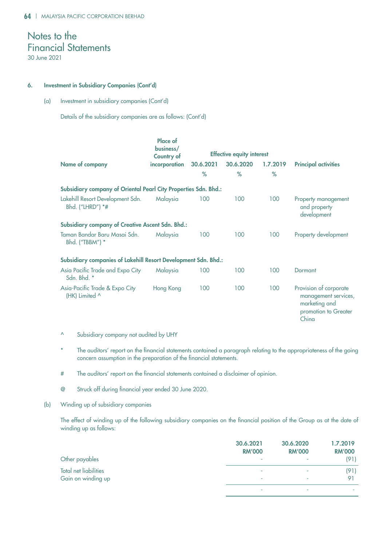### 6. Investment in Subsidiary Companies (Cont'd)

(a) Investment in subsidiary companies (Cont'd)

Details of the subsidiary companies are as follows: (Cont'd)

|                                                                 | Place of<br>business/<br>Country of |           | <b>Effective equity interest</b> |          |                                                                                                  |
|-----------------------------------------------------------------|-------------------------------------|-----------|----------------------------------|----------|--------------------------------------------------------------------------------------------------|
| Name of company                                                 | incorporation                       | 30.6.2021 | 30.6.2020                        | 1.7.2019 | <b>Principal activities</b>                                                                      |
|                                                                 |                                     | $\%$      | $\%$                             | $\%$     |                                                                                                  |
| Subsidiary company of Oriental Pearl City Properties Sdn. Bhd.: |                                     |           |                                  |          |                                                                                                  |
| Lakehill Resort Development Sdn.<br>Bhd. ("LHRD") *#            | Malaysia                            | 100       | 100                              | 100      | Property management<br>and property<br>development                                               |
| <b>Subsidiary company of Creative Ascent Sdn. Bhd.:</b>         |                                     |           |                                  |          |                                                                                                  |
| Taman Bandar Baru Masai Sdn.<br>Bhd. ("TBBM") *                 | Malaysia                            | 100       | 100                              | 100      | Property development                                                                             |
| Subsidiary companies of Lakehill Resort Development Sdn. Bhd.:  |                                     |           |                                  |          |                                                                                                  |
| Asia Pacific Trade and Expo City<br>Sdn. Bhd. *                 | Malaysia                            | 100       | 100                              | 100      | Dormant                                                                                          |
| Asia-Pacific Trade & Expo City<br>(HK) Limited ^                | Hong Kong                           | 100       | 100                              | 100      | Provision of corporate<br>management services,<br>marketing and<br>promotion to Greater<br>China |

- ^ Subsidiary company not audited by UHY
- The auditors' report on the financial statements contained a paragraph relating to the appropriateness of the going concern assumption in the preparation of the financial statements.
- # The auditors' report on the financial statements contained a disclaimer of opinion.
- @ Struck off during financial year ended 30 June 2020.
- (b) Winding up of subsidiary companies

The effect of winding up of the following subsidiary companies on the financial position of the Group as at the date of winding up as follows:

|                              | 30.6.2021     | 30.6.2020     | 1.7.2019       |
|------------------------------|---------------|---------------|----------------|
|                              | <b>RM'000</b> | <b>RM'000</b> | <b>RM'000</b>  |
| Other payables               | ۰             |               | (91)           |
| <b>Total net liabilities</b> | ۰             | ٠             | (91)           |
| Gain on winding up           | ۰             |               | Q <sub>1</sub> |
|                              |               |               |                |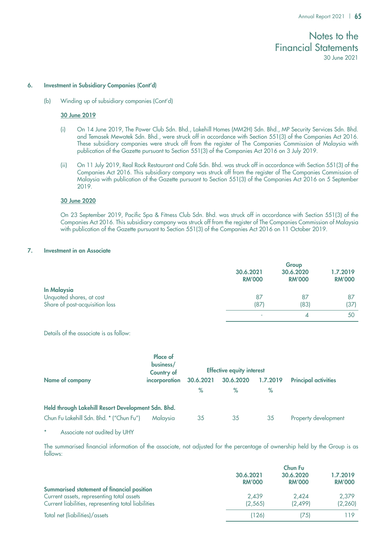#### 6. Investment in Subsidiary Companies (Cont'd)

(b) Winding up of subsidiary companies (Cont'd)

### 30 June 2019

- (i) On 14 June 2019, The Power Club Sdn. Bhd., Lakehill Homes (MM2H) Sdn. Bhd., MP Security Services Sdn. Bhd. and Temasek Mewatek Sdn. Bhd., were struck off in accordance with Section 551(3) of the Companies Act 2016. These subsidiary companies were struck off from the register of The Companies Commission of Malaysia with publication of the Gazette pursuant to Section 551(3) of the Companies Act 2016 on 3 July 2019.
- (ii) On 11 July 2019, Real Rock Restaurant and Café Sdn. Bhd. was struck off in accordance with Section 551(3) of the Companies Act 2016. This subsidiary company was struck off from the register of The Companies Commission of Malaysia with publication of the Gazette pursuant to Section 551(3) of the Companies Act 2016 on 5 September 2019.

#### 30 June 2020

On 23 September 2019, Pacific Spa & Fitness Club Sdn. Bhd. was struck off in accordance with Section 551(3) of the Companies Act 2016. This subsidiary company was struck off from the register of The Companies Commission of Malaysia with publication of the Gazette pursuant to Section 551(3) of the Companies Act 2016 on 11 October 2019.

#### 7. Investment in an Associate

|                                | Group                      |                            |                           |
|--------------------------------|----------------------------|----------------------------|---------------------------|
|                                | 30.6.2021<br><b>RM'000</b> | 30.6.2020<br><b>RM'000</b> | 1.7.2019<br><b>RM'000</b> |
| <b>In Malaysia</b>             |                            |                            |                           |
| Unquoted shares, at cost       | 87                         | 87                         | 87                        |
| Share of post-acquisition loss | (87)                       | (83)                       | (37)                      |
|                                |                            |                            | 50                        |
|                                |                            |                            |                           |

Details of the associate is as follow:

|                                                    | Place of<br>business/<br><b>Country of</b> |           | <b>Effective equity interest</b> |          |                             |
|----------------------------------------------------|--------------------------------------------|-----------|----------------------------------|----------|-----------------------------|
| Name of company                                    | incorporation                              | 30.6.2021 | 30.6.2020                        | 1.7.2019 | <b>Principal activities</b> |
|                                                    |                                            | $\%$      | %                                | ℅        |                             |
| Held through Lakehill Resort Development Sdn. Bhd. |                                            |           |                                  |          |                             |
| Chun Fu Lakehill Sdn. Bhd. * ("Chun Fu")           | <b>Malaysia</b>                            | 35        | 35                               | 35       | Property development        |

#### Associate not audited by UHY

The summarised financial information of the associate, not adjusted for the percentage of ownership held by the Group is as follows:

|                                                     | <b>Chun Fu</b>             |                            |                           |
|-----------------------------------------------------|----------------------------|----------------------------|---------------------------|
|                                                     | 30.6.2021<br><b>RM'000</b> | 30.6.2020<br><b>RM'000</b> | 1.7.2019<br><b>RM'000</b> |
| Summarised statement of financial position          |                            |                            |                           |
| Current assets, representing total assets           | 2.439                      | 2.424                      | 2.379                     |
| Current liabilities, representing total liabilities | (2, 565)                   | (2.499)                    | (2, 260)                  |
| Total net (liabilities)/assets                      | (126)                      | (75)                       | 119                       |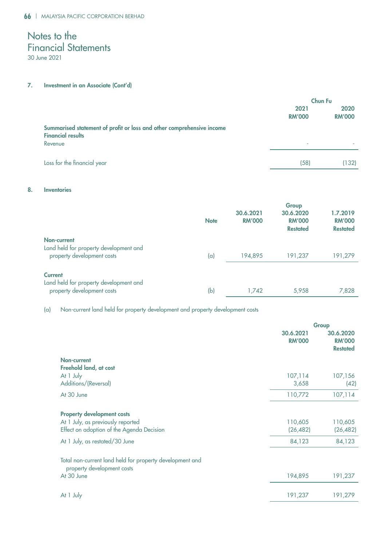### 7. Investment in an Associate (Cont'd)

|                                                                                                   | Chun Fu               |                       |
|---------------------------------------------------------------------------------------------------|-----------------------|-----------------------|
|                                                                                                   | 2021<br><b>RM'000</b> | 2020<br><b>RM'000</b> |
| Summarised statement of profit or loss and other comprehensive income<br><b>Financial results</b> |                       |                       |
| Revenue                                                                                           | ٠                     |                       |
| Loss for the financial year                                                                       | (58)                  | (132)                 |

### 8. Inventories

|                                                                                        | <b>Note</b> | 30.6.2021<br><b>RM'000</b> | Group<br>30.6.2020<br><b>RM'000</b><br><b>Restated</b> | 1.7.2019<br><b>RM'000</b><br><b>Restated</b> |
|----------------------------------------------------------------------------------------|-------------|----------------------------|--------------------------------------------------------|----------------------------------------------|
| Non-current<br>Land held for property development and<br>property development costs    | (a)         | 194,895                    | 191,237                                                | 191,279                                      |
| <b>Current</b><br>Land held for property development and<br>property development costs | (b)         | 1,742                      | 5,958                                                  | 7,828                                        |

(a) Non-current land held for property development and property development costs

|                                                                                                                     | 30.6.2021<br><b>RM'000</b> | Group<br>30.6.2020<br><b>RM'000</b><br><b>Restated</b> |
|---------------------------------------------------------------------------------------------------------------------|----------------------------|--------------------------------------------------------|
| Non-current                                                                                                         |                            |                                                        |
| Freehold land, at cost<br>At 1 July                                                                                 | 107,114                    | 107,156                                                |
| Additions/(Reversal)                                                                                                | 3,658                      | (42)                                                   |
| At 30 June                                                                                                          | 110,772                    | 107,114                                                |
| <b>Property development costs</b><br>At 1 July, as previously reported<br>Effect on adoption of the Agenda Decision | 110,605<br>(26, 482)       | 110,605<br>(26, 482)                                   |
| At 1 July, as restated/30 June                                                                                      | 84,123                     | 84,123                                                 |
| Total non-current land held for property development and<br>property development costs<br>At 30 June                | 194,895                    | 191,237                                                |
| At 1 July                                                                                                           | 191,237                    | 191,279                                                |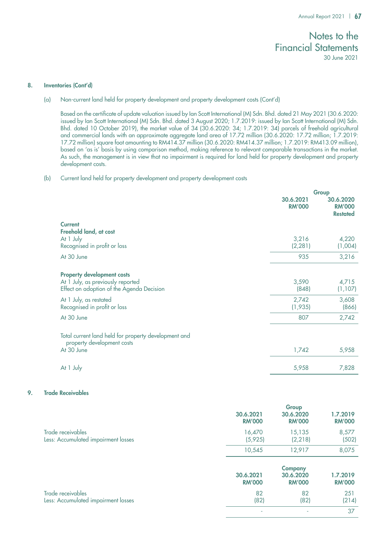### 8. Inventories (Cont'd)

(a) Non-current land held for property development and property development costs (Cont'd)

Based on the certificate of update valuation issued by Ian Scott International (M) Sdn. Bhd. dated 21 May 2021 (30.6.2020: issued by Ian Scott International (M) Sdn. Bhd. dated 3 August 2020; 1.7.2019: issued by Ian Scott International (M) Sdn. Bhd. dated 10 October 2019), the market value of 34 (30.6.2020: 34; 1.7.2019: 34) parcels of freehold agricultural and commercial lands with an approximate aggregate land area of 17.72 million (30.6.2020: 17.72 million; 1.7.2019: 17.72 million) square foot amounting to RM414.37 million (30.6.2020: RM414.37 million; 1.7.2019: RM413.09 million), based on 'as is' basis by using comparison method, making reference to relevant comparable transactions in the market. As such, the management is in view that no impairment is required for land held for property development and property development costs.

### (b) Current land held for property development and property development costs

|                                                                                                                     |                            | Group                                         |
|---------------------------------------------------------------------------------------------------------------------|----------------------------|-----------------------------------------------|
|                                                                                                                     | 30.6.2021<br><b>RM'000</b> | 30.6.2020<br><b>RM'000</b><br><b>Restated</b> |
| <b>Current</b><br>Freehold land, at cost                                                                            |                            |                                               |
| At 1 July<br>Recognised in profit or loss                                                                           | 3,216<br>(2, 281)          | 4,220<br>(1,004)                              |
| At 30 June                                                                                                          | 935                        | 3,216                                         |
| <b>Property development costs</b><br>At 1 July, as previously reported<br>Effect on adoption of the Agenda Decision | 3,590<br>(848)             | 4,715<br>(1,107)                              |
| At 1 July, as restated<br>Recognised in profit or loss                                                              | 2,742<br>(1, 935)          | 3,608<br>(866)                                |
| At 30 June                                                                                                          | 807                        | 2,742                                         |
| Total current land held for property development and<br>property development costs                                  |                            |                                               |
| At 30 June                                                                                                          | 1,742                      | 5,958                                         |
| At 1 July                                                                                                           | 5,958                      | 7,828                                         |

### 9. Trade Receivables

|                                                          | 30.6.2021<br><b>RM'000</b> | Group<br>30.6.2020<br><b>RM'000</b>          | 1.7.2019<br><b>RM'000</b> |
|----------------------------------------------------------|----------------------------|----------------------------------------------|---------------------------|
| Trade receivables<br>Less: Accumulated impairment losses | 16,470<br>(5,925)          | 15,135<br>(2, 218)                           | 8,577<br>(502)            |
|                                                          | 10,545                     | 12,917                                       | 8,075                     |
|                                                          | 30.6.2021<br><b>RM'000</b> | <b>Company</b><br>30.6.2020<br><b>RM'000</b> | 1.7.2019<br><b>RM'000</b> |
| Trade receivables<br>Less: Accumulated impairment losses | 82<br>(82)                 | 82<br>(82)                                   | 251<br>(214)              |
|                                                          | ٠                          |                                              | 37                        |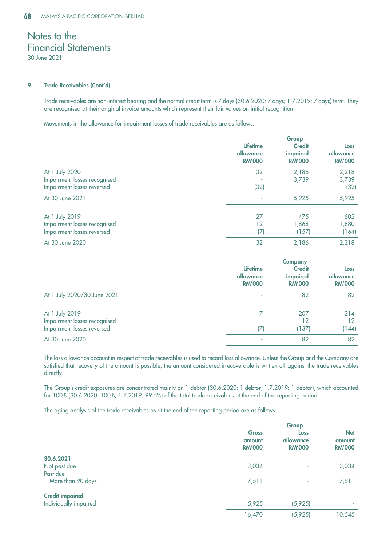### 9. Trade Receivables (Cont'd)

Trade receivables are non-interest bearing and the normal credit term is 7 days (30.6.2020: 7 days; 1.7.2019: 7 days) term. They are recognised at their original invoice amounts which represent their fair values on initial recognition.

Movements in the allowance for impairment losses of trade receivables are as follows:

|                              | Group                                         |                                            |                                    |
|------------------------------|-----------------------------------------------|--------------------------------------------|------------------------------------|
|                              | <b>Lifetime</b><br>allowance<br><b>RM'000</b> | <b>Credit</b><br>impaired<br><b>RM'000</b> | Loss<br>allowance<br><b>RM'000</b> |
| At 1 July 2020               | 32                                            | 2,186                                      | 2,218                              |
| Impairment losses recognised |                                               | 3,739                                      | 3,739                              |
| Impairment losses reversed   | (32)                                          |                                            | (32)                               |
| At 30 June 2021              |                                               | 5,925                                      | 5,925                              |
| At 1 July 2019               | 27                                            | 475                                        | 502                                |
| Impairment losses recognised | 12                                            | 1,868                                      | 1,880                              |
| Impairment losses reversed   | (7)                                           | (157)                                      | (164)                              |
| At 30 June 2020              | 32                                            | 2,186                                      | 2,218                              |

|                                                                              | <b>Lifetime</b><br>allowance<br><b>RM'000</b> | <b>Company</b><br><b>Credit</b><br>impaired<br><b>RM'000</b> | Loss<br>allowance<br><b>RM'000</b> |
|------------------------------------------------------------------------------|-----------------------------------------------|--------------------------------------------------------------|------------------------------------|
| At 1 July 2020/30 June 2021                                                  |                                               | 82                                                           | 82                                 |
| At 1 July 2019<br>Impairment losses recognised<br>Impairment losses reversed | 17)                                           | 207<br>12<br>(137)                                           | 214<br>12<br>(144)                 |
| At 30 June 2020                                                              |                                               | 82                                                           | 82                                 |

The loss allowance account in respect of trade receivables is used to record loss allowance. Unless the Group and the Company are satisfied that recovery of the amount is possible, the amount considered irrecoverable is written off against the trade receivables directly.

The Group's credit exposures are concentrated mainly on 1 debtor (30.6.2020: 1 debtor; 1.7.2019: 1 debtor), which accounted for 100% (30.6.2020: 100%; 1.7.2019: 99.5%) of the total trade receivables at the end of the reporting period.

The aging analysis of the trade receivables as at the end of the reporting period are as follows:

|                        | Group                                   |                                    |                                       |
|------------------------|-----------------------------------------|------------------------------------|---------------------------------------|
|                        | <b>Gross</b><br>amount<br><b>RM'000</b> | Loss<br>allowance<br><b>RM'000</b> | <b>Net</b><br>amount<br><b>RM'000</b> |
| 30.6.2021              |                                         |                                    |                                       |
| Not past due           | 3,034                                   | ٠                                  | 3,034                                 |
| Past due               |                                         |                                    |                                       |
| More than 90 days      | 7,511                                   | ٠                                  | 7,511                                 |
| <b>Credit impaired</b> |                                         |                                    |                                       |
| Individually impaired  | 5,925                                   | (5, 925)                           |                                       |
|                        | 16,470                                  | (5, 925)                           | 10,545                                |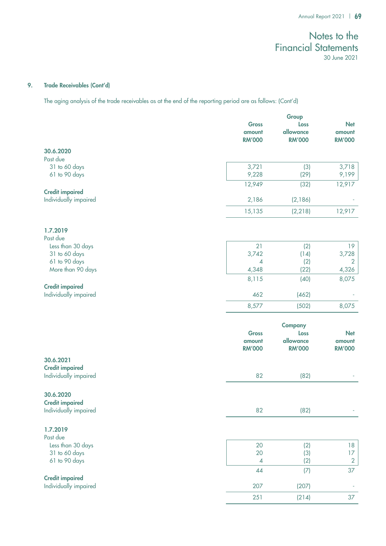### 9. Trade Receivables (Cont'd)

The aging analysis of the trade receivables as at the end of the reporting period are as follows: (Cont'd)

|                        |                          | Group             |                         |  |
|------------------------|--------------------------|-------------------|-------------------------|--|
|                        | <b>Gross</b>             | Loss              | <b>Net</b>              |  |
|                        | amount                   | allowance         | amount                  |  |
|                        | <b>RM'000</b>            | <b>RM'000</b>     | <b>RM'000</b>           |  |
| 30.6.2020              |                          |                   |                         |  |
| Past due               |                          |                   |                         |  |
| 31 to 60 days          | 3,721                    | (3)               | 3,718                   |  |
| 61 to 90 days          | 9,228                    | (29)              | 9,199                   |  |
|                        | 12,949                   | (32)              | 12,917                  |  |
| <b>Credit impaired</b> |                          |                   |                         |  |
| Individually impaired  | 2,186                    | (2,186)           |                         |  |
|                        | 15,135                   | (2, 218)          | 12,917                  |  |
|                        |                          |                   |                         |  |
| 1.7.2019               |                          |                   |                         |  |
| Past due               |                          |                   |                         |  |
| Less than 30 days      | 21                       | (2)               | 19                      |  |
| 31 to 60 days          | 3,742                    | (14)              | 3,728                   |  |
| 61 to 90 days          | 4                        | (2)               | $\overline{2}$          |  |
| More than 90 days      | 4,348                    | (22)              | 4,326                   |  |
|                        | 8,115                    | (40)              | 8,075                   |  |
| <b>Credit impaired</b> |                          |                   |                         |  |
| Individually impaired  | 462                      | (462)             |                         |  |
|                        | 8,577                    | (502)             | 8,075                   |  |
|                        |                          |                   |                         |  |
|                        |                          |                   |                         |  |
|                        |                          | <b>Company</b>    |                         |  |
|                        | <b>Gross</b>             | Loss<br>allowance | <b>Net</b>              |  |
|                        | amount<br><b>RM'000</b>  | <b>RM'000</b>     | amount<br><b>RM'000</b> |  |
|                        |                          |                   |                         |  |
| 30.6.2021              |                          |                   |                         |  |
| <b>Credit impaired</b> |                          |                   |                         |  |
| Individually impaired  | 82                       | (82)              |                         |  |
|                        |                          |                   |                         |  |
| 30.6.2020              |                          |                   |                         |  |
| <b>Credit impaired</b> |                          |                   |                         |  |
| Individually impaired  | 82                       | (82)              |                         |  |
|                        |                          |                   |                         |  |
| 1.7.2019               |                          |                   |                         |  |
| Past due               |                          |                   |                         |  |
| Less than 30 days      | 20                       | (2)               | 18                      |  |
| 31 to 60 days          | 20                       | (3)               | 17                      |  |
| 61 to 90 days          | $\overline{\mathcal{A}}$ | (2)               | $\overline{2}$          |  |
|                        | 44                       | (7)               | 37                      |  |
| <b>Credit impaired</b> |                          |                   |                         |  |
| Individually impaired  | 207                      | (207)             |                         |  |
|                        | 251                      | (214)             | 37                      |  |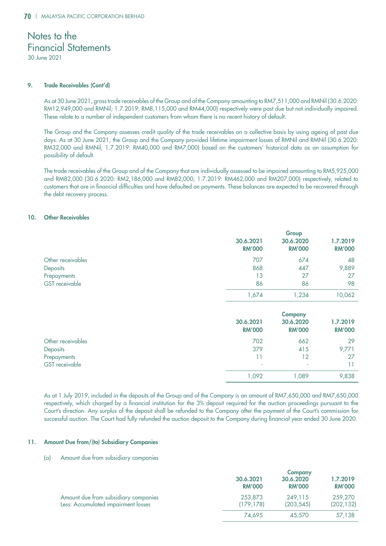30 June 2021

### 9. Trade Receivables (Cont'd)

As at 30 June 2021, gross trade receivables of the Group and of the Company amounting to RM7,511,000 and RMNil (30.6.2020: RM12,949,000 and RMNil; 1.7.2019: RM8,115,000 and RM44,000) respectively were past due but not individually impaired. These relate to a number of independent customers from whom there is no recent history of default.

The Group and the Company assesses credit quality of the trade receivables on a collective basis by using ageing of past due days. As at 30 June 2021, the Group and the Company provided lifetime impairment losses of RMNil and RMNil (30.6.2020: RM32,000 and RMNil; 1.7.2019: RM40,000 and RM7,000) based on the customers' historical data as an assumption for possibility of default.

The trade receivables of the Group and of the Company that are individually assessed to be impaired amounting to RM5,925,000 and RM82,000 (30.6.2020: RM2,186,000 and RM82,000; 1.7.2019: RM462,000 and RM207,000) respectively, related to customers that are in financial difficulties and have defaulted on payments. These balances are expected to be recovered through the debt recovery process.

### 10. Other Receivables

|                   | Group                      |                            |                           |
|-------------------|----------------------------|----------------------------|---------------------------|
|                   | 30.6.2021<br><b>RM'000</b> | 30.6.2020<br><b>RM'000</b> | 1.7.2019<br><b>RM'000</b> |
| Other receivables | 707                        | 674                        | 48                        |
| Deposits          | 868                        | 447                        | 9,889                     |
| Prepayments       | 13                         | 27                         | 27                        |
| GST receivable    | 86                         | 86                         | 98                        |
|                   | 1,674                      | 1,234                      | 10,062                    |

|                   | 30.6.2021<br><b>RM'000</b> | <b>Company</b><br>30.6.2020<br><b>RM'000</b> | 1.7.2019<br><b>RM'000</b> |
|-------------------|----------------------------|----------------------------------------------|---------------------------|
| Other receivables | 702                        | 662                                          | 29                        |
| Deposits          | 379                        | 415                                          | 9,771                     |
| Prepayments       | 11                         | 12                                           | 27                        |
| GST receivable    | ٠                          | ٠                                            |                           |
|                   | 1,092                      | 089, ا                                       | 9,838                     |

As at 1 July 2019, included in the deposits of the Group and of the Company is an amount of RM7,650,000 and RM7,650,000 respectively, which charged by a financial institution for the 3% deposit required for the auction proceedings pursuant to the Court's direction. Any surplus of the deposit shall be refunded to the Company after the payment of the Court's commission for successful auction. The Court had fully refunded the auction deposit to the Company during financial year ended 30 June 2020.

### 11. Amount Due from/(to) Subsidiary Companies

### (a) Amount due from subsidiary companies

|                                                                             |                            | <b>Company</b>             |                           |  |
|-----------------------------------------------------------------------------|----------------------------|----------------------------|---------------------------|--|
|                                                                             | 30.6.2021<br><b>RM'000</b> | 30.6.2020<br><b>RM'000</b> | 1.7.2019<br><b>RM'000</b> |  |
| Amount due from subsidiary companies<br>Less: Accumulated impairment losses | 253,873<br>(179.178)       | 249.115<br>(203, 545)      | 259,270<br>(202, 132)     |  |
|                                                                             | 74.695                     | 45,570                     | 57,138                    |  |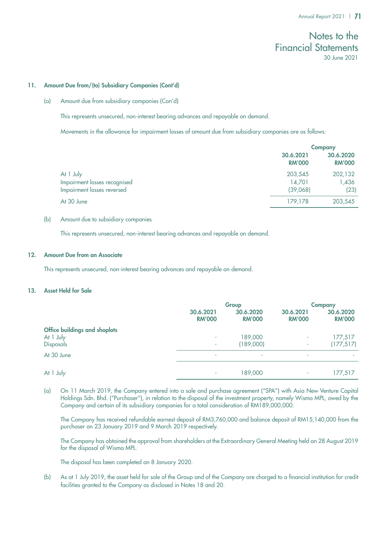### 11. Amount Due from/(to) Subsidiary Companies (Cont'd)

(a) Amount due from subsidiary companies (Con'd)

This represents unsecured, non-interest bearing advances and repayable on demand.

Movements in the allowance for impairment losses of amount due from subsidiary companies are as follows:

|                                                                         |                               | <b>Company</b>             |  |
|-------------------------------------------------------------------------|-------------------------------|----------------------------|--|
|                                                                         | 30.6.2021<br><b>RM'000</b>    | 30.6.2020<br><b>RM'000</b> |  |
| At 1 July<br>Impairment losses recognised<br>Impairment losses reversed | 203,545<br>14,701<br>(39,068) | 202,132<br>1,436<br>(23)   |  |
| At 30 June                                                              | 179,178                       | 203,545                    |  |

### (b) Amount due to subsidiary companies

This represents unsecured, non-interest bearing advances and repayable on demand.

### 12. Amount Due from an Associate

This represents unsecured, non-interest bearing advances and repayable on demand.

## 13. Asset Held for Sale

|                               | Group                      |                            | <b>Company</b>             |                            |
|-------------------------------|----------------------------|----------------------------|----------------------------|----------------------------|
|                               | 30.6.2021<br><b>RM'000</b> | 30.6.2020<br><b>RM'000</b> | 30.6.2021<br><b>RM'000</b> | 30.6.2020<br><b>RM'000</b> |
| Office buildings and shoplots |                            |                            |                            |                            |
| At 1 July                     | ۰                          | 189,000                    | ۰                          | 177,517                    |
| <b>Disposals</b>              | $\sim$                     | (189,000)                  | ۰                          | (177, 517)                 |
| At 30 June                    | ۰                          | ٠                          | ۰                          |                            |
|                               |                            |                            |                            |                            |
| At 1 July                     | ۰                          | 189,000                    | ٠                          | 177,517                    |

(a) On 11 March 2019, the Company entered into a sale and purchase agreement ("SPA") with Asia New Venture Capital Holdings Sdn. Bhd. ("Purchaser"), in relation to the disposal of the investment property, namely Wisma MPL, owed by the Company and certain of its subsidiary companies for a total consideration of RM189,000,000.

The Company has received refundable earnest deposit of RM3,760,000 and balance deposit of RM15,140,000 from the purchaser on 23 January 2019 and 9 March 2019 respectively.

The Company has obtained the approval from shareholders at the Extraordinary General Meeting held on 28 August 2019 for the disposal of Wisma MPL.

The disposal has been completed on 8 January 2020.

(b) As at 1 July 2019, the asset held for sale of the Group and of the Company are charged to a financial institution for credit facilities granted to the Company as disclosed in Notes 18 and 20.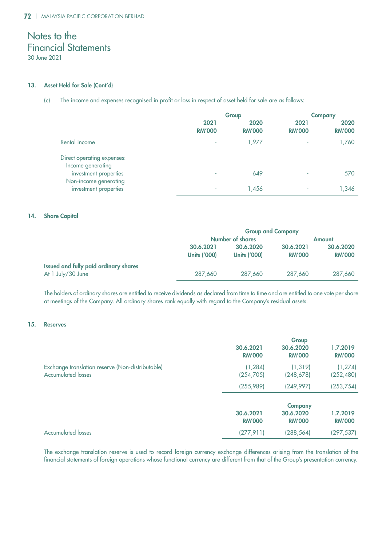### 13. Asset Held for Sale (Cont'd)

(c) The income and expenses recognised in profit or loss in respect of asset held for sale are as follows:

|                                                 |                       | Group                 |                       | <b>Company</b>        |
|-------------------------------------------------|-----------------------|-----------------------|-----------------------|-----------------------|
|                                                 | 2021<br><b>RM'000</b> | 2020<br><b>RM'000</b> | 2021<br><b>RM'000</b> | 2020<br><b>RM'000</b> |
| Rental income                                   | ۰                     | 1,977                 |                       | 1,760                 |
| Direct operating expenses:<br>Income generating |                       |                       |                       |                       |
| investment properties                           | ۰                     | 649                   | ٠                     | 570                   |
| Non-income generating<br>investment properties  | ٠                     | 1,456                 | ٠                     | 1,346                 |

### 14. Share Capital

|                                       | <b>Group and Company</b>                 |                     |               |               |
|---------------------------------------|------------------------------------------|---------------------|---------------|---------------|
|                                       | <b>Number of shares</b><br><b>Amount</b> |                     |               |               |
|                                       | 30.6.2021                                | 30.6.2020           | 30.6.2021     | 30.6.2020     |
|                                       | <b>Units ('000)</b>                      | <b>Units ('000)</b> | <b>RM'000</b> | <b>RM'000</b> |
| Issued and fully paid ordinary shares |                                          |                     |               |               |
| At 1 July/30 June                     | 287,660                                  | 287,660             | 287,660       | 287,660       |

The holders of ordinary shares are entitled to receive dividends as declared from time to time and are entitled to one vote per share at meetings of the Company. All ordinary shares rank equally with regard to the Company's residual assets.

### 15. Reserves

|                                                                               |                            | Group                                        |                           |
|-------------------------------------------------------------------------------|----------------------------|----------------------------------------------|---------------------------|
|                                                                               | 30.6.2021<br><b>RM'000</b> | 30.6.2020<br><b>RM'000</b>                   | 1.7.2019<br><b>RM'000</b> |
| Exchange translation reserve (Non-distributable)<br><b>Accumulated losses</b> | (1, 284)<br>(254, 705)     | (1, 319)<br>(248, 678)                       | (1, 274)<br>(252, 480)    |
|                                                                               | (255,989)                  | (249, 997)                                   | (253, 754)                |
|                                                                               | 30.6.2021<br><b>RM'000</b> | <b>Company</b><br>30.6.2020<br><b>RM'000</b> | 1.7.2019<br><b>RM'000</b> |
| <b>Accumulated losses</b>                                                     | (277, 911)                 | (288, 564)                                   | (297, 537)                |
|                                                                               |                            |                                              |                           |

The exchange translation reserve is used to record foreign currency exchange differences arising from the translation of the financial statements of foreign operations whose functional currency are different from that of the Group's presentation currency.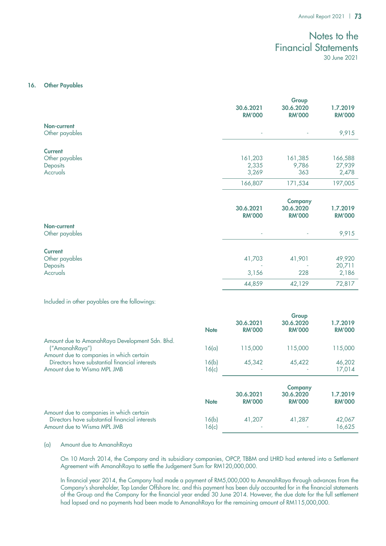### 16. Other Payables

|                                                          |                            | Group                                        |                            |
|----------------------------------------------------------|----------------------------|----------------------------------------------|----------------------------|
|                                                          | 30.6.2021<br><b>RM'000</b> | 30.6.2020<br><b>RM'000</b>                   | 1.7.2019<br><b>RM'000</b>  |
| Non-current<br>Other payables                            |                            |                                              | 9,915                      |
| <b>Current</b>                                           |                            |                                              |                            |
| Other payables<br>Deposits<br>Accruals                   | 161,203<br>2,335<br>3,269  | 161,385<br>9,786<br>363                      | 166,588<br>27,939<br>2,478 |
|                                                          | 166,807                    | 171,534                                      | 197,005                    |
|                                                          | 30.6.2021<br><b>RM'000</b> | <b>Company</b><br>30.6.2020<br><b>RM'000</b> | 1.7.2019<br><b>RM'000</b>  |
| Non-current<br>Other payables                            |                            |                                              | 9,915                      |
| <b>Current</b><br>Other payables<br>Deposits<br>Accruals | 41,703<br>3,156            | 41,901<br>228                                | 49,920<br>20,711<br>2,186  |
|                                                          | 44,859                     | 42,129                                       | 72,817                     |

Included in other payables are the followings:

|                                                                                                                           | <b>Note</b>    | 30.6.2021<br><b>RM'000</b> | Group<br>30.6.2020<br><b>RM'000</b>          | 1.7.2019<br><b>RM'000</b> |
|---------------------------------------------------------------------------------------------------------------------------|----------------|----------------------------|----------------------------------------------|---------------------------|
| Amount due to AmanahRaya Development Sdn. Bhd.<br>("AmanahRaya")<br>Amount due to companies in which certain              | 16(a)          | 115,000                    | 115,000                                      | 115,000                   |
| Directors have substantial financial interests<br>Amount due to Wisma MPL JMB                                             | 16(b)<br>16(c) | 45,342                     | 45,422                                       | 46,202<br>17,014          |
|                                                                                                                           | <b>Note</b>    | 30.6.2021<br><b>RM'000</b> | <b>Company</b><br>30.6.2020<br><b>RM'000</b> | 1.7.2019<br><b>RM'000</b> |
| Amount due to companies in which certain<br>Directors have substantial financial interests<br>Amount due to Wisma MPL JMB | 16(b)<br>16(c) | 41,207                     | 41,287                                       | 42,067<br>16,625          |

### (a) Amount due to AmanahRaya

On 10 March 2014, the Company and its subsidiary companies, OPCP, TBBM and LHRD had entered into a Settlement Agreement with AmanahRaya to settle the Judgement Sum for RM120,000,000.

In financial year 2014, the Company had made a payment of RM5,000,000 to AmanahRaya through advances from the Company's shareholder, Top Lander Offshore Inc. and this payment has been duly accounted for in the financial statements of the Group and the Company for the financial year ended 30 June 2014. However, the due date for the full settlement had lapsed and no payments had been made to AmanahRaya for the remaining amount of RM115,000,000.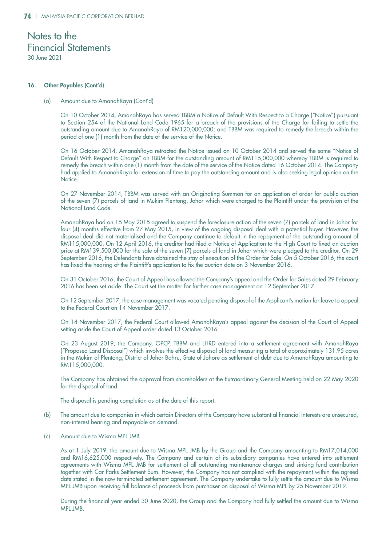### 16. Other Payables (Cont'd)

### (a) Amount due to AmanahRaya (Cont'd)

On 10 October 2014, AmanahRaya has served TBBM a Notice of Default With Respect to a Charge ("Notice") pursuant to Section 254 of the National Land Code 1965 for a breach of the provisions of the Charge for failing to settle the outstanding amount due to AmanahRaya of RM120,000,000; and TBBM was required to remedy the breach within the period of one (1) month from the date of the service of the Notice.

On 16 October 2014, AmanahRaya retracted the Notice issued on 10 October 2014 and served the same "Notice of Default With Respect to Charge" on TBBM for the outstanding amount of RM115,000,000 whereby TBBM is required to remedy the breach within one (1) month from the date of the service of the Notice dated 16 October 2014. The Company had applied to AmanahRaya for extension of time to pay the outstanding amount and is also seeking legal opinion on the Notice.

On 27 November 2014, TBBM was served with an Originating Summon for an application of order for public auction of the seven (7) parcels of land in Mukim Plentong, Johor which were charged to the Plaintiff under the provision of the National Land Code.

AmanahRaya had on 15 May 2015 agreed to suspend the foreclosure action of the seven (7) parcels of land in Johor for four (4) months effective from 27 May 2015, in view of the ongoing disposal deal with a potential buyer. However, the disposal deal did not materialised and the Company continue to default in the repayment of the outstanding amount of RM115,000,000. On 12 April 2016, the creditor had filed a Notice of Application to the High Court to fixed an auction price at RM139,500,000 for the sale of the seven (7) parcels of land in Johor which were pledged to the creditor. On 29 September 2016, the Defendants have obtained the stay of execution of the Order for Sale. On 5 October 2016, the court has fixed the hearing of the Plaintiff's application to fix the auction date on 3 November 2016.

On 31 October 2016, the Court of Appeal has allowed the Company's appeal and the Order for Sales dated 29 February 2016 has been set aside. The Court set the matter for further case management on 12 September 2017.

On 12 September 2017, the case management was vacated pending disposal of the Applicant's motion for leave to appeal to the Federal Court on 14 November 2017.

On 14 November 2017, the Federal Court allowed AmanahRaya's appeal against the decision of the Court of Appeal setting aside the Court of Appeal order dated 13 October 2016.

On 23 August 2019, the Company, OPCP, TBBM and LHRD entered into a settlement agreement with AmanahRaya ("Proposed Land Disposal") which involves the effective disposal of land measuring a total of approximately 131.95 acres in the Mukim of Plentong, District of Johor Bahru, State of Johore as settlement of debt due to AmanahRaya amounting to RM115,000,000.

The Company has obtained the approval from shareholders at the Extraordinary General Meeting held on 22 May 2020 for the disposal of land.

The disposal is pending completion as at the date of this report.

- (b) The amount due to companies in which certain Directors of the Company have substantial financial interests are unsecured, non-interest bearing and repayable on demand.
- (c) Amount due to Wisma MPL JMB

As at 1 July 2019, the amount due to Wisma MPL JMB by the Group and the Company amounting to RM17,014,000 and RM16,625,000 respectively. The Company and certain of its subsidiary companies have entered into settlement agreements with Wisma MPL JMB for settlement of all outstanding maintenance charges and sinking fund contribution together with Car Parks Settlement Sum. However, the Company has not complied with the repayment within the agreed date stated in the now terminated settlement agreement. The Company undertake to fully settle the amount due to Wisma MPL JMB upon receiving full balance of proceeds from purchaser on disposal of Wisma MPL by 25 November 2019.

During the financial year ended 30 June 2020, the Group and the Company had fully settled the amount due to Wisma MPL JMB.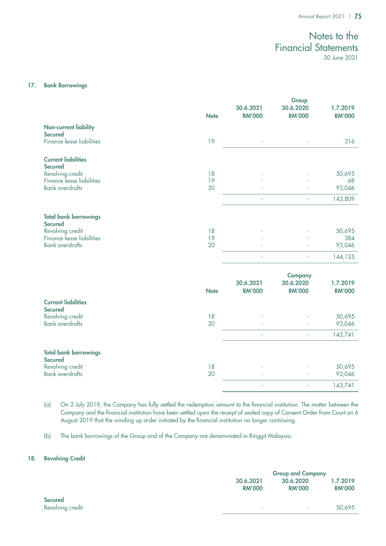### 17. Bank Borrowings

|                                                | <b>Note</b> | 30.6.2021<br><b>RM'000</b> | Group<br>30.6.2020<br><b>RM'000</b>          | 1.7.2019<br><b>RM'000</b> |
|------------------------------------------------|-------------|----------------------------|----------------------------------------------|---------------------------|
| <b>Non-current liability</b><br><b>Secured</b> |             |                            |                                              |                           |
| <b>Finance lease liabilities</b>               | 19          |                            |                                              | 316                       |
| <b>Current liabilities</b><br><b>Secured</b>   |             |                            |                                              |                           |
| Revolving credit<br>Finance lease liabilities  | 18<br>19    |                            |                                              | 50,695<br>68              |
| <b>Bank overdrafts</b>                         | 20          |                            |                                              | 93,046                    |
|                                                |             | ÷.                         |                                              | 143,809                   |
| <b>Total bank borrowings</b><br><b>Secured</b> |             |                            |                                              |                           |
| Revolving credit<br>Finance lease liabilities  | 18<br>19    |                            |                                              | 50,695<br>384             |
| <b>Bank overdrafts</b>                         | 20          |                            |                                              | 93,046                    |
|                                                |             |                            |                                              | 144,125                   |
|                                                | <b>Note</b> | 30.6.2021<br><b>RM'000</b> | <b>Company</b><br>30.6.2020<br><b>RM'000</b> | 1.7.2019<br><b>RM'000</b> |
| <b>Current liabilities</b><br><b>Secured</b>   |             |                            |                                              |                           |
| Revolving credit<br><b>Bank overdrafts</b>     | 18<br>20    |                            |                                              | 50,695<br>93,046          |
|                                                |             | ä,                         | ä,                                           | 143,741                   |
| <b>Total bank borrowings</b><br><b>Secured</b> |             |                            |                                              |                           |
| Revolving credit<br><b>Bank</b> overdrafts     | 18<br>20    |                            |                                              | 50,695<br>93,046          |
|                                                |             | i,                         | i,                                           | 143,741                   |

(a) On 2 July 2019, the Company has fully settled the redemption amount to the financial institution. The matter between the Company and the financial institution have been settled upon the receipt of sealed copy of Consent Order from Court on 6 August 2019 that the winding up order initiated by the financial institution no longer continuing.

(b) The bank borrowings of the Group and of the Company are denominated in Ringgit Malaysia.

## 18. Revolving Credit

|                  | <b>Group and Company</b> |               |               |
|------------------|--------------------------|---------------|---------------|
|                  | 30.6.2021                | 30.6.2020     | 1.7.2019      |
|                  | <b>RM'000</b>            | <b>RM'000</b> | <b>RM'000</b> |
| <b>Secured</b>   |                          |               |               |
| Revolving credit | ٠                        | ۰             | 50,695        |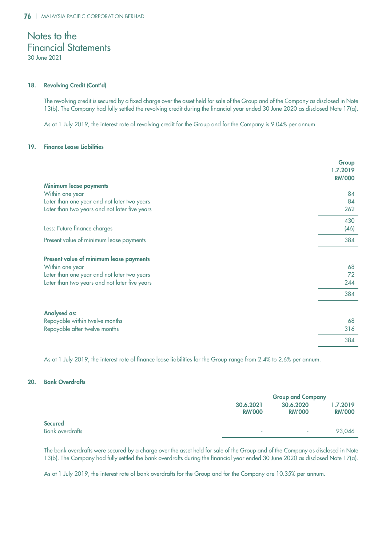30 June 2021

### 18. Revolving Credit (Cont'd)

The revolving credit is secured by a fixed charge over the asset held for sale of the Group and of the Company as disclosed in Note 13(b). The Company had fully settled the revolving credit during the financial year ended 30 June 2020 as disclosed Note 17(a).

As at 1 July 2019, the interest rate of revolving credit for the Group and for the Company is 9.04% per annum.

### 19. Finance Lease Liabilities

|                                               | Group<br>1.7.2019<br><b>RM'000</b> |
|-----------------------------------------------|------------------------------------|
| <b>Minimum lease payments</b>                 |                                    |
| Within one year                               | 84                                 |
| Later than one year and not later two years   | 84                                 |
| Later than two years and not later five years | 262                                |
|                                               | 430                                |
| Less: Future finance charges                  | (46)                               |
| Present value of minimum lease payments       | 384                                |
| Present value of minimum lease payments       |                                    |
| Within one year                               | 68                                 |
| Later than one year and not later two years   | 72                                 |
| Later than two years and not later five years | 244                                |
|                                               | 384                                |
| <b>Analysed as:</b>                           |                                    |
| Repayable within twelve months                | 68                                 |
| Repayable after twelve months                 | 316                                |
|                                               | 384                                |

As at 1 July 2019, the interest rate of finance lease liabilities for the Group range from 2.4% to 2.6% per annum.

### 20. Bank Overdrafts

|                                          |                            | <b>Group and Company</b>   |                           |  |
|------------------------------------------|----------------------------|----------------------------|---------------------------|--|
|                                          | 30.6.2021<br><b>RM'000</b> | 30.6.2020<br><b>RM'000</b> | 1.7.2019<br><b>RM'000</b> |  |
| <b>Secured</b><br><b>Bank overdrafts</b> | $\overline{\phantom{a}}$   | ۰                          | 93.046                    |  |

The bank overdrafts were secured by a charge over the asset held for sale of the Group and of the Company as disclosed in Note 13(b). The Company had fully settled the bank overdrafts during the financial year ended 30 June 2020 as disclosed Note 17(a).

As at 1 July 2019, the interest rate of bank overdrafts for the Group and for the Company are 10.35% per annum.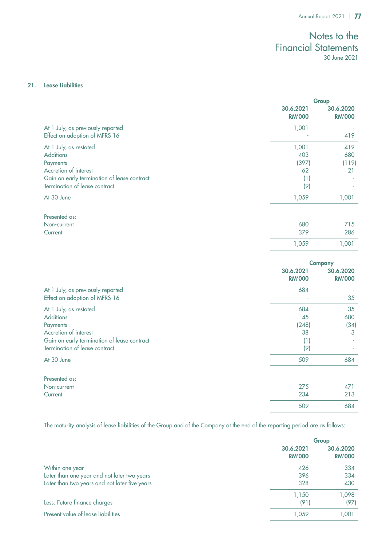509 684

# Notes to the Financial Statements 30 June 2021

### 21. Lease Liabilities

|                                                                                                                                                                 | Group                                     |                            |
|-----------------------------------------------------------------------------------------------------------------------------------------------------------------|-------------------------------------------|----------------------------|
|                                                                                                                                                                 | 30.6.2021<br><b>RM'000</b>                | 30.6.2020<br><b>RM'000</b> |
| At 1 July, as previously reported<br>Effect on adoption of MFRS 16                                                                                              | 1,001                                     | 419                        |
| At 1 July, as restated<br><b>Additions</b><br>Payments<br>Accretion of interest<br>Gain on early termination of lease contract<br>Termination of lease contract | 1,001<br>403<br>(397)<br>62<br>(1)<br>(9) | 419<br>680<br>(119)<br>21  |
| At 30 June                                                                                                                                                      | 1,059                                     | 1,001                      |
| Presented as:<br>Non-current<br>Current                                                                                                                         | 680<br>379<br>1,059                       | 715<br>286<br>1,001        |
|                                                                                                                                                                 |                                           | <b>Company</b>             |
|                                                                                                                                                                 | 30.6.2021<br><b>RM'000</b>                | 30.6.2020<br><b>RM'000</b> |
| At 1 July, as previously reported<br>Effect on adoption of MFRS 16                                                                                              | 684                                       | 35                         |
| At 1 July, as restated<br><b>Additions</b><br>Payments<br>Accretion of interest<br>Gain on early termination of lease contract<br>Termination of lease contract | 684<br>45<br>(248)<br>38<br>(1)<br>(9)    | 35<br>680<br>(34)<br>3     |
| At 30 June                                                                                                                                                      | 509                                       | 684                        |
| Presented as:<br>Non-current<br>Current                                                                                                                         | 275<br>234                                | 471<br>213                 |

The maturity analysis of lease liabilities of the Group and of the Company at the end of the reporting period are as follows:

|                                               | Group                      |                            |  |
|-----------------------------------------------|----------------------------|----------------------------|--|
|                                               | 30.6.2021<br><b>RM'000</b> | 30.6.2020<br><b>RM'000</b> |  |
| Within one year                               | 426                        | 334                        |  |
| Later than one year and not later two years   | 396                        | 334                        |  |
| Later than two years and not later five years | 328                        | 430                        |  |
|                                               | 1,150                      | 1,098                      |  |
| Less: Future finance charges                  | (91)                       | (97)                       |  |
| Present value of lease liabilities            | 1.059                      | 1,001                      |  |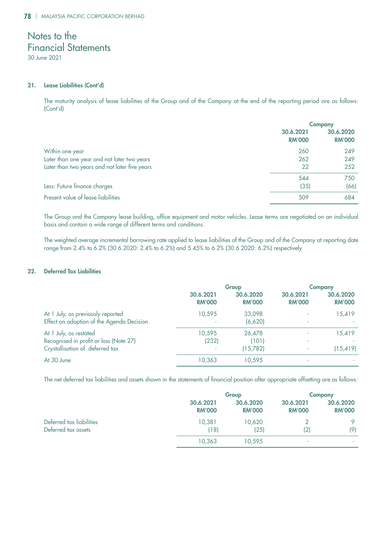30 June 2021

### 21. Lease Liabilities (Cont'd)

The maturity analysis of lease liabilities of the Group and of the Company at the end of the reporting period are as follows: (Cont'd)

|                                               | <b>Company</b>             |                            |  |
|-----------------------------------------------|----------------------------|----------------------------|--|
|                                               | 30.6.2021<br><b>RM'000</b> | 30.6.2020<br><b>RM'000</b> |  |
| Within one year                               | 260                        | 249                        |  |
| Later than one year and not later two years   | 262                        | 249                        |  |
| Later than two years and not later five years | 22                         | 252                        |  |
|                                               | 544                        | 750                        |  |
| Less: Future finance charges                  | (35)                       | (66)                       |  |
| Present value of lease liabilities            | 509                        | 684                        |  |

The Group and the Company lease building, office equipment and motor vehicles. Lease terms are negotiated on an individual basis and contain a wide range of different terms and conditions.

The weighted average incremental borrowing rate applied to lease liabilities of the Group and of the Company at reporting date range from 2.4% to 6.2% (30.6.2020: 2.4% to 6.2%) and 5.45% to 6.2% (30.6.2020: 6.2%) respectively.

### 22. Deferred Tax Liabilities

|                                                                                                     | Group                                       |                             |                            | <b>Company</b>             |
|-----------------------------------------------------------------------------------------------------|---------------------------------------------|-----------------------------|----------------------------|----------------------------|
|                                                                                                     | 30.6.2021<br><b>RM'000</b>                  | 30.6.2020<br><b>RM'000</b>  | 30.6.2021<br><b>RM'000</b> | 30.6.2020<br><b>RM'000</b> |
| At 1 July, as previously reported<br>Effect on adoption of the Agenda Decision                      | 10,595                                      | 33,098<br>(6,620)           | ٠                          | 15,419                     |
| At 1 July, as restated<br>Recognised in profit or loss (Note 27)<br>Crystallisation of deferred tax | 10,595<br>(232)<br>$\overline{\phantom{a}}$ | 26,478<br>(101)<br>(15,782) | ۰<br>٠                     | 15,419<br>(15, 419)        |
| At 30 June                                                                                          | 10,363                                      | 10,595                      | ٠                          |                            |

The net deferred tax liabilities and assets shown in the statements of financial position after appropriate offsetting are as follows:

|                          |               | Group         |               | <b>Company</b> |
|--------------------------|---------------|---------------|---------------|----------------|
|                          | 30.6.2021     | 30.6.2020     | 30.6.2021     | 30.6.2020      |
|                          | <b>RM'000</b> | <b>RM'000</b> | <b>RM'000</b> | <b>RM'000</b>  |
| Deferred tax liabilities | 10.381        | 10,620        | (2)           | $\circ$        |
| Deferred tax assets      | (18)          | (25)          |               | (9)            |
|                          | 10,363        | 10,595        |               |                |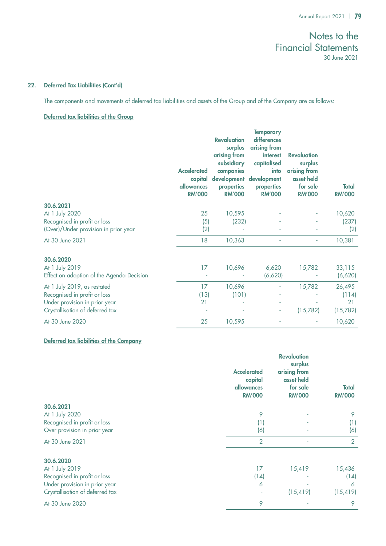## 22. Deferred Tax Liabilities (Cont'd)

The components and movements of deferred tax liabilities and assets of the Group and of the Company are as follows:

## Deferred tax liabilities of the Group

|                                           | <b>Accelerated</b><br>capital<br><b>allowances</b><br><b>RM'000</b> | <b>Revaluation</b><br>surplus<br>arising from<br>subsidiary<br>companies<br>development<br>properties<br><b>RM'000</b> | <b>Temporary</b><br>differences<br>arising from<br>interest<br>capitalised<br>into<br>development<br>properties<br><b>RM'000</b> | <b>Revaluation</b><br>surplus<br>arising from<br>asset held<br>for sale<br><b>RM'000</b> | <b>Total</b><br><b>RM'000</b> |
|-------------------------------------------|---------------------------------------------------------------------|------------------------------------------------------------------------------------------------------------------------|----------------------------------------------------------------------------------------------------------------------------------|------------------------------------------------------------------------------------------|-------------------------------|
| 30.6.2021                                 |                                                                     |                                                                                                                        |                                                                                                                                  |                                                                                          |                               |
| At 1 July 2020                            | 25                                                                  | 10,595                                                                                                                 |                                                                                                                                  |                                                                                          | 10,620                        |
| Recognised in profit or loss              | (5)                                                                 | (232)                                                                                                                  |                                                                                                                                  |                                                                                          | (237)                         |
| (Over)/Under provision in prior year      | (2)                                                                 |                                                                                                                        |                                                                                                                                  |                                                                                          | (2)                           |
| At 30 June 2021                           | 18                                                                  | 10,363                                                                                                                 |                                                                                                                                  | ٠                                                                                        | 10,381                        |
| 30.6.2020                                 |                                                                     |                                                                                                                        |                                                                                                                                  |                                                                                          |                               |
| At 1 July 2019                            | 17                                                                  | 10,696                                                                                                                 | 6,620                                                                                                                            | 15,782                                                                                   | 33,115                        |
| Effect on adoption of the Agenda Decision |                                                                     |                                                                                                                        | (6,620)                                                                                                                          |                                                                                          | (6,620)                       |
| At 1 July 2019, as restated               | 17                                                                  | 10,696                                                                                                                 |                                                                                                                                  | 15,782                                                                                   | 26,495                        |
| Recognised in profit or loss              | (13)                                                                | (101)                                                                                                                  |                                                                                                                                  |                                                                                          | (114)                         |
| Under provision in prior year             | 21                                                                  |                                                                                                                        |                                                                                                                                  |                                                                                          | 21                            |
| Crystallisation of deferred tax           |                                                                     |                                                                                                                        | $\overline{\phantom{0}}$                                                                                                         | (15,782)                                                                                 | (15, 782)                     |
| At 30 June 2020                           | 25                                                                  | 10,595                                                                                                                 |                                                                                                                                  |                                                                                          | 10,620                        |

## Deferred tax liabilities of the Company

|                                 | <b>Accelerated</b><br>capital<br><b>allowances</b><br><b>RM'000</b> | <b>Revaluation</b><br>surplus<br>arising from<br>asset held<br>for sale<br><b>RM'000</b> | <b>Total</b><br><b>RM'000</b> |
|---------------------------------|---------------------------------------------------------------------|------------------------------------------------------------------------------------------|-------------------------------|
| 30.6.2021                       |                                                                     |                                                                                          |                               |
| At 1 July 2020                  | 9                                                                   |                                                                                          | 9                             |
| Recognised in profit or loss    | (1)                                                                 |                                                                                          | (1)                           |
| Over provision in prior year    | (6)                                                                 |                                                                                          | (6)                           |
| At 30 June 2021                 | $\overline{2}$                                                      | ٠                                                                                        | $\overline{2}$                |
| 30.6.2020                       |                                                                     |                                                                                          |                               |
| At 1 July 2019                  | 17                                                                  | 15,419                                                                                   | 15,436                        |
| Recognised in profit or loss    | (14)                                                                |                                                                                          | (14)                          |
| Under provision in prior year   | 6                                                                   |                                                                                          | 6                             |
| Crystallisation of deferred tax |                                                                     | (15, 419)                                                                                | (15, 419)                     |
| At 30 June 2020                 | 9                                                                   |                                                                                          | 9                             |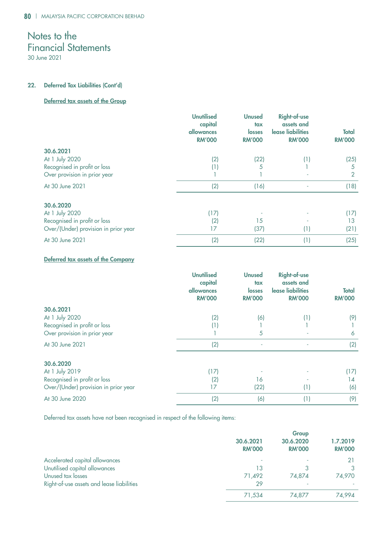30 June 2021

## 22. Deferred Tax Liabilities (Cont'd)

## Deferred tax assets of the Group

|                                      | <b>Unutilised</b><br>capital<br>allowances<br><b>RM'000</b> | <b>Unused</b><br>tax<br>losses<br><b>RM'000</b> | <b>Right-of-use</b><br>assets and<br>lease liabilities<br><b>RM'000</b> | <b>Total</b><br><b>RM'000</b> |
|--------------------------------------|-------------------------------------------------------------|-------------------------------------------------|-------------------------------------------------------------------------|-------------------------------|
| 30.6.2021                            |                                                             |                                                 |                                                                         |                               |
| At 1 July 2020                       | (2)                                                         | (22)                                            | (1)                                                                     | (25)                          |
| Recognised in profit or loss         | (1)                                                         | 5                                               |                                                                         | 5                             |
| Over provision in prior year         |                                                             |                                                 |                                                                         | $\overline{2}$                |
| At 30 June 2021                      | (2)                                                         | (16)                                            |                                                                         | (18)                          |
| 30.6.2020                            |                                                             |                                                 |                                                                         |                               |
| At 1 July 2020                       | (17)                                                        |                                                 |                                                                         | (17)                          |
| Recognised in profit or loss         | (2)                                                         | 15                                              |                                                                         | 13                            |
| Over/(Under) provision in prior year | 17                                                          | (37)                                            | (1)                                                                     | (21)                          |
| At 30 June 2021                      | (2)                                                         | (22)                                            | (1)                                                                     | (25)                          |

## Deferred tax assets of the Company

|                                      | <b>Unutilised</b><br>capital<br>allowances<br><b>RM'000</b> | <b>Unused</b><br>tax<br><b>losses</b><br><b>RM'000</b> | <b>Right-of-use</b><br>assets and<br>lease liabilities<br><b>RM'000</b> | <b>Total</b><br><b>RM'000</b> |
|--------------------------------------|-------------------------------------------------------------|--------------------------------------------------------|-------------------------------------------------------------------------|-------------------------------|
| 30.6.2021                            |                                                             |                                                        |                                                                         |                               |
| At 1 July 2020                       | (2)                                                         | (6)                                                    | (1)                                                                     | (9)                           |
| Recognised in profit or loss         | (1)                                                         |                                                        |                                                                         |                               |
| Over provision in prior year         |                                                             | 5                                                      |                                                                         | 6                             |
| At 30 June 2021                      | (2)                                                         | ٠                                                      |                                                                         | (2)                           |
| 30.6.2020                            |                                                             |                                                        |                                                                         |                               |
| At 1 July 2019                       | (17)                                                        |                                                        |                                                                         | (17)                          |
| Recognised in profit or loss         | (2)                                                         | 16                                                     |                                                                         | 14                            |
| Over/(Under) provision in prior year | 17                                                          | (22)                                                   | (1)                                                                     | (6)                           |
| At 30 June 2020                      | (2)                                                         | (6)                                                    | (1)                                                                     | (9)                           |

Deferred tax assets have not been recognised in respect of the following items:

|                                           | Group                      |                            |                           |  |
|-------------------------------------------|----------------------------|----------------------------|---------------------------|--|
|                                           | 30.6.2021<br><b>RM'000</b> | 30.6.2020<br><b>RM'000</b> | 1.7.2019<br><b>RM'000</b> |  |
| Accelerated capital allowances            |                            |                            |                           |  |
| Unutilised capital allowances             | 13                         |                            |                           |  |
| Unused tax losses                         | 71.492                     | 74,874                     | 74,970                    |  |
| Right-of-use assets and lease liabilities | 29                         |                            |                           |  |
|                                           | 71,534                     | 74,877                     | 74.994                    |  |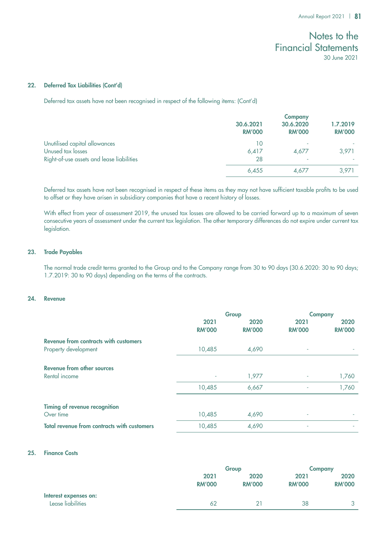### 22. Deferred Tax Liabilities (Cont'd)

Deferred tax assets have not been recognised in respect of the following items: (Cont'd)

|                                           | <b>Company</b>             |                            |                           |
|-------------------------------------------|----------------------------|----------------------------|---------------------------|
|                                           | 30.6.2021<br><b>RM'000</b> | 30.6.2020<br><b>RM'000</b> | 1.7.2019<br><b>RM'000</b> |
| Unutilised capital allowances             | 10                         |                            |                           |
| Unused tax losses                         | 6,417                      | 4,677                      | 3,971                     |
| Right-of-use assets and lease liabilities | 28                         | ۰                          |                           |
|                                           | 6.455                      | 4.677                      | 3,971                     |

Deferred tax assets have not been recognised in respect of these items as they may not have sufficient taxable profits to be used to offset or they have arisen in subsidiary companies that have a recent history of losses.

With effect from year of assessment 2019, the unused tax losses are allowed to be carried forward up to a maximum of seven consecutive years of assessment under the current tax legislation. The other temporary differences do not expire under current tax legislation.

## 23. Trade Payables

The normal trade credit terms granted to the Group and to the Company range from 30 to 90 days (30.6.2020: 30 to 90 days; 1.7.2019: 30 to 90 days) depending on the terms of the contracts.

### 24. Revenue

|                                                    | Group         |               |               | <b>Company</b> |
|----------------------------------------------------|---------------|---------------|---------------|----------------|
|                                                    | 2021          | 2020          | 2021          | 2020           |
|                                                    | <b>RM'000</b> | <b>RM'000</b> | <b>RM'000</b> | <b>RM'000</b>  |
| Revenue from contracts with customers              |               |               |               |                |
| Property development                               | 10,485        | 4,690         | ٠             |                |
|                                                    |               |               |               |                |
| Revenue from other sources                         |               |               |               |                |
| Rental income                                      | ٠             | 1,977         | ٠             | 1,760          |
|                                                    | 10,485        | 6,667         |               | 1,760          |
|                                                    |               |               |               |                |
| Timing of revenue recognition                      |               |               |               |                |
| Over time                                          | 10,485        | 4,690         | ٠             |                |
| <b>Total revenue from contracts with customers</b> | 10,485        | 4,690         | ٠             |                |

### 25. Finance Costs

|                                            |               | Group         |               | <b>Company</b> |  |
|--------------------------------------------|---------------|---------------|---------------|----------------|--|
|                                            | 2021          | 2020          | 2021          | 2020           |  |
|                                            | <b>RM'000</b> | <b>RM'000</b> | <b>RM'000</b> | <b>RM'000</b>  |  |
| Interest expenses on:<br>Lease liabilities | 62            |               | 38            | $\mathbf{r}$   |  |
|                                            |               |               |               |                |  |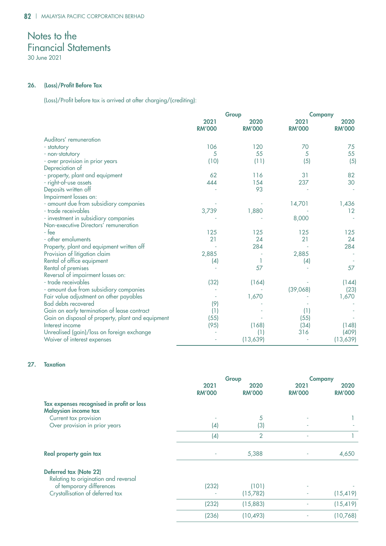30 June 2021

## 26. (Loss)/Profit Before Tax

(Loss)/Profit before tax is arrived at after charging/(crediting):

|                                                   |                       | Group                 |                       | <b>Company</b>        |  |
|---------------------------------------------------|-----------------------|-----------------------|-----------------------|-----------------------|--|
|                                                   | 2021<br><b>RM'000</b> | 2020<br><b>RM'000</b> | 2021<br><b>RM'000</b> | 2020<br><b>RM'000</b> |  |
| Auditors' remuneration                            |                       |                       |                       |                       |  |
| - statutory                                       | 106                   | 120                   | 70                    | 75                    |  |
| - non-statutory                                   | 5                     | 55                    | 5                     | 55                    |  |
| - over provision in prior years                   | (10)                  | (11)                  | (5)                   | (5)                   |  |
| Depreciation of                                   |                       |                       |                       |                       |  |
| - property, plant and equipment                   | 62                    | 116                   | 31                    | 82                    |  |
| - right-of-use assets                             | 444                   | 154                   | 237                   | 30                    |  |
| Deposits written off                              |                       | 93                    |                       |                       |  |
| Impairment losses on:                             |                       |                       |                       |                       |  |
| - amount due from subsidiary companies            |                       |                       | 14,701                | 1,436                 |  |
| - trade receivables                               | 3,739                 | 1,880                 |                       | 12                    |  |
| - investment in subsidiary companies              |                       |                       | 8,000                 |                       |  |
| Non-executive Directors' remuneration             |                       |                       |                       |                       |  |
| - fee                                             | 125                   | 125                   | 125                   | 125                   |  |
| - other emoluments                                | 21                    | 24                    | 21                    | 24                    |  |
| Property, plant and equipment written off         |                       | 284                   |                       | 284                   |  |
| Provision of litigation claim                     | 2,885                 |                       | 2,885                 |                       |  |
| Rental of office equipment                        | (4)                   |                       | (4)                   |                       |  |
| Rental of premises                                |                       | 57                    |                       | 57                    |  |
| Reversal of impairment losses on:                 |                       |                       |                       |                       |  |
| - trade receivables                               | (32)                  | (164)                 |                       | (144)                 |  |
| - amount due from subsidiary companies            |                       |                       | (39,068)              | (23)                  |  |
| Fair value adjustment on other payables           |                       | 1,670                 |                       | 1,670                 |  |
| <b>Bad debts recovered</b>                        | (9)                   |                       |                       |                       |  |
| Gain on early termination of lease contract       | (1)                   |                       | (1)                   |                       |  |
| Gain on disposal of property, plant and equipment | (55)                  |                       | (55)                  |                       |  |
| Interest income                                   | (95)                  | (168)                 | (34)                  | (148)                 |  |
| Unrealised (gain)/loss on foreign exchange        |                       | (1)                   | 316                   | (409)                 |  |
| Waiver of interest expenses                       |                       | (13,639)              |                       | (13,639)              |  |

## 27. Taxation

|                                                                   | Group                 |                       |                       | <b>Company</b>        |  |
|-------------------------------------------------------------------|-----------------------|-----------------------|-----------------------|-----------------------|--|
|                                                                   | 2021<br><b>RM'000</b> | 2020<br><b>RM'000</b> | 2021<br><b>RM'000</b> | 2020<br><b>RM'000</b> |  |
| Tax expenses recognised in profit or loss<br>Malaysian income tax |                       |                       |                       |                       |  |
| Current tax provision                                             | ٠                     | 5                     |                       |                       |  |
| Over provision in prior years                                     | (4)                   | (3)                   | ٠                     |                       |  |
|                                                                   | (4)                   | $\overline{2}$        |                       |                       |  |
| Real property gain tax                                            |                       | 5,388                 |                       | 4,650                 |  |
| Deferred tax (Note 22)<br>Relating to origination and reversal    |                       |                       |                       |                       |  |
| of temporary differences                                          | (232)                 | (101)                 |                       |                       |  |
| Crystallisation of deferred tax                                   |                       | (15,782)              |                       | (15, 419)             |  |
|                                                                   | (232)                 | (15,883)              |                       | (15, 419)             |  |
|                                                                   | (236)                 | (10, 493)             |                       | (10,768)              |  |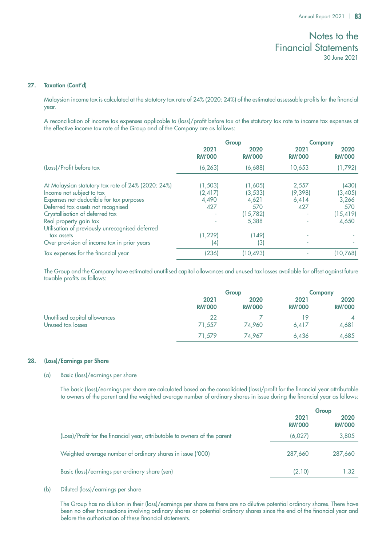### 27. Taxation (Cont'd)

Malaysian income tax is calculated at the statutory tax rate of 24% (2020: 24%) of the estimated assessable profits for the financial year.

A reconciliation of income tax expenses applicable to (loss)/profit before tax at the statutory tax rate to income tax expenses at the effective income tax rate of the Group and of the Company are as follows:

|                                                                                                                             | Group                        |                              | <b>Company</b>            |                           |
|-----------------------------------------------------------------------------------------------------------------------------|------------------------------|------------------------------|---------------------------|---------------------------|
|                                                                                                                             | 2021<br><b>RM'000</b>        | 2020<br><b>RM'000</b>        | 2021<br><b>RM'000</b>     | 2020<br><b>RM'000</b>     |
| (Loss)/Profit before tax                                                                                                    | (6, 263)                     | (6,688)                      | 10,653                    | (1,792)                   |
| At Malaysian statutory tax rate of 24% (2020: 24%)<br>Income not subject to tax<br>Expenses not deductible for tax purposes | (1,503)<br>(2, 417)<br>4,490 | (1,605)<br>(3, 533)<br>4,621 | 2,557<br>(9,398)<br>6,414 | (430)<br>(3,405)<br>3,266 |
| Deferred tax assets not recognised<br>Crystallisation of deferred tax                                                       | 427                          | 570<br>(15,782)              | 427                       | 570<br>(15, 419)          |
| Real property gain tax<br>Utilisation of previously unrecognised deferred<br>tax assets                                     | (1, 229)                     | 5,388<br>(149)               |                           | 4,650                     |
| Over provision of income tax in prior years                                                                                 | (4)                          | (3)                          |                           |                           |
| Tax expenses for the financial year                                                                                         | (236)                        | (10, 493)                    |                           | (10,768)                  |

The Group and the Company have estimated unutilised capital allowances and unused tax losses available for offset against future taxable profits as follows:

|                               |                       | Group                 |                       | <b>Company</b>        |  |
|-------------------------------|-----------------------|-----------------------|-----------------------|-----------------------|--|
|                               | 2021<br><b>RM'000</b> | 2020<br><b>RM'000</b> | 2021<br><b>RM'000</b> | 2020<br><b>RM'000</b> |  |
| Unutilised capital allowances | 22                    |                       | 19                    |                       |  |
| Unused tax losses             | 71,557                | 74.960                | 6.417                 | 4,681                 |  |
|                               | 71,579                | 74.967                | 6,436                 | 4,685                 |  |

### 28. (Loss)/Earnings per Share

### (a) Basic (loss)/earnings per share

The basic (loss)/earnings per share are calculated based on the consolidated (loss)/profit for the financial year attributable to owners of the parent and the weighted average number of ordinary shares in issue during the financial year as follows:

|                                                                            | Group                 |                       |
|----------------------------------------------------------------------------|-----------------------|-----------------------|
|                                                                            | 2021<br><b>RM'000</b> | 2020<br><b>RM'000</b> |
| (Loss)/Profit for the financial year, attributable to owners of the parent | (6,027)               | 3,805                 |
| Weighted average number of ordinary shares in issue ('000)                 | 287,660               | 287,660               |
| Basic (loss)/earnings per ordinary share (sen)                             | (2.10)                | 1.32                  |

### (b) Diluted (loss)/earnings per share

The Group has no dilution in their (loss)/earnings per share as there are no dilutive potential ordinary shares. There have been no other transactions involving ordinary shares or potential ordinary shares since the end of the financial year and before the authorisation of these financial statements.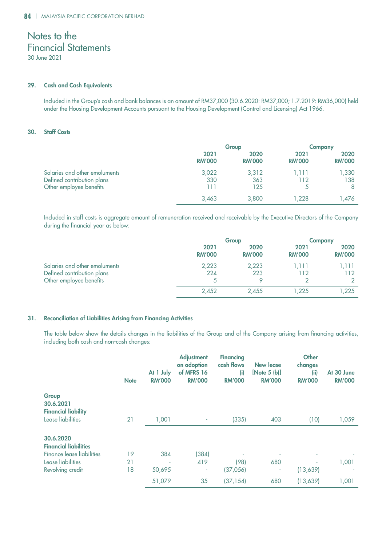### 29. Cash and Cash Equivalents

Included in the Group's cash and bank balances is an amount of RM37,000 (30.6.2020: RM37,000; 1.7.2019: RM36,000) held under the Housing Development Accounts pursuant to the Housing Development (Control and Licensing) Act 1966.

## 30. Staff Costs

|                                                                                        |                       | Group                 |                       | <b>Company</b>        |  |
|----------------------------------------------------------------------------------------|-----------------------|-----------------------|-----------------------|-----------------------|--|
|                                                                                        | 2021<br><b>RM'000</b> | 2020<br><b>RM'000</b> | 2021<br><b>RM'000</b> | 2020<br><b>RM'000</b> |  |
| Salaries and other emoluments<br>Defined contribution plans<br>Other employee benefits | 3,022<br>330<br>111   | 3,312<br>363<br>125   | 1.111<br>112          | 1,330<br>138<br>8     |  |
|                                                                                        | 3,463                 | 3,800                 | 228, ا                | 1,476                 |  |

Included in staff costs is aggregate amount of remuneration received and receivable by the Executive Directors of the Company during the financial year as below:

|                                                                                        |                       | Group                 |                       | <b>Company</b>        |  |
|----------------------------------------------------------------------------------------|-----------------------|-----------------------|-----------------------|-----------------------|--|
|                                                                                        | 2021<br><b>RM'000</b> | 2020<br><b>RM'000</b> | 2021<br><b>RM'000</b> | 2020<br><b>RM'000</b> |  |
| Salaries and other emoluments<br>Defined contribution plans<br>Other employee benefits | 2,223<br>224          | 2,223<br>223          | 1.111<br>112          | 1,111<br>112          |  |
|                                                                                        | 2,452                 | 2.455                 | 1.225                 | 1,225                 |  |

### 31. Reconciliation of Liabilities Arising from Financing Activities

The table below show the details changes in the liabilities of the Group and of the Company arising from financing activities, including both cash and non-cash changes:

|                                                                                             | <b>Note</b> | At 1 July<br><b>RM'000</b> | <b>Adjustment</b><br>on adoption<br>of MFRS 16<br><b>RM'000</b> | <b>Financing</b><br>cash flows<br>(i)<br><b>RM'000</b> | <b>New lease</b><br>[Note $5$ (b)]<br><b>RM'000</b> | <b>Other</b><br>changes<br>(ii)<br><b>RM'000</b> | At 30 June<br><b>RM'000</b> |
|---------------------------------------------------------------------------------------------|-------------|----------------------------|-----------------------------------------------------------------|--------------------------------------------------------|-----------------------------------------------------|--------------------------------------------------|-----------------------------|
| Group<br>30.6.2021<br><b>Financial liability</b>                                            |             |                            |                                                                 |                                                        |                                                     |                                                  |                             |
| Lease liabilities                                                                           | 21          | 1,001                      | ٠                                                               | (335)                                                  | 403                                                 | (10)                                             | 1,059                       |
| 30.6.2020<br><b>Financial liabilities</b><br>Finance lease liabilities<br>Lease liabilities | 19<br>21    | 384<br>٠                   | (384)<br>419                                                    | (98)                                                   | 680                                                 |                                                  | 1,001                       |
| Revolving credit                                                                            | 18          | 50,695                     | ٠                                                               | (37,056)                                               | ٠                                                   | (13,639)                                         |                             |
|                                                                                             |             | 51,079                     | 35                                                              | (37, 154)                                              | 680                                                 | (13,639)                                         | 1,001                       |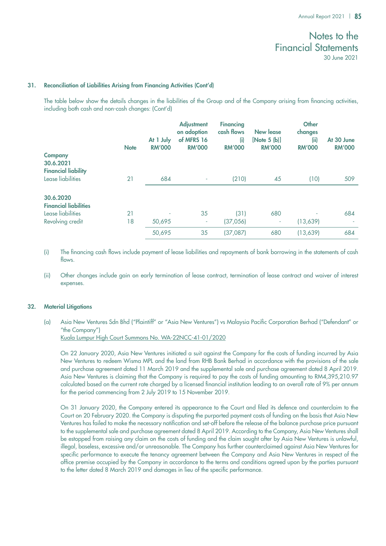### 31. Reconciliation of Liabilities Arising from Financing Activities (Cont'd)

The table below show the details changes in the liabilities of the Group and of the Company arising from financing activities, including both cash and non-cash changes: (Cont'd)

| <b>Company</b><br>30.6.2021                                                        | <b>Note</b> | At 1 July<br><b>RM'000</b> | <b>Adjustment</b><br>on adoption<br>of MFRS 16<br><b>RM'000</b> | <b>Financing</b><br>cash flows<br>(i)<br><b>RM'000</b> | New lease<br>[Note 5 (b)]<br><b>RM'000</b> | <b>Other</b><br>changes<br>(ii)<br><b>RM'000</b> | At 30 June<br><b>RM'000</b> |
|------------------------------------------------------------------------------------|-------------|----------------------------|-----------------------------------------------------------------|--------------------------------------------------------|--------------------------------------------|--------------------------------------------------|-----------------------------|
| <b>Financial liability</b><br>Lease liabilities                                    | 21          | 684                        | ٠                                                               | (210)                                                  | 45                                         | (10)                                             | 509                         |
| 30.6.2020<br><b>Financial liabilities</b><br>Lease liabilities<br>Revolving credit | 21<br>18    | 50,695                     | 35<br>٠                                                         | (31)<br>(37,056)                                       | 680<br>٠                                   | (13,639)                                         | 684                         |
|                                                                                    |             | 50,695                     | 35                                                              | (37,087)                                               | 680                                        | (13,639)                                         | 684                         |

(i) The financing cash flows include payment of lease liabilities and repayments of bank borrowing in the statements of cash flows.

(ii) Other changes include gain on early termination of lease contract, termination of lease contract and waiver of interest expenses.

#### 32. Material Litigations

(a) Asia New Ventures Sdn Bhd ("Plaintiff" or "Asia New Ventures") vs Malaysia Pacific Corporation Berhad ("Defendant" or "the Company")

Kuala Lumpur High Court Summons No. WA-22NCC-41-01/2020

On 22 January 2020, Asia New Ventures initiated a suit against the Company for the costs of funding incurred by Asia New Ventures to redeem Wisma MPL and the land from RHB Bank Berhad in accordance with the provisions of the sale and purchase agreement dated 11 March 2019 and the supplemental sale and purchase agreement dated 8 April 2019. Asia New Ventures is claiming that the Company is required to pay the costs of funding amounting to RM4,395,210.97 calculated based on the current rate charged by a licensed financial institution leading to an overall rate of 9% per annum for the period commencing from 2 July 2019 to 15 November 2019.

On 31 January 2020, the Company entered its appearance to the Court and filed its defence and counterclaim to the Court on 20 February 2020. the Company is disputing the purported payment costs of funding on the basis that Asia New Ventures has failed to make the necessary notification and set-off before the release of the balance purchase price pursuant to the supplemental sale and purchase agreement dated 8 April 2019. According to the Company, Asia New Ventures shall be estopped from raising any claim on the costs of funding and the claim sought after by Asia New Ventures is unlawful, illegal, baseless, excessive and/or unreasonable. The Company has further counterclaimed against Asia New Ventures for specific performance to execute the tenancy agreement between the Company and Asia New Ventures in respect of the office premise occupied by the Company in accordance to the terms and conditions agreed upon by the parties pursuant to the letter dated 8 March 2019 and damages in lieu of the specific performance.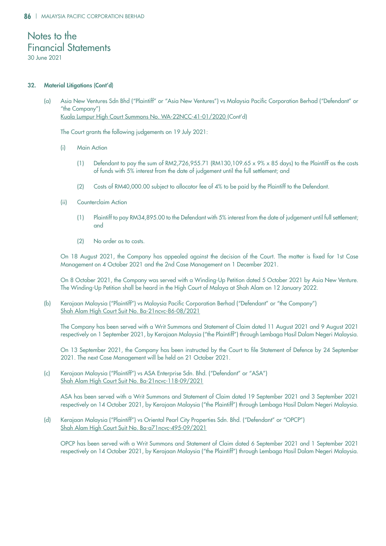30 June 2021

### 32. Material Litigations (Cont'd)

(a) Asia New Ventures Sdn Bhd ("Plaintiff" or "Asia New Ventures") vs Malaysia Pacific Corporation Berhad ("Defendant" or "the Company") Kuala Lumpur High Court Summons No. WA-22NCC-41-01/2020 (Cont'd)

The Court grants the following judgements on 19 July 2021:

- (i) Main Action
	- (1) Defendant to pay the sum of RM2,726,955.71 (RM130,109.65  $\times$  9%  $\times$  85 days) to the Plaintiff as the costs of funds with 5% interest from the date of judgement until the full settlement; and
	- (2) Costs of RM40,000.00 subject to allocator fee of 4% to be paid by the Plaintiff to the Defendant.
- (ii) Counterclaim Action
	- (1) Plaintiff to pay RM34,895.00 to the Defendant with 5% interest from the date of judgement until full settlement; and
	- (2) No order as to costs.

On 18 August 2021, the Company has appealed against the decision of the Court. The matter is fixed for 1st Case Management on 4 October 2021 and the 2nd Case Management on 1 December 2021.

On 8 October 2021, the Company was served with a Winding-Up Petition dated 5 October 2021 by Asia New Venture. The Winding-Up Petition shall be heard in the High Court of Malaya at Shah Alam on 12 January 2022.

(b) Kerajaan Malaysia ("Plaintiff") vs Malaysia Pacific Corporation Berhad ("Defendant" or "the Company") Shah Alam High Court Suit No. Ba-21ncvc-86-08/2021

The Company has been served with a Writ Summons and Statement of Claim dated 11 August 2021 and 9 August 2021 respectively on 1 September 2021, by Kerajaan Malaysia ("the Plaintiff") through Lembaga Hasil Dalam Negeri Malaysia.

On 13 September 2021, the Company has been instructed by the Court to file Statement of Defence by 24 September 2021. The next Case Management will be held on 21 October 2021.

(c) Kerajaan Malaysia ("Plaintiff") vs ASA Enterprise Sdn. Bhd. ("Defendant" or "ASA") Shah Alam High Court Suit No. Ba-21ncvc-118-09/2021

ASA has been served with a Writ Summons and Statement of Claim dated 19 September 2021 and 3 September 2021 respectively on 14 October 2021, by Kerajaan Malaysia ("the Plaintiff") through Lembaga Hasil Dalam Negeri Malaysia.

(d) Kerajaan Malaysia ("Plaintiff") vs Oriental Pearl City Properties Sdn. Bhd. ("Defendant" or "OPCP") Shah Alam High Court Suit No. Ba-a71ncvc-495-09/2021

OPCP has been served with a Writ Summons and Statement of Claim dated 6 September 2021 and 1 September 2021 respectively on 14 October 2021, by Kerajaan Malaysia ("the Plaintiff") through Lembaga Hasil Dalam Negeri Malaysia.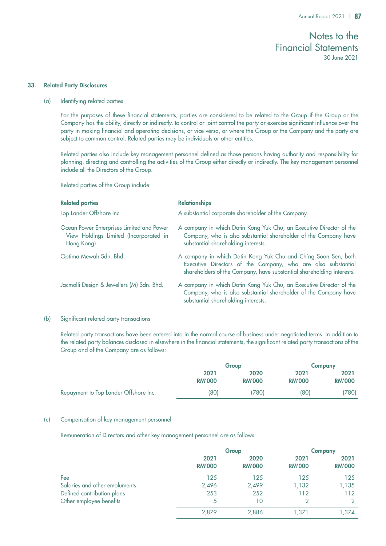### 33. Related Party Disclosures

(a) Identifying related parties

For the purposes of these financial statements, parties are considered to be related to the Group if the Group or the Company has the ability, directly or indirectly, to control or joint control the party or exercise significant influence over the party in making financial and operating decisions, or vice versa, or where the Group or the Company and the party are subject to common control. Related parties may be individuals or other entities.

Related parties also include key management personnel defined as those persons having authority and responsibility for planning, directing and controlling the activities of the Group either directly or indirectly. The key management personnel include all the Directors of the Group.

Related parties of the Group include:

| <b>Related parties</b>                                                                            | <b>Relationships</b>                                                                                                                                                                                    |
|---------------------------------------------------------------------------------------------------|---------------------------------------------------------------------------------------------------------------------------------------------------------------------------------------------------------|
| Top Lander Offshore Inc.                                                                          | A substantial corporate shareholder of the Company.                                                                                                                                                     |
| Ocean Power Enterprises Limited and Power<br>View Holdings Limited (Incorporated in<br>Hong Kong) | A company in which Datin Kong Yuk Chu, an Executive Director of the<br>Company, who is also substantial shareholder of the Company have<br>substantial shareholding interests.                          |
| Optima Mewah Sdn. Bhd.                                                                            | A company in which Datin Kong Yuk Chu and Ch'ng Soon Sen, both<br>Executive Directors of the Company, who are also substantial<br>shareholders of the Company, have substantial shareholding interests. |
| Jacmolli Design & Jewellers (M) Sdn. Bhd.                                                         | A company in which Datin Kong Yuk Chu, an Executive Director of the<br>Company, who is also substantial shareholder of the Company have<br>substantial shareholding interests.                          |

### (b) Significant related party transactions

Related party transactions have been entered into in the normal course of business under negotiated terms. In addition to the related party balances disclosed in elsewhere in the financial statements, the significant related party transactions of the Group and of the Company are as follows:

|                                       | Group                 |                       |                       | <b>Company</b>        |  |
|---------------------------------------|-----------------------|-----------------------|-----------------------|-----------------------|--|
|                                       | 2021<br><b>RM'000</b> | 2020<br><b>RM'000</b> | 2021<br><b>RM'000</b> | 2021<br><b>RM'000</b> |  |
| Repayment to Top Lander Offshore Inc. | (80)                  | (780                  | (80)                  | (780)                 |  |

### (c) Compensation of key management personnel

Remuneration of Directors and other key management personnel are as follows:

|                               | Group                 |                       | <b>Company</b>        |                       |
|-------------------------------|-----------------------|-----------------------|-----------------------|-----------------------|
|                               | 2021<br><b>RM'000</b> | 2020<br><b>RM'000</b> | 2021<br><b>RM'000</b> | 2021<br><b>RM'000</b> |
| Fee                           | 125                   | 125                   | 125                   | 125                   |
| Salaries and other emoluments | 2,496                 | 2,499                 | 1,132                 | 1,135                 |
| Defined contribution plans    | 253                   | 252                   | 112                   | 112                   |
| Other employee benefits       | 5                     | 10                    |                       | 2                     |
|                               | 2,879                 | 2,886                 | 1.371                 | 1,374                 |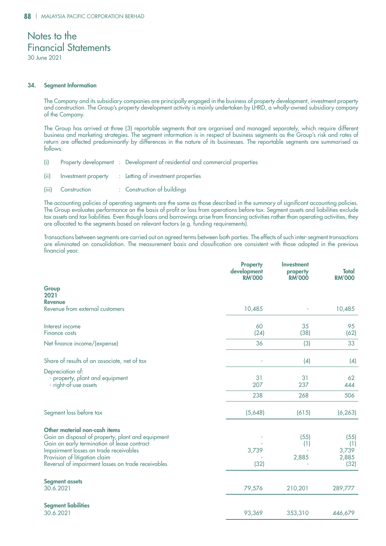30 June 2021

### 34. Segment Information

The Company and its subsidiary companies are principally engaged in the business of property development, investment property and construction. The Group's property development activity is mainly undertaken by LHRD, a wholly-owned subsidiary company of the Company.

The Group has arrived at three (3) reportable segments that are organised and managed separately, which require different business and marketing strategies. The segment information is in respect of business segments as the Group's risk and rates of return are affected predominantly by differences in the nature of its businesses. The reportable segments are summarised as follows:

- (i) Property development : Development of residential and commercial properties
- (ii) Investment property : Letting of investment properties
- (iii) Construction : Construction of buildings

The accounting policies of operating segments are the same as those described in the summary of significant accounting policies. The Group evaluates performance on the basis of profit or loss from operations before tax. Segment assets and liabilities exclude tax assets and tax liabilities. Even though loans and borrowings arise from financing activities rather than operating activities, they are allocated to the segments based on relevant factors (e.g. funding requirements).

Transactions between segments are carried out on agreed terms between both parties. The effects of such inter-segment transactions are eliminated on consolidation. The measurement basis and classification are consistent with those adopted in the previous financial year.

|                                                                                                                                                                                                                                                                    | <b>Property</b><br>development<br><b>RM'000</b> | <b>Investment</b><br>property<br><b>RM'000</b> | <b>Total</b><br><b>RM'000</b>         |
|--------------------------------------------------------------------------------------------------------------------------------------------------------------------------------------------------------------------------------------------------------------------|-------------------------------------------------|------------------------------------------------|---------------------------------------|
| Group<br>2021                                                                                                                                                                                                                                                      |                                                 |                                                |                                       |
| <b>Revenue</b><br>Revenue from external customers                                                                                                                                                                                                                  | 10,485                                          |                                                | 10,485                                |
| Interest income<br>Finance costs                                                                                                                                                                                                                                   | 60<br>(24)                                      | 35<br>(38)                                     | 95<br>(62)                            |
| Net finance income/(expense)                                                                                                                                                                                                                                       | 36                                              | (3)                                            | 33                                    |
| Share of results of an associate, net of tax                                                                                                                                                                                                                       |                                                 | (4)                                            | (4)                                   |
| Depreciation of:<br>- property, plant and equipment<br>- right-of-use assets                                                                                                                                                                                       | 31<br>207                                       | 31<br>237                                      | 62<br>444                             |
|                                                                                                                                                                                                                                                                    | 238                                             | 268                                            | 506                                   |
| Segment loss before tax                                                                                                                                                                                                                                            | (5,648)                                         | (615)                                          | (6, 263)                              |
| Other material non-cash items<br>Gain on disposal of property, plant and equipment<br>Gain on early termination of lease contract<br>Impairment losses on trade receivables<br>Provision of litigation claim<br>Reversal of impairment losses on trade receivables | 3,739<br>(32)                                   | (55)<br>(1)<br>2,885                           | (55)<br>(1)<br>3,739<br>2,885<br>(32) |
| <b>Segment assets</b><br>30.6.2021                                                                                                                                                                                                                                 | 79,576                                          | 210,201                                        | 289,777                               |
| <b>Segment liabilities</b><br>30.6.2021                                                                                                                                                                                                                            | 93,369                                          | 353,310                                        | 446,679                               |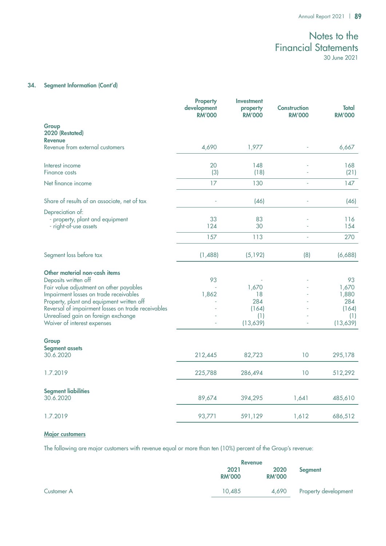## 34. Segment Information (Cont'd)

|                                                                                                                                                                                                                                                                                      | <b>Property</b><br>development<br><b>RM'000</b> | <b>Investment</b><br>property<br><b>RM'000</b> | <b>Construction</b><br><b>RM'000</b> | <b>Total</b><br><b>RM'000</b>               |
|--------------------------------------------------------------------------------------------------------------------------------------------------------------------------------------------------------------------------------------------------------------------------------------|-------------------------------------------------|------------------------------------------------|--------------------------------------|---------------------------------------------|
| Group<br>2020 (Restated)<br><b>Revenue</b>                                                                                                                                                                                                                                           |                                                 |                                                |                                      |                                             |
| Revenue from external customers                                                                                                                                                                                                                                                      | 4,690                                           | 1,977                                          |                                      | 6,667                                       |
| Interest income<br><b>Finance costs</b>                                                                                                                                                                                                                                              | 20<br>(3)                                       | 148<br>(18)                                    |                                      | 168<br>(21)                                 |
| Net finance income                                                                                                                                                                                                                                                                   | 17                                              | 130                                            |                                      | 147                                         |
| Share of results of an associate, net of tax                                                                                                                                                                                                                                         |                                                 | (46)                                           |                                      | (46)                                        |
| Depreciation of:<br>- property, plant and equipment<br>- right-of-use assets                                                                                                                                                                                                         | 33<br>124                                       | 83<br>30                                       |                                      | 116<br>154                                  |
|                                                                                                                                                                                                                                                                                      | 157                                             | 113                                            |                                      | 270                                         |
| Segment loss before tax                                                                                                                                                                                                                                                              | (1,488)                                         | (5, 192)                                       | (8)                                  | (6,688)                                     |
| Other material non-cash items<br>Deposits written off<br>Fair value adjustment on other payables<br>Impairment losses on trade receivables<br>Property, plant and equipment written off<br>Reversal of impairment losses on trade receivables<br>Unrealised gain on foreign exchange | 93<br>1,862                                     | 1,670<br>18<br>284<br>(164)<br>(1)             |                                      | 93<br>1,670<br>1,880<br>284<br>(164)<br>(1) |
| Waiver of interest expenses                                                                                                                                                                                                                                                          |                                                 | (13,639)                                       |                                      | (13,639)                                    |
| Group<br><b>Segment assets</b><br>30.6.2020                                                                                                                                                                                                                                          | 212,445                                         | 82,723                                         | 10                                   | 295,178                                     |
| 1.7.2019                                                                                                                                                                                                                                                                             | 225,788                                         | 286,494                                        | 10                                   | 512,292                                     |
| <b>Segment liabilities</b><br>30.6.2020                                                                                                                                                                                                                                              | 89,674                                          | 394,295                                        | 1,641                                | 485,610                                     |
| 1.7.2019                                                                                                                                                                                                                                                                             | 93,771                                          | 591,129                                        | 1,612                                | 686,512                                     |

### Major customers

The following are major customers with revenue equal or more than ten (10%) percent of the Group's revenue:

|            |                       | <b>Revenue</b>        |                      |  |
|------------|-----------------------|-----------------------|----------------------|--|
|            | 2021<br><b>RM'000</b> | 2020<br><b>RM'000</b> | Segment              |  |
| Customer A | 10.485                | 4,690                 | Property development |  |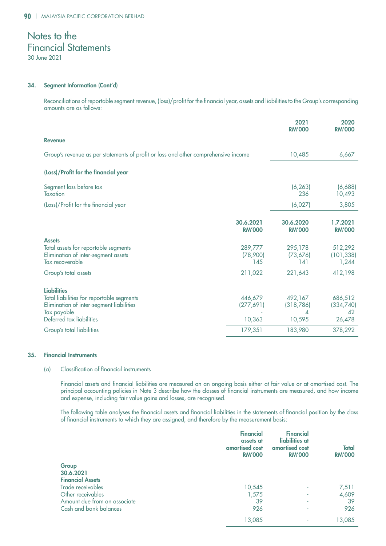30 June 2021

### 34. Segment Information (Cont'd)

Reconciliations of reportable segment revenue, (loss)/profit for the financial year, assets and liabilities to the Group's corresponding amounts are as follows:

|                                                                                                                                                        |                                 | 2021<br><b>RM'000</b>                | 2020<br><b>RM'000</b>                |
|--------------------------------------------------------------------------------------------------------------------------------------------------------|---------------------------------|--------------------------------------|--------------------------------------|
| <b>Revenue</b>                                                                                                                                         |                                 |                                      |                                      |
| Group's revenue as per statements of profit or loss and other comprehensive income                                                                     |                                 | 10,485                               | 6,667                                |
| (Loss)/Profit for the financial year                                                                                                                   |                                 |                                      |                                      |
| Segment loss before tax<br>Taxation                                                                                                                    |                                 | (6, 263)<br>236                      | (6,688)<br>10,493                    |
| (Loss)/Profit for the financial year                                                                                                                   |                                 | (6,027)                              | 3,805                                |
|                                                                                                                                                        | 30.6.2021<br><b>RM'000</b>      | 30.6.2020<br><b>RM'000</b>           | 1.7.2021<br><b>RM'000</b>            |
| <b>Assets</b><br>Total assets for reportable segments<br>Elimination of inter-segment assets<br>Tax recoverable                                        | 289,777<br>(78,900)<br>145      | 295,178<br>(73, 676)<br>141          | 512,292<br>(101, 338)<br>1,244       |
| Group's total assets                                                                                                                                   | 211,022                         | 221,643                              | 412,198                              |
| <b>Liabilities</b><br>Total liabilities for reportable segments<br>Elimination of inter-segment liabilities<br>Tax payable<br>Deferred tax liabilities | 446,679<br>(277, 691)<br>10,363 | 492,167<br>(318, 786)<br>◢<br>10,595 | 686,512<br>(334,740)<br>42<br>26,478 |
| Group's total liabilities                                                                                                                              | 179,351                         | 183,980                              | 378,292                              |

### 35. Financial Instruments

### (a) Classification of financial instruments

Financial assets and financial liabilities are measured on an ongoing basis either at fair value or at amortised cost. The principal accounting policies in Note 3 describe how the classes of financial instruments are measured, and how income and expense, including fair value gains and losses, are recognised.

The following table analyses the financial assets and financial liabilities in the statements of financial position by the class of financial instruments to which they are assigned, and therefore by the measurement basis:

|                              | <b>Financial</b><br>assets at<br>amortised cost<br><b>RM'000</b> | <b>Financial</b><br>liabilities at<br>amortised cost<br><b>RM'000</b> | <b>Total</b><br><b>RM'000</b> |
|------------------------------|------------------------------------------------------------------|-----------------------------------------------------------------------|-------------------------------|
| Group                        |                                                                  |                                                                       |                               |
| 30.6.2021                    |                                                                  |                                                                       |                               |
| <b>Financial Assets</b>      |                                                                  |                                                                       |                               |
| Trade receivables            | 10,545                                                           |                                                                       | 7,511                         |
| Other receivables            | 1,575                                                            | ٠                                                                     | 4,609                         |
| Amount due from an associate | 39                                                               | ٠                                                                     | 39                            |
| Cash and bank balances       | 926                                                              | ٠                                                                     | 926                           |
|                              | 13,085                                                           |                                                                       | 13,085                        |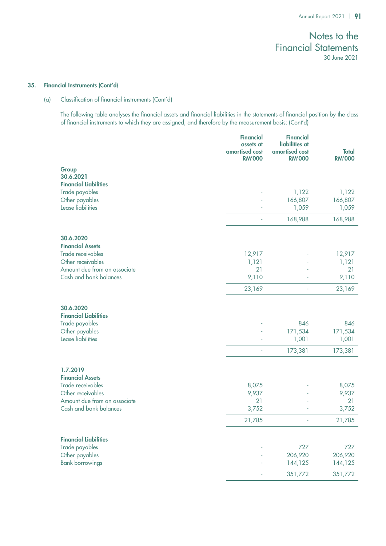#### 35. Financial Instruments (Cont'd)

### (a) Classification of financial instruments (Cont'd)

The following table analyses the financial assets and financial liabilities in the statements of financial position by the class of financial instruments to which they are assigned, and therefore by the measurement basis: (Cont'd)

|                                                                                                    | <b>Financial</b><br>assets at<br>amortised cost<br><b>RM'000</b> | <b>Financial</b><br>liabilities at<br>amortised cost<br><b>RM'000</b> | <b>Total</b><br><b>RM'000</b> |
|----------------------------------------------------------------------------------------------------|------------------------------------------------------------------|-----------------------------------------------------------------------|-------------------------------|
| Group<br>30.6.2021<br><b>Financial Liabilities</b>                                                 |                                                                  |                                                                       |                               |
| Trade payables<br>Other payables<br>Lease liabilities                                              |                                                                  | 1,122<br>166,807<br>1,059                                             | 1,122<br>166,807<br>1,059     |
|                                                                                                    |                                                                  | 168,988                                                               | 168,988                       |
| 30.6.2020<br><b>Financial Assets</b>                                                               |                                                                  |                                                                       |                               |
| Trade receivables                                                                                  | 12,917                                                           |                                                                       | 12,917                        |
| Other receivables                                                                                  | 1,121                                                            |                                                                       | 1,121                         |
| Amount due from an associate                                                                       | 21                                                               |                                                                       | 21                            |
| Cash and bank balances                                                                             | 9,110                                                            |                                                                       | 9,110                         |
|                                                                                                    | 23,169                                                           | ÷,                                                                    | 23,169                        |
| 30.6.2020<br><b>Financial Liabilities</b><br>Trade payables<br>Other payables<br>Lease liabilities |                                                                  | 846<br>171,534<br>1,001                                               | 846<br>171,534<br>1,001       |
|                                                                                                    |                                                                  | 173,381                                                               | 173,381                       |
| 1.7.2019<br><b>Financial Assets</b>                                                                |                                                                  |                                                                       |                               |
| Trade receivables                                                                                  | 8,075                                                            |                                                                       | 8,075                         |
| Other receivables<br>Amount due from an associate                                                  | 9,937<br>21                                                      |                                                                       | 9,937<br>21                   |
| Cash and bank balances                                                                             | 3,752                                                            |                                                                       | 3,752                         |
|                                                                                                    | 21,785                                                           | J.                                                                    | 21,785                        |
| <b>Financial Liabilities</b>                                                                       |                                                                  |                                                                       |                               |
| Trade payables                                                                                     |                                                                  | 727                                                                   | 727                           |
| Other payables                                                                                     |                                                                  | 206,920                                                               | 206,920                       |
| <b>Bank borrowings</b>                                                                             |                                                                  | 144,125                                                               | 144,125                       |
|                                                                                                    |                                                                  | 351,772                                                               | 351,772                       |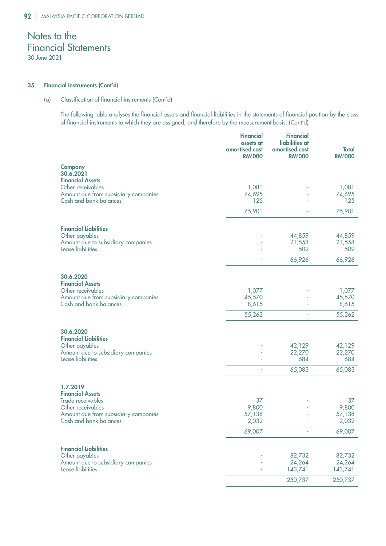### 35. Financial Instruments (Cont'd)

### (a) Classification of financial instruments (Cont'd)

The following table analyses the financial assets and financial liabilities in the statements of financial position by the class of financial instruments to which they are assigned, and therefore by the measurement basis: (Cont'd)

|                                                                                     | <b>Financial</b><br>assets at<br>amortised cost<br><b>RM'000</b> | <b>Financial</b><br>liabilities at<br>amortised cost<br><b>RM'000</b> | <b>Total</b><br><b>RM'000</b> |
|-------------------------------------------------------------------------------------|------------------------------------------------------------------|-----------------------------------------------------------------------|-------------------------------|
| <b>Company</b><br>30.6.2021<br><b>Financial Assets</b>                              |                                                                  |                                                                       |                               |
| Other receivables<br>Amount due from subsidiary companies<br>Cash and bank balances | 1,081<br>74,695<br>125                                           |                                                                       | 1,081<br>74,695<br>125        |
|                                                                                     | 75,901                                                           |                                                                       | 75,901                        |
| <b>Financial Liabilities</b><br>Other payables                                      |                                                                  | 44,859                                                                | 44,859                        |
| Amount due to subsidiary companies<br>Lease liabilities                             |                                                                  | 21,558<br>509                                                         | 21,558<br>509                 |
|                                                                                     | $\overline{a}$                                                   | 66,926                                                                | 66,926                        |
| 30.6.2020<br><b>Financial Assets</b>                                                |                                                                  |                                                                       |                               |
| Other receivables<br>Amount due from subsidiary companies<br>Cash and bank balances | 1,077<br>45,570<br>8,615                                         |                                                                       | 1,077<br>45,570<br>8,615      |
|                                                                                     | 55,262                                                           | L,                                                                    | 55,262                        |
| 30.6.2020<br><b>Financial Liabilities</b>                                           |                                                                  |                                                                       |                               |
| Other payables<br>Amount due to subsidiary companies<br>Lease liabilities           |                                                                  | 42,129<br>22,270<br>684                                               | 42,129<br>22,270<br>684       |
|                                                                                     | ä,                                                               | 65,083                                                                | 65,083                        |
| 1.7.2019<br><b>Financial Assets</b>                                                 |                                                                  |                                                                       |                               |
| Trade receivables<br>Other receivables                                              | 37<br>9,800                                                      |                                                                       | 37<br>9,800                   |
| Amount due from subsidiary companies<br>Cash and bank balances                      | 57,138<br>2,032                                                  |                                                                       | 57,138<br>2,032               |
|                                                                                     | 69,007                                                           |                                                                       | 69,007                        |
| <b>Financial Liabilities</b>                                                        |                                                                  |                                                                       |                               |
| Other payables<br>Amount due to subsidiary companies                                |                                                                  | 82,732<br>24,264                                                      | 82,732<br>24,264              |
| Lease liabilities                                                                   |                                                                  | 143,741                                                               | 143,741                       |
|                                                                                     |                                                                  | 250,737                                                               | 250,737                       |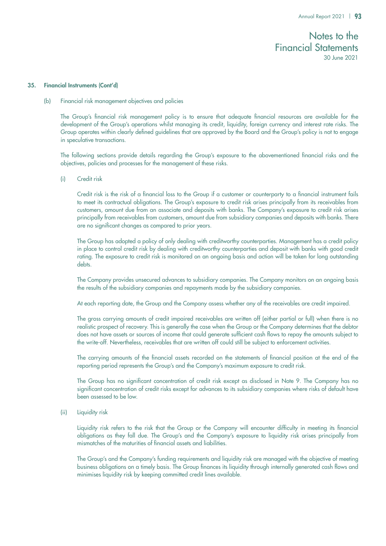#### 35. Financial Instruments (Cont'd)

(b) Financial risk management objectives and policies

The Group's financial risk management policy is to ensure that adequate financial resources are available for the development of the Group's operations whilst managing its credit, liquidity, foreign currency and interest rate risks. The Group operates within clearly defined guidelines that are approved by the Board and the Group's policy is not to engage in speculative transactions.

The following sections provide details regarding the Group's exposure to the abovementioned financial risks and the objectives, policies and processes for the management of these risks.

(i) Credit risk

Credit risk is the risk of a financial loss to the Group if a customer or counterparty to a financial instrument fails to meet its contractual obligations. The Group's exposure to credit risk arises principally from its receivables from customers, amount due from an associate and deposits with banks. The Company's exposure to credit risk arises principally from receivables from customers, amount due from subsidiary companies and deposits with banks. There are no significant changes as compared to prior years.

The Group has adopted a policy of only dealing with creditworthy counterparties. Management has a credit policy in place to control credit risk by dealing with creditworthy counterparties and deposit with banks with good credit rating. The exposure to credit risk is monitored on an ongoing basis and action will be taken for long outstanding debts.

The Company provides unsecured advances to subsidiary companies. The Company monitors on an ongoing basis the results of the subsidiary companies and repayments made by the subsidiary companies.

At each reporting date, the Group and the Company assess whether any of the receivables are credit impaired.

The gross carrying amounts of credit impaired receivables are written off (either partial or full) when there is no realistic prospect of recovery. This is generally the case when the Group or the Company determines that the debtor does not have assets or sources of income that could generate sufficient cash flows to repay the amounts subject to the write-off. Nevertheless, receivables that are written off could still be subject to enforcement activities.

The carrying amounts of the financial assets recorded on the statements of financial position at the end of the reporting period represents the Group's and the Company's maximum exposure to credit risk.

The Group has no significant concentration of credit risk except as disclosed in Note 9. The Company has no significant concentration of credit risks except for advances to its subsidiary companies where risks of default have been assessed to be low.

(ii) Liquidity risk

Liquidity risk refers to the risk that the Group or the Company will encounter difficulty in meeting its financial obligations as they fall due. The Group's and the Company's exposure to liquidity risk arises principally from mismatches of the maturities of financial assets and liabilities.

The Group's and the Company's funding requirements and liquidity risk are managed with the objective of meeting business obligations on a timely basis. The Group finances its liquidity through internally generated cash flows and minimises liquidity risk by keeping committed credit lines available.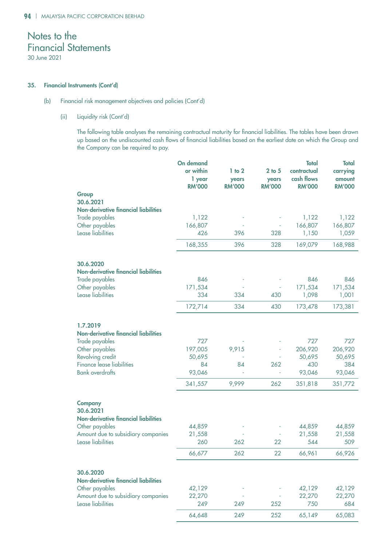### 35. Financial Instruments (Cont'd)

### (b) Financial risk management objectives and policies (Cont'd)

### (ii) Liquidity risk (Cont'd)

The following table analyses the remaining contractual maturity for financial liabilities. The tables have been drawn up based on the undiscounted cash flows of financial liabilities based on the earliest date on which the Group and the Company can be required to pay.

|                                             | On demand     |               |               | <b>Total</b>  | <b>Total</b>  |
|---------------------------------------------|---------------|---------------|---------------|---------------|---------------|
|                                             | or within     | $1$ to $2$    | $2$ to $5$    | contractual   | carrying      |
|                                             | 1 year        | years         | years         | cash flows    | amount        |
|                                             | <b>RM'000</b> | <b>RM'000</b> | <b>RM'000</b> | <b>RM'000</b> | <b>RM'000</b> |
| Group                                       |               |               |               |               |               |
| 30.6.2021                                   |               |               |               |               |               |
| <b>Non-derivative financial liabilities</b> |               |               |               |               |               |
|                                             |               |               |               |               |               |
| Trade payables                              | 1,122         |               |               | 1,122         | 1,122         |
| Other payables                              | 166,807       |               |               | 166,807       | 166,807       |
| Lease liabilities                           | 426           | 396           | 328           | 1,150         | 1,059         |
|                                             | 168,355       | 396           | 328           | 169,079       | 168,988       |
| 30.6.2020                                   |               |               |               |               |               |
| <b>Non-derivative financial liabilities</b> |               |               |               |               |               |
|                                             |               |               |               |               |               |
| Trade payables                              | 846           |               |               | 846           | 846           |
| Other payables                              | 171,534       |               |               | 171,534       | 171,534       |
| Lease liabilities                           | 334           | 334           | 430           | 1,098         | 1,001         |
|                                             | 172,714       | 334           | 430           | 173,478       | 173,381       |
|                                             |               |               |               |               |               |
| 1.7.2019                                    |               |               |               |               |               |
| <b>Non-derivative financial liabilities</b> |               |               |               |               |               |
| Trade payables                              | 727           |               |               | 727           | 727           |
| Other payables                              | 197,005       | 9,915         |               | 206,920       | 206,920       |
| Revolving credit                            | 50,695        |               |               | 50,695        | 50,695        |
| Finance lease liabilities                   | 84            | 84            | 262           | 430           | 384           |
| <b>Bank</b> overdrafts                      | 93,046        |               |               | 93,046        | 93,046        |
|                                             |               |               |               |               |               |
|                                             | 341,557       | 9,999         | 262           | 351,818       | 351,772       |
| <b>Company</b>                              |               |               |               |               |               |
| 30.6.2021                                   |               |               |               |               |               |
| <b>Non-derivative financial liabilities</b> |               |               |               |               |               |
| Other payables                              | 44,859        |               |               | 44,859        | 44,859        |
| Amount due to subsidiary companies          | 21,558        |               |               | 21,558        | 21,558        |
| Lease liabilities                           | 260           | 262           | 22            | 544           | 509           |
|                                             |               |               |               |               |               |
|                                             | 66,677        | 262           | 22            | 66,961        | 66,926        |
|                                             |               |               |               |               |               |
| 30.6.2020                                   |               |               |               |               |               |
| <b>Non-derivative financial liabilities</b> |               |               |               |               |               |
| Other payables                              | 42,129        |               |               | 42,129        | 42,129        |
| Amount due to subsidiary companies          | 22,270        |               |               | 22,270        | 22,270        |
| Lease liabilities                           | 249           | 249           | 252           | 750           | 684           |
|                                             | 64,648        | 249           | 252           | 65,149        | 65,083        |
|                                             |               |               |               |               |               |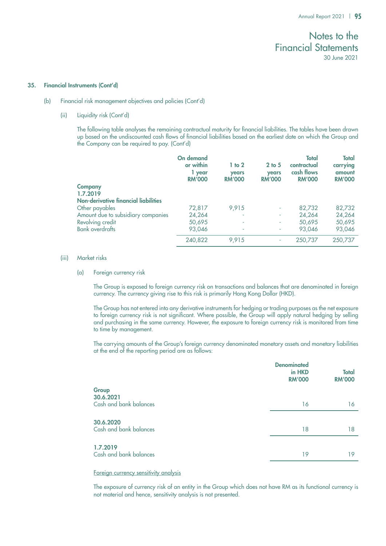#### 35. Financial Instruments (Cont'd)

- (b) Financial risk management objectives and policies (Cont'd)
	- (ii) Liquidity risk (Cont'd)

The following table analyses the remaining contractual maturity for financial liabilities. The tables have been drawn up based on the undiscounted cash flows of financial liabilities based on the earliest date on which the Group and the Company can be required to pay. (Cont'd)

|                                      | On demand<br>or within<br>1 year<br><b>RM'000</b> | $1$ to $2$<br><b>years</b><br><b>RM'000</b> | $2$ to $5$<br>years<br><b>RM'000</b> | Total<br>contractual<br>cash flows<br><b>RM'000</b> | <b>Total</b><br>carrying<br>amount<br><b>RM'000</b> |
|--------------------------------------|---------------------------------------------------|---------------------------------------------|--------------------------------------|-----------------------------------------------------|-----------------------------------------------------|
| <b>Company</b>                       |                                                   |                                             |                                      |                                                     |                                                     |
| 1.7.2019                             |                                                   |                                             |                                      |                                                     |                                                     |
| Non-derivative financial liabilities |                                                   |                                             |                                      |                                                     |                                                     |
| Other payables                       | 72,817                                            | 9.915                                       | ٠                                    | 82,732                                              | 82,732                                              |
| Amount due to subsidiary companies   | 24,264                                            | ٠                                           | ٠                                    | 24,264                                              | 24,264                                              |
| Revolving credit                     | 50,695                                            | ٠                                           | ٠                                    | 50,695                                              | 50,695                                              |
| <b>Bank overdrafts</b>               | 93,046                                            | ٠                                           | ٠                                    | 93.046                                              | 93,046                                              |
|                                      | 240,822                                           | 9,915                                       | ۰                                    | 250,737                                             | 250,737                                             |

### (iii) Market risks

### (a) Foreign currency risk

The Group is exposed to foreign currency risk on transactions and balances that are denominated in foreign currency. The currency giving rise to this risk is primarily Hong Kong Dollar (HKD).

The Group has not entered into any derivative instruments for hedging or trading purposes as the net exposure to foreign currency risk is not significant. Where possible, the Group will apply natural hedging by selling and purchasing in the same currency. However, the exposure to foreign currency risk is monitored from time to time by management.

The carrying amounts of the Group's foreign currency denominated monetary assets and monetary liabilities at the end of the reporting period are as follows:

|                                              | <b>Denominated</b><br>in HKD<br><b>RM'000</b> | <b>Total</b><br><b>RM'000</b> |
|----------------------------------------------|-----------------------------------------------|-------------------------------|
| Group<br>30.6.2021<br>Cash and bank balances | 16                                            | 16                            |
| 30.6.2020<br>Cash and bank balances          | 18                                            | 18                            |
| 1.7.2019<br>Cash and bank balances           | 19                                            | 19                            |

### Foreign currency sensitivity analysis

The exposure of currency risk of an entity in the Group which does not have RM as its functional currency is not material and hence, sensitivity analysis is not presented.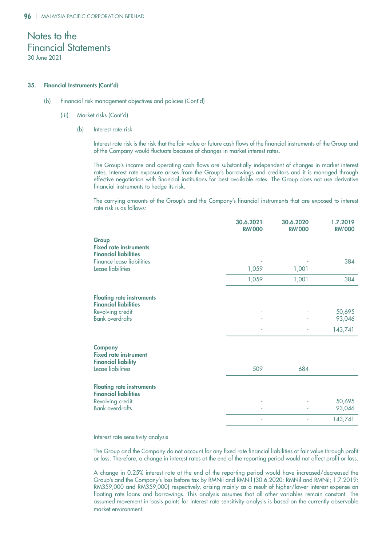#### 35. Financial Instruments (Cont'd)

- (b) Financial risk management objectives and policies (Cont'd)
	- (iii) Market risks (Cont'd)
		- (b) Interest rate risk

Interest rate risk is the risk that the fair value or future cash flows of the financial instruments of the Group and of the Company would fluctuate because of changes in market interest rates.

The Group's income and operating cash flows are substantially independent of changes in market interest rates. Interest rate exposure arises from the Group's borrowings and creditors and it is managed through effective negotiation with financial institutions for best available rates. The Group does not use derivative financial instruments to hedge its risk.

The carrying amounts of the Group's and the Company's financial instruments that are exposed to interest rate risk is as follows:

|                                                                              | 30.6.2021<br><b>RM'000</b> | 30.6.2020<br><b>RM'000</b> | 1.7.2019<br><b>RM'000</b> |
|------------------------------------------------------------------------------|----------------------------|----------------------------|---------------------------|
| Group<br><b>Fixed rate instruments</b><br><b>Financial liabilities</b>       |                            |                            |                           |
| <b>Finance lease liabilities</b><br>Lease liabilities                        | 1,059                      | 1,001                      | 384                       |
|                                                                              | 1,059                      | 1,001                      | 384                       |
| <b>Floating rate instruments</b><br><b>Financial liabilities</b>             |                            |                            |                           |
| Revolving credit<br><b>Bank overdrafts</b>                                   |                            |                            | 50,695<br>93,046          |
|                                                                              |                            |                            | 143,741                   |
| <b>Company</b><br><b>Fixed rate instrument</b><br><b>Financial liability</b> |                            |                            |                           |
| Lease liabilities                                                            | 509                        | 684                        |                           |
| <b>Floating rate instruments</b><br><b>Financial liabilities</b>             |                            |                            |                           |
| Revolving credit<br><b>Bank overdrafts</b>                                   |                            |                            | 50,695<br>93,046          |
|                                                                              |                            |                            | 143,741                   |

### Interest rate sensitivity analysis

The Group and the Company do not account for any fixed rate financial liabilities at fair value through profit or loss. Therefore, a change in interest rates at the end of the reporting period would not affect profit or loss.

A change in 0.25% interest rate at the end of the reporting period would have increased/decreased the Group's and the Company's loss before tax by RMNil and RMNil (30.6.2020: RMNil and RMNil; 1.7.2019: RM359,000 and RM359,000) respectively, arising mainly as a result of higher/lower interest expense on floating rate loans and borrowings. This analysis assumes that all other variables remain constant. The assumed movement in basis points for interest rate sensitivity analysis is based on the currently observable market environment.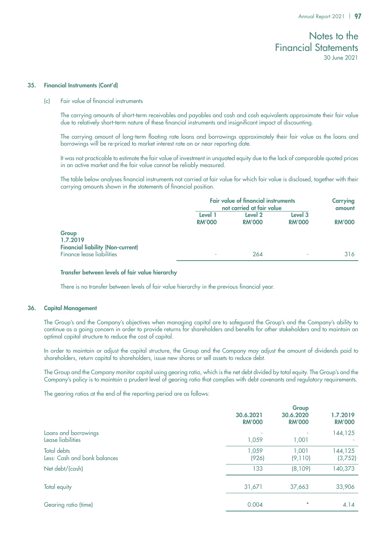#### 35. Financial Instruments (Cont'd)

(c) Fair value of financial instruments

The carrying amounts of short-term receivables and payables and cash and cash equivalents approximate their fair value due to relatively short-term nature of these financial instruments and insignificant impact of discounting.

The carrying amount of long-term floating rate loans and borrowings approximately their fair value as the loans and borrowings will be re-priced to market interest rate on or near reporting date.

It was not practicable to estimate the fair value of investment in unquoted equity due to the lack of comparable quoted prices in an active market and the fair value cannot be reliably measured.

The table below analyses financial instruments not carried at fair value for which fair value is disclosed, together with their carrying amounts shown in the statements of financial position.

|                                                               |                          | <b>Fair value of financial instruments</b><br>not carried at fair value |                          |               |
|---------------------------------------------------------------|--------------------------|-------------------------------------------------------------------------|--------------------------|---------------|
|                                                               | Level 1<br><b>RM'000</b> | Level 2<br><b>RM'000</b>                                                | Level 3<br><b>RM'000</b> | <b>RM'000</b> |
| Group<br>1.7.2019<br><b>Financial liability (Non-current)</b> |                          |                                                                         |                          |               |
| Finance lease liabilities                                     |                          | 264                                                                     | ٠                        | 316           |

### Transfer between levels of fair value hierarchy

There is no transfer between levels of fair value hierarchy in the previous financial year.

### 36. Capital Management

The Group's and the Company's objectives when managing capital are to safeguard the Group's and the Company's ability to continue as a going concern in order to provide returns for shareholders and benefits for other stakeholders and to maintain an optimal capital structure to reduce the cost of capital.

In order to maintain or adjust the capital structure, the Group and the Company may adjust the amount of dividends paid to shareholders, return capital to shareholders, issue new shares or sell assets to reduce debt.

The Group and the Company monitor capital using gearing ratio, which is the net debt divided by total equity. The Group's and the Company's policy is to maintain a prudent level of gearing ratio that complies with debt covenants and regulatory requirements.

The gearing ratios at the end of the reporting period are as follows:

|                                             | 30.6.2021<br><b>RM'000</b> | Group<br>30.6.2020<br><b>RM'000</b> | 1.7.2019<br><b>RM'000</b> |
|---------------------------------------------|----------------------------|-------------------------------------|---------------------------|
| Loans and borrowings<br>Lease liabilities   | 1,059                      | 1,001                               | 144,125                   |
| Total debts<br>Less: Cash and bank balances | 1,059<br>(926)             | 1,001<br>(9,110)                    | 144,125<br>(3,752)        |
| Net debt/(cash)                             | 133                        | (8,109)                             | 140,373                   |
| Total equity                                | 31,671                     | 37,663                              | 33,906                    |
| Gearing ratio (time)                        | 0.004                      | 米                                   | 4.14                      |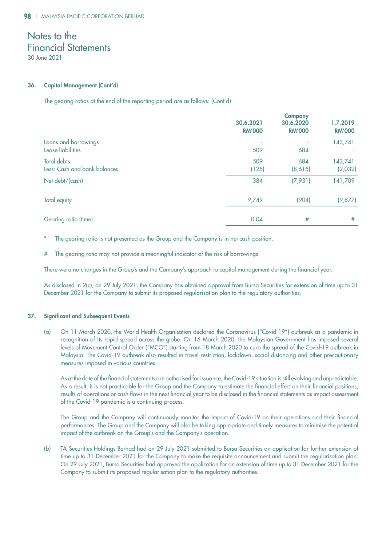30 June 2021

### 36. Capital Management (Cont'd)

The gearing ratios at the end of the reporting period are as follows: (Cont'd)

|                                                    | 30.6.2021<br><b>RM'000</b> | <b>Company</b><br>30.6.2020<br><b>RM'000</b> | 1.7.2019<br><b>RM'000</b> |
|----------------------------------------------------|----------------------------|----------------------------------------------|---------------------------|
| Loans and borrowings<br>Lease liabilities          | 509                        | 684                                          | 143,741                   |
| <b>Total debts</b><br>Less: Cash and bank balances | 509<br>(125)               | 684<br>(8,615)                               | 143,741<br>(2,032)        |
| Net debt/(cash)                                    | 384                        | (7,931)                                      | 141,709                   |
| Total equity                                       | 9,749                      | (904)                                        | (9, 877)                  |
| Gearing ratio (time)                               | 0.04                       | #                                            | #                         |

The gearing ratio is not presented as the Group and the Company is in net cash position.

The gearing ratio may not provide a meaningful indicator of the risk of borrowings.

There were no changes in the Group's and the Company's approach to capital management during the financial year.

As disclosed in 2(c), on 29 July 2021, the Company has obtained approval from Bursa Securities for extension of time up to 31 December 2021 for the Company to submit its proposed regularisation plan to the regulatory authorities.

### 37. Significant and Subsequent Events

(a) On 11 March 2020, the World Health Organisation declared the Coronavirus ("Covid-19") outbreak as a pandemic in recognition of its rapid spread across the globe. On 16 March 2020, the Malaysian Government has imposed several levels of Movement Control Order ("MCO") starting from 18 March 2020 to curb the spread of the Covid-19 outbreak in Malaysia. The Covid-19 outbreak also resulted in travel restriction, lockdown, social distancing and other precautionary measures imposed in various countries.

As at the date of the financial statements are authorised for issuance, the Covid-19 situation is still evolving and unpredictable. As a result, it is not practicable for the Group and the Company to estimate the financial effect on their financial positions, results of operations or cash flows in the next financial year to be disclosed in the financial statements as impact assessment of the Covid-19 pandemic is a continuing process.

The Group and the Company will continuously monitor the impact of Covid-19 on their operations and their financial performances. The Group and the Company will also be taking appropriate and timely measures to minimise the potential impact of the outbreak on the Group's and the Company's operation.

(b) TA Securities Holdings Berhad had on 29 July 2021 submitted to Bursa Securities an application for further extension of time up to 31 December 2021 for the Company to make the requisite announcement and submit the regularisation plan. On 29 July 2021, Bursa Securities had approved the application for an extension of time up to 31 December 2021 for the Company to submit its proposed regularisation plan to the regulatory authorities.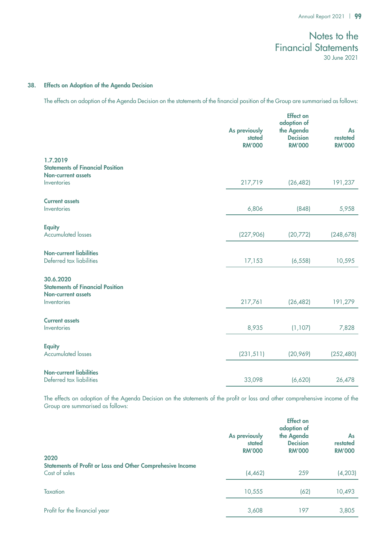### 38. Effects on Adoption of the Agenda Decision

The effects on adoption of the Agenda Decision on the statements of the financial position of the Group are summarised as follows:

|                                                                                   | As previously<br>stated<br><b>RM'000</b> | <b>Effect on</b><br>adoption of<br>the Agenda<br><b>Decision</b><br><b>RM'000</b> | As<br>restated<br><b>RM'000</b> |
|-----------------------------------------------------------------------------------|------------------------------------------|-----------------------------------------------------------------------------------|---------------------------------|
| 1.7.2019<br><b>Statements of Financial Position</b><br><b>Non-current assets</b>  |                                          |                                                                                   |                                 |
| Inventories                                                                       | 217,719                                  | (26, 482)                                                                         | 191,237                         |
| <b>Current assets</b><br>Inventories                                              | 6,806                                    | (848)                                                                             | 5,958                           |
| <b>Equity</b><br><b>Accumulated losses</b>                                        | (227,906)                                | (20, 772)                                                                         | (248, 678)                      |
| <b>Non-current liabilities</b><br>Deferred tax liabilities                        | 17,153                                   | (6, 558)                                                                          | 10,595                          |
| 30.6.2020<br><b>Statements of Financial Position</b><br><b>Non-current assets</b> |                                          |                                                                                   |                                 |
| Inventories                                                                       | 217,761                                  | (26, 482)                                                                         | 191,279                         |
| <b>Current assets</b>                                                             |                                          |                                                                                   |                                 |
| Inventories                                                                       | 8,935                                    | (1, 107)                                                                          | 7,828                           |
| <b>Equity</b><br><b>Accumulated losses</b>                                        | (231, 511)                               | (20,969)                                                                          | (252, 480)                      |
| <b>Non-current liabilities</b><br>Deferred tax liabilities                        | 33,098                                   | (6,620)                                                                           | 26,478                          |

The effects on adoption of the Agenda Decision on the statements of the profit or loss and other comprehensive income of the Group are summarised as follows:

|                                                                                     | As previously<br>stated<br><b>RM'000</b> | <b>Effect on</b><br>adoption of<br>the Agenda<br><b>Decision</b><br><b>RM'000</b> | As<br>restated<br><b>RM'000</b> |
|-------------------------------------------------------------------------------------|------------------------------------------|-----------------------------------------------------------------------------------|---------------------------------|
| 2020<br>Statements of Profit or Loss and Other Comprehesive Income<br>Cost of sales | (4, 462)                                 | 259                                                                               | (4, 203)                        |
| <b>Taxation</b>                                                                     | 10,555                                   | (62)                                                                              | 10,493                          |
| Profit for the financial year                                                       | 3,608                                    | 197                                                                               | 3,805                           |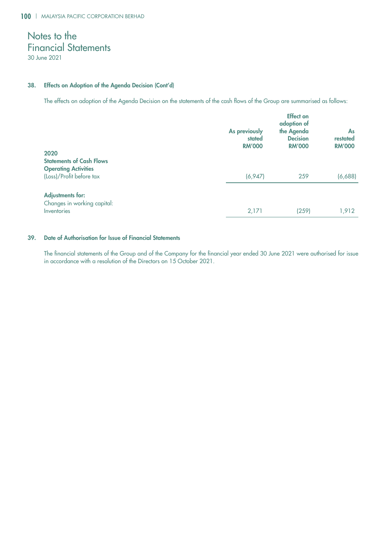### 38. Effects on Adoption of the Agenda Decision (Cont'd)

The effects on adoption of the Agenda Decision on the statements of the cash flows of the Group are summarised as follows:

| 2020                                                                                       | As previously<br>stated<br><b>RM'000</b> | <b>Effect on</b><br>adoption of<br>the Agenda<br><b>Decision</b><br><b>RM'000</b> | As<br>restated<br><b>RM'000</b> |
|--------------------------------------------------------------------------------------------|------------------------------------------|-----------------------------------------------------------------------------------|---------------------------------|
| <b>Statements of Cash Flows</b><br><b>Operating Activities</b><br>(Loss)/Profit before tax | (6, 947)                                 | 259                                                                               | (6,688)                         |
| <b>Adjustments for:</b><br>Changes in working capital:<br>Inventories                      | 2,171                                    | (259)                                                                             | 1,912                           |

## 39. Date of Authorisation for Issue of Financial Statements

The financial statements of the Group and of the Company for the financial year ended 30 June 2021 were authorised for issue in accordance with a resolution of the Directors on 15 October 2021.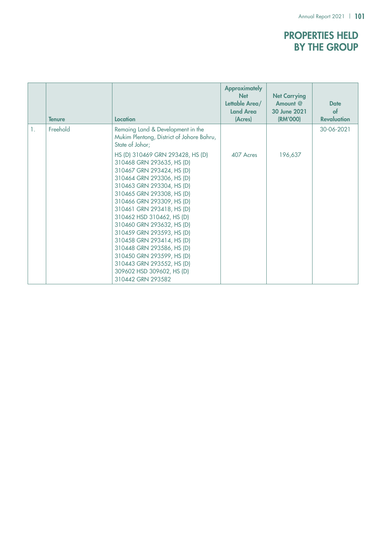# Properties Held by the Group

|                | <b>Tenure</b> | Location                                                                                                                                                                                                                                                                                                                                                                                                                                                                                                                                                    | <b>Approximately</b><br><b>Net</b><br>Lettable Area/<br><b>Land Area</b><br>(Acres) | <b>Net Carrying</b><br>Amount $@$<br>30 June 2021<br>(RM'000) | <b>Date</b><br>$\mathbf{f}$<br><b>Revaluation</b> |
|----------------|---------------|-------------------------------------------------------------------------------------------------------------------------------------------------------------------------------------------------------------------------------------------------------------------------------------------------------------------------------------------------------------------------------------------------------------------------------------------------------------------------------------------------------------------------------------------------------------|-------------------------------------------------------------------------------------|---------------------------------------------------------------|---------------------------------------------------|
| $\mathbf{1}$ . | Freehold      | Remaing Land & Development in the<br>Mukim Plentong, District of Johore Bahru,<br>State of Johor;<br>HS (D) 310469 GRN 293428, HS (D)<br>310468 GRN 293635, HS (D)<br>310467 GRN 293424, HS (D)<br>310464 GRN 293306, HS (D)<br>310463 GRN 293304, HS (D)<br>310465 GRN 293308, HS (D)<br>310466 GRN 293309, HS (D)<br>310461 GRN 293418, HS (D)<br>310462 HSD 310462, HS (D)<br>310460 GRN 293632, HS (D)<br>310459 GRN 293593, HS (D)<br>310458 GRN 293414, HS (D)<br>310448 GRN 293586, HS (D)<br>310450 GRN 293599, HS (D)<br>310443 GRN 293552, HS (D) | 407 Acres                                                                           | 196,637                                                       | 30-06-2021                                        |
|                |               | 309602 HSD 309602, HS (D)<br>310442 GRN 293582                                                                                                                                                                                                                                                                                                                                                                                                                                                                                                              |                                                                                     |                                                               |                                                   |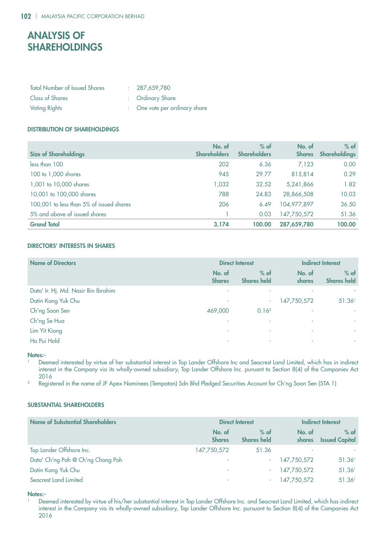# Analysis of **SHAREHOLDINGS**

| <b>Total Number of Issued Shares</b> | : 287,659,780                 |
|--------------------------------------|-------------------------------|
| <b>Class of Shares</b>               | : Ordinary Share              |
| <b>Voting Rights</b>                 | : One vote per ordinary share |

### Distribution of Shareholdings

| <b>Size of Shareholdings</b>             | No. of<br><b>Shareholders</b> | $%$ of<br><b>Shareholders</b> | No. of<br><b>Shares</b> | $%$ of<br><b>Shareholdings</b> |
|------------------------------------------|-------------------------------|-------------------------------|-------------------------|--------------------------------|
| less than 100                            | 202                           | 6.36                          | 7,123                   | 0.00                           |
| 100 to 1,000 shares                      | 945                           | 29.77                         | 815,814                 | 0.29                           |
| 1,001 to 10,000 shares                   | 1,032                         | 32.52                         | 5,241,866               | 1.82                           |
| 10,001 to 100,000 shares                 | 788                           | 24.83                         | 28,866,508              | 10.03                          |
| 100,001 to less than 5% of issued shares | 206                           | 6.49                          | 104,977,897             | 36.50                          |
| 5% and above of issued shares            |                               | 0.03                          | 147,750,572             | 51.36                          |
| <b>Grand Total</b>                       | 3,174                         | 100.00                        | 287,659,780             | 100.00                         |

### Directors' Interests in Shares

| <b>Name of Directors</b>            | <b>Direct Interest</b>  |                              | <b>Indirect Interest</b> |                              |
|-------------------------------------|-------------------------|------------------------------|--------------------------|------------------------------|
|                                     | No. of<br><b>Shares</b> | $%$ of<br><b>Shares held</b> | No. of<br>shares         | $%$ of<br><b>Shares held</b> |
| Dato' Ir. Hj. Md. Nasir Bin Ibrahim | ٠                       |                              |                          |                              |
| Datin Kong Yuk Chu                  | ٠                       | ۰.                           | 147,750,572              | 51.36 <sup>1</sup>           |
| Ch'ng Soon Sen                      | 469,000                 | 0.16 <sup>2</sup>            | ٠                        | $\overline{\phantom{a}}$     |
| Ch'ng Se Hua                        | ٠                       | ٠                            | ٠                        | $\overline{\phantom{a}}$     |
| Lim Yit Kiong                       | ٠                       | ÷                            | ٠                        | ٠                            |
| Ho Pui Hold                         | ٠                       | ۰                            | ٠                        | ٠                            |

Notes:-

<sup>1</sup> Deemed interested by virtue of her substantial interest in Top Lander Offshore Inc and Seacrest Land Limited, which has in indirect interest in the Company via its wholly-owned subsidiary, Top Lander Offshore Inc. puruant to Section 8(4) of the Companies Act 2016

<sup>2</sup> Registered in the name of JF Apex Nominees (Tempatan) Sdn Bhd Pledged Securities Account for Ch'ng Soon Sen (STA 1)

### Substantial Shareholders

| <b>Name of Substantial Shareholders</b> | <b>Direct Interest</b>  |                              | <b>Indirect Interest</b> |                                 |
|-----------------------------------------|-------------------------|------------------------------|--------------------------|---------------------------------|
|                                         | No. of<br><b>Shares</b> | $%$ of<br><b>Shares held</b> | No. of<br><b>shares</b>  | $%$ of<br><b>Issued Capital</b> |
| Top Lander Offshore Inc.                | 147,750,572             | 51.36                        | ٠                        |                                 |
| Dato' Ch'ng Poh @ Ch'ng Chong Poh       | ۰                       | $\sim$                       | 147,750,572              | 51.36 <sup>1</sup>              |
| Datin Kong Yuk Chu                      | ٠                       | $\sim$                       | 147,750,572              | 51.36 <sup>1</sup>              |
| Seacrest Land Limited                   |                         |                              | 147,750,572              | 51.36 <sup>1</sup>              |

### Notes:-

<sup>1</sup> Deemed interested by virtue of his/her substantial interest in Top Lander Offshore Inc. and Seacrest Land Limited, which has indirect interest in the Company via its wholly-owned subsidiary, Top Lander Offshore Inc. pursuant to Section 8(4) of the Companies Act 2016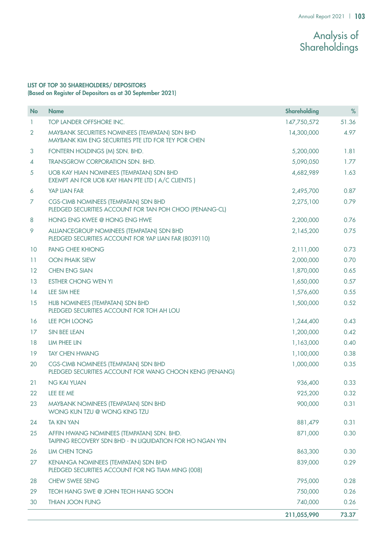# Analysis of Shareholdings

## LIST OF TOP 30 SHAREHOLDERS/ DEPOSITORS (Based on Register of Depositors as at 30 September 2021)

| <b>No</b>      | <b>Name</b>                                                                                            | <b>Shareholding</b> | $\%$  |
|----------------|--------------------------------------------------------------------------------------------------------|---------------------|-------|
| $\mathbf{1}$   | TOP LANDER OFFSHORE INC.                                                                               | 147,750,572         | 51.36 |
| $\overline{2}$ | MAYBANK SECURITIES NOMINEES (TEMPATAN) SDN BHD<br>MAYBANK KIM ENG SECURITIES PTE LTD FOR TEY POR CHEN  | 14,300,000          | 4.97  |
| 3              | FONTERN HOLDINGS (M) SDN. BHD.                                                                         | 5,200,000           | 1.81  |
| $\overline{4}$ | TRANSGROW CORPORATION SDN. BHD.                                                                        | 5,090,050           | 1.77  |
| 5              | <b>UOB KAY HIAN NOMINEES (TEMPATAN) SDN BHD</b><br>EXEMPT AN FOR UOB KAY HIAN PTE LTD ( A/C CLIENTS )  | 4,682,989           | 1.63  |
| 6              | YAP LIAN FAR                                                                                           | 2,495,700           | 0.87  |
| 7              | <b>CGS-CIMB NOMINEES (TEMPATAN) SDN BHD</b><br>PLEDGED SECURITIES ACCOUNT FOR TAN POH CHOO (PENANG-CL) | 2,275,100           | 0.79  |
| 8              | HONG ENG KWEE @ HONG ENG HWE                                                                           | 2,200,000           | 0.76  |
| 9              | ALLIANCEGROUP NOMINEES (TEMPATAN) SDN BHD<br>PLEDGED SECURITIES ACCOUNT FOR YAP LIAN FAR (8039110)     | 2,145,200           | 0.75  |
| 10             | <b>PANG CHEE KHIONG</b>                                                                                | 2,111,000           | 0.73  |
| 11             | <b>OON PHAIK SIEW</b>                                                                                  | 2,000,000           | 0.70  |
| 12             | <b>CHEN ENG SIAN</b>                                                                                   | 1,870,000           | 0.65  |
| 13             | <b>ESTHER CHONG WEN YI</b>                                                                             | 1,650,000           | 0.57  |
| 14             | LEE SIM HEE                                                                                            | 1,576,600           | 0.55  |
| 15             | HLIB NOMINEES (TEMPATAN) SDN BHD<br>PLEDGED SECURITIES ACCOUNT FOR TOH AH LOU                          | 1,500,000           | 0.52  |
| 16             | LEE POH LOONG                                                                                          | 1,244,400           | 0.43  |
| 17             | SIN BEE LEAN                                                                                           | 1,200,000           | 0.42  |
| 18             | LIM PHEE LIN                                                                                           | 1,163,000           | 0.40  |
| 19             | <b>TAY CHEN HWANG</b>                                                                                  | 1,100,000           | 0.38  |
| 20             | <b>CGS-CIMB NOMINEES (TEMPATAN) SDN BHD</b><br>PLEDGED SECURITIES ACCOUNT FOR WANG CHOON KENG (PENANG) | 1,000,000           | 0.35  |
| 21             | <b>NG KAI YUAN</b>                                                                                     | 936,400             | 0.33  |
| 22             | LEE EE ME                                                                                              | 925,200             | 0.32  |
| 23             | MAYBANK NOMINEES (TEMPATAN) SDN BHD<br>WONG KUN TZU @ WONG KING TZU                                    | 900,000             | 0.31  |
| 24             | <b>TA KIN YAN</b>                                                                                      | 881,479             | 0.31  |
| 25             | AFFIN HWANG NOMINEES (TEMPATAN) SDN. BHD.<br>TAIPING RECOVERY SDN BHD - IN LIQUIDATION FOR HO NGAN YIN | 871,000             | 0.30  |
| 26             | <b>LIM CHEN TONG</b>                                                                                   | 863,300             | 0.30  |
| 27             | <b>KENANGA NOMINEES (TEMPATAN) SDN BHD</b><br>PLEDGED SECURITIES ACCOUNT FOR NG TIAM MING (008)        | 839,000             | 0.29  |
| 28             | <b>CHEW SWEE SENG</b>                                                                                  | 795,000             | 0.28  |
| 29             | TEOH HANG SWE @ JOHN TEOH HANG SOON                                                                    | 750,000             | 0.26  |
| 30             | <b>THIAN JOON FUNG</b>                                                                                 | 740,000             | 0.26  |
|                |                                                                                                        | 211,055,990         | 73.37 |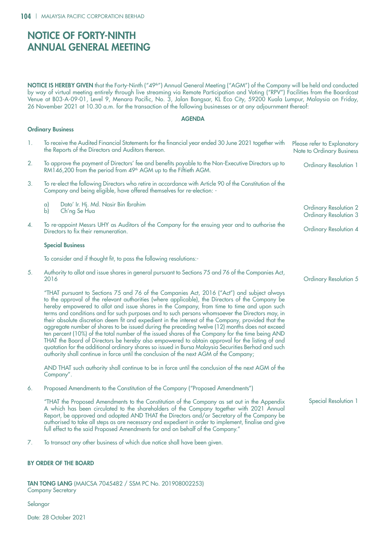Ordinary Business

# Notice of FORTY-NINTH Annual General Meeting

**NOTICE IS HEREBY GIVEN** that the Forty-Ninth ("49<sup>th</sup>") Annual General Meeting ("AGM") of the Company will be held and conducted by way of virtual meeting entirely through live streaming via Remote Participation and Voting ("RPV") Facilities from the Boardcast Venue at B03-A-09-01, Level 9, Menara Pacific, No. 3, Jalan Bangsar, KL Eco City, 59200 Kuala Lumpur, Malaysia on Friday, 26 November 2021 at 10.30 a.m. for the transaction of the following businesses or at any adjournment thereof:

### AGENDA

| $\mathbf{1}$ . | To receive the Audited Financial Statements for the financial year ended 30 June 2021 together with<br>the Reports of the Directors and Auditors thereon.                                                                                                                                                                                                                                                                                                                                                                                                                                                                                                                                                                                                                                                                                                                                                                                                                                                      | Please refer to Explanatory<br>Note to Ordinary Business     |
|----------------|----------------------------------------------------------------------------------------------------------------------------------------------------------------------------------------------------------------------------------------------------------------------------------------------------------------------------------------------------------------------------------------------------------------------------------------------------------------------------------------------------------------------------------------------------------------------------------------------------------------------------------------------------------------------------------------------------------------------------------------------------------------------------------------------------------------------------------------------------------------------------------------------------------------------------------------------------------------------------------------------------------------|--------------------------------------------------------------|
| 2.             | To approve the payment of Directors' fee and benefits payable to the Non-Executive Directors up to<br>RM146,200 from the period from 49th AGM up to the Fiftieth AGM.                                                                                                                                                                                                                                                                                                                                                                                                                                                                                                                                                                                                                                                                                                                                                                                                                                          | <b>Ordinary Resolution 1</b>                                 |
| 3.             | To re-elect the following Directors who retire in accordance with Article 90 of the Constitution of the<br>Company and being eligible, have offered themselves for re-election: -                                                                                                                                                                                                                                                                                                                                                                                                                                                                                                                                                                                                                                                                                                                                                                                                                              |                                                              |
|                | Dato' Ir. Hj. Md. Nasir Bin Ibrahim<br>$\alpha$<br>$\mathsf{b}$<br>Ch'ng Se Hua                                                                                                                                                                                                                                                                                                                                                                                                                                                                                                                                                                                                                                                                                                                                                                                                                                                                                                                                | <b>Ordinary Resolution 2</b><br><b>Ordinary Resolution 3</b> |
| 4.             | To re-appoint Messrs UHY as Auditors of the Company for the ensuing year and to authorise the<br>Directors to fix their remuneration.                                                                                                                                                                                                                                                                                                                                                                                                                                                                                                                                                                                                                                                                                                                                                                                                                                                                          | Ordinary Resolution 4                                        |
|                | <b>Special Business</b>                                                                                                                                                                                                                                                                                                                                                                                                                                                                                                                                                                                                                                                                                                                                                                                                                                                                                                                                                                                        |                                                              |
|                | To consider and if thought fit, to pass the following resolutions:-                                                                                                                                                                                                                                                                                                                                                                                                                                                                                                                                                                                                                                                                                                                                                                                                                                                                                                                                            |                                                              |
| 5.             | Authority to allot and issue shares in general pursuant to Sections 75 and 76 of the Companies Act,<br>2016                                                                                                                                                                                                                                                                                                                                                                                                                                                                                                                                                                                                                                                                                                                                                                                                                                                                                                    | <b>Ordinary Resolution 5</b>                                 |
|                | "THAT pursuant to Sections 75 and 76 of the Companies Act, 2016 ("Act") and subject always<br>to the approval of the relevant authorities (where applicable), the Directors of the Company be<br>hereby empowered to allot and issue shares in the Company, from time to time and upon such<br>terms and conditions and for such purposes and to such persons whomsoever the Directors may, in<br>their absolute discretion deem fit and expedient in the interest of the Company, provided that the<br>aggregate number of shares to be issued during the preceding twelve (12) months does not exceed<br>ten percent (10%) of the total number of the issued shares of the Company for the time being AND<br>THAT the Board of Directors be hereby also empowered to obtain approval for the listing of and<br>quotation for the additional ordinary shares so issued in Bursa Malaysia Securities Berhad and such<br>authority shall continue in force until the conclusion of the next AGM of the Company; |                                                              |
|                | AND THAT such authority shall continue to be in force until the conclusion of the next AGM of the<br>Company".                                                                                                                                                                                                                                                                                                                                                                                                                                                                                                                                                                                                                                                                                                                                                                                                                                                                                                 |                                                              |
| 6.             | Proposed Amendments to the Constitution of the Company ("Proposed Amendments")                                                                                                                                                                                                                                                                                                                                                                                                                                                                                                                                                                                                                                                                                                                                                                                                                                                                                                                                 |                                                              |
|                | "THAT the Proposed Amendments to the Constitution of the Company as set out in the Appendix<br>A which has been circulated to the shareholders of the Company together with 2021 Annual<br>Report, be approved and adopted AND THAT the Directors and/or Secretary of the Company be<br>authorised to take all steps as are necessary and expedient in order to implement, finalise and give<br>full effect to the said Proposed Amendments for and on behalf of the Company."                                                                                                                                                                                                                                                                                                                                                                                                                                                                                                                                 | Special Resolution 1                                         |
|                |                                                                                                                                                                                                                                                                                                                                                                                                                                                                                                                                                                                                                                                                                                                                                                                                                                                                                                                                                                                                                |                                                              |

7. To transact any other business of which due notice shall have been given.

### BY ORDER OF THE BOARD

TAN TONG LANG (MAICSA 7045482 / SSM PC No. 201908002253) Company Secretary

Selangor

Date: 28 October 2021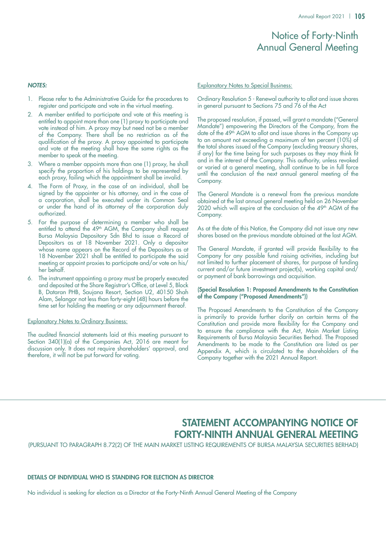# Notice of Forty-Ninth Annual General Meeting

#### *NOTES:*

- 1. Please refer to the Administrative Guide for the procedures to register and participate and vote in the virtual meeting.
- A member entitled to participate and vote at this meeting is entitled to appoint more than one (1) proxy to participate and vote instead of him. A proxy may but need not be a member of the Company. There shall be no restriction as of the qualification of the proxy. A proxy appointed to participate and vote at the meeting shall have the same rights as the member to speak at the meeting.
- 3. Where a member appoints more than one (1) proxy, he shall specify the proportion of his holdings to be represented by each proxy, failing which the appointment shall be invalid.
- 4. The Form of Proxy, in the case of an individual, shall be signed by the appointer or his attorney, and in the case of a corporation, shall be executed under its Common Seal or under the hand of its attorney of the corporation duly authorized.
- 5. For the purpose of determining a member who shall be entitled to attend the 49<sup>th</sup> AGM, the Company shall request Bursa Malaysia Depository Sdn Bhd to issue a Record of Depositors as at 18 November 2021. Only a depositor whose name appears on the Record of the Depositors as at 18 November 2021 shall be entitled to participate the said meeting or appoint proxies to participate and/or vote on his/ her behalf.
- 6. The instrument appointing a proxy must be properly executed and deposited at the Share Registrar's Office, at Level 5, Block B, Dataran PHB, Saujana Resort, Section U2, 40150 Shah Alam, Selangor not less than forty-eight (48) hours before the time set for holding the meeting or any adjournment thereof.

### Explanatory Notes to Ordinary Business:

The audited financial statements laid at this meeting pursuant to Section 340(1)(a) of the Companies Act, 2016 are meant for discussion only. It does not require shareholders' approval, and therefore, it will not be put forward for voting.

#### Explanatory Notes to Special Business:

Ordinary Resolution 5 - Renewal authority to allot and issue shares in general pursuant to Sections 75 and 76 of the Act

The proposed resolution, if passed, will grant a mandate ("General Mandate") empowering the Directors of the Company, from the date of the 49<sup>th</sup> AGM to allot and issue shares in the Company up to an amount not exceeding a maximum of ten percent (10%) of the total shares issued of the Company (excluding treasury shares, if any) for the time being for such purposes as they may think fit and in the interest of the Company. This authority, unless revoked or varied at a general meeting, shall continue to be in full force until the conclusion of the next annual general meeting of the Company.

The General Mandate is a renewal from the previous mandate obtained at the last annual general meeting held on 26 November 2020 which will expire at the conclusion of the 49<sup>th</sup> AGM of the Company.

As at the date of this Notice, the Company did not issue any new shares based on the previous mandate obtained at the last AGM.

The General Mandate, if granted will provide flexibility to the Company for any possible fund raising activities, including but not limited to further placement of shares, for purpose of funding current and/or future investment project(s), working capital and/ or payment of bank borrowings and acquisition.

### (Special Resolution 1: Proposed Amendments to the Constitution of the Company ("Proposed Amendments"))

The Proposed Amendments to the Constitution of the Company is primarily to provide further clarify on certain terms of the Constitution and provide more flexibility for the Company and to ensure the compliance with the Act, Main Market Listing Requirements of Bursa Malaysia Securities Berhad. The Proposed Amendments to be made to the Constitution are listed as per Appendix A, which is circulated to the shareholders of the Company together with the 2021 Annual Report.

# STATEMENT ACCOMPANYING NOTICE OF Forty-Ninth ANNUAL GENERAL MEETING

(Pursuant to Paragraph 8.72(2) of the Main Market Listing Requirements of Bursa Malaysia Securities Berhad)

### DETAILS OF INDIVIDUAL WHO IS STANDING FOR ELECTION AS DIRECTOR

No individual is seeking for election as a Director at the Forty-Ninth Annual General Meeting of the Company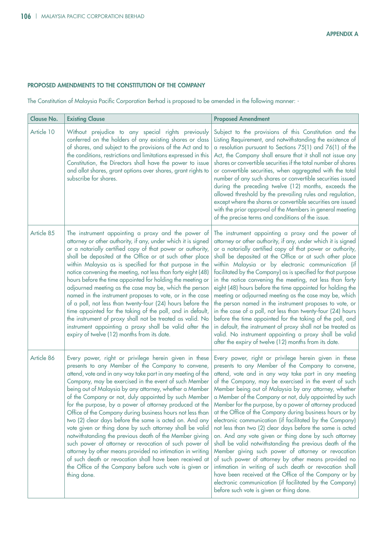## PROPOSED AMENDMENTS TO THE CONSTITUTION OF THE COMPANY

The Constitution of Malaysia Pacific Corporation Berhad is proposed to be amended in the following manner: -

| <b>Clause No.</b> | <b>Existing Clause</b>                                                                                                                                                                                                                                                                                                                                                                                                                                                                                                                                                                                                                                                                                                                                                                                                                                                                                                    | <b>Proposed Amendment</b>                                                                                                                                                                                                                                                                                                                                                                                                                                                                                                                                                                                                                                                                                                                                                                                                                                                                                                                                                                                                                                     |
|-------------------|---------------------------------------------------------------------------------------------------------------------------------------------------------------------------------------------------------------------------------------------------------------------------------------------------------------------------------------------------------------------------------------------------------------------------------------------------------------------------------------------------------------------------------------------------------------------------------------------------------------------------------------------------------------------------------------------------------------------------------------------------------------------------------------------------------------------------------------------------------------------------------------------------------------------------|---------------------------------------------------------------------------------------------------------------------------------------------------------------------------------------------------------------------------------------------------------------------------------------------------------------------------------------------------------------------------------------------------------------------------------------------------------------------------------------------------------------------------------------------------------------------------------------------------------------------------------------------------------------------------------------------------------------------------------------------------------------------------------------------------------------------------------------------------------------------------------------------------------------------------------------------------------------------------------------------------------------------------------------------------------------|
| Article 10        | Without prejudice to any special rights previously<br>conferred on the holders of any existing shares or class<br>of shares, and subject to the provisions of the Act and to<br>the conditions, restrictions and limitations expressed in this<br>Constitution, the Directors shall have the power to issue<br>and allot shares, grant options over shares, grant rights to<br>subscribe for shares.                                                                                                                                                                                                                                                                                                                                                                                                                                                                                                                      | Subject to the provisions of this Constitution and the<br>Listing Requirement, and notwithstanding the existence of<br>a resolution pursuant to Sections 75(1) and 76(1) of the<br>Act, the Company shall ensure that it shall not issue any<br>shares or convertible securities if the total number of shares<br>or convertible securities, when aggregated with the total<br>number of any such shares or convertible securities issued<br>during the preceding twelve (12) months, exceeds the<br>allowed threshold by the prevailing rules and regulation,<br>except where the shares or convertible securities are issued<br>with the prior approval of the Members in general meeting<br>of the precise terms and conditions of the issue.                                                                                                                                                                                                                                                                                                              |
| Article 85        | The instrument appointing a proxy and the power of<br>attorney or other authority, if any, under which it is signed<br>or a notarially certified copy of that power or authority,<br>shall be deposited at the Office or at such other place<br>within Malaysia as is specified for that purpose in the<br>notice convening the meeting, not less than forty eight (48)<br>hours before the time appointed for holding the meeting or<br>adjourned meeting as the case may be, which the person<br>named in the instrument proposes to vote, or in the case<br>of a poll, not less than twenty-four (24) hours before the<br>time appointed for the taking of the poll, and in default,<br>the instrument of proxy shall not be treated as valid. No<br>instrument appointing a proxy shall be valid after the<br>expiry of twelve (12) months from its date.                                                             | The instrument appointing a proxy and the power of<br>attorney or other authority, if any, under which it is signed<br>or a notarially certified copy of that power or authority,<br>shall be deposited at the Office or at such other place<br>within Malaysia or by electronic communication (if<br>facilitated by the Company) as is specified for that purpose<br>in the notice convening the meeting, not less than forty<br>eight (48) hours before the time appointed for holding the<br>meeting or adjourned meeting as the case may be, which<br>the person named in the instrument proposes to vote, or<br>in the case of a poll, not less than twenty-four (24) hours<br>before the time appointed for the taking of the poll, and<br>in default, the instrument of proxy shall not be treated as<br>valid. No instrument appointing a proxy shall be valid<br>after the expiry of twelve (12) months from its date.                                                                                                                               |
| Article 86        | Every power, right or privilege herein given in these<br>presents to any Member of the Company to convene,<br>attend, vote and in any way take part in any meeting of the<br>Company, may be exercised in the event of such Member<br>being out of Malaysia by any attorney, whether a Member<br>of the Company or not, duly appointed by such Member<br>for the purpose, by a power of attorney produced at the<br>Office of the Company during business hours not less than<br>two (2) clear days before the same is acted on. And any<br>vote given or thing done by such attorney shall be valid<br>notwithstanding the previous death of the Member giving<br>such power of attorney or revocation of such power of<br>attorney by other means provided no intimation in writing<br>of such death or revocation shall have been received at<br>the Office of the Company before such vote is given or<br>thing done. | Every power, right or privilege herein given in these<br>presents to any Member of the Company to convene,<br>attend, vote and in any way take part in any meeting<br>of the Company, may be exercised in the event of such<br>Member being out of Malaysia by any attorney, whether<br>a Member of the Company or not, duly appointed by such<br>Member for the purpose, by a power of attorney produced<br>at the Office of the Company during business hours or by<br>electronic communication (if facilitated by the Company)<br>not less than two (2) clear days before the same is acted<br>on. And any vote given or thing done by such attorney<br>shall be valid notwithstanding the previous death of the<br>Member giving such power of attorney or revocation<br>of such power of attorney by other means provided no<br>intimation in writing of such death or revocation shall<br>have been received at the Office of the Company or by<br>electronic communication (if facilitated by the Company)<br>before such vote is given or thing done. |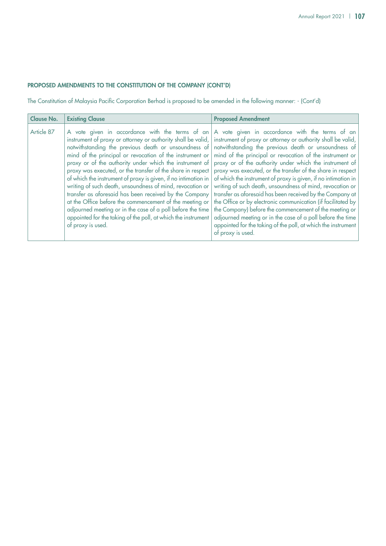### PROPOSED AMENDMENTS TO THE CONSTITUTION OF THE COMPANY (Cont'd)

The Constitution of Malaysia Pacific Corporation Berhad is proposed to be amended in the following manner: - (Cont'd)

| <b>Clause No.</b> | <b>Existing Clause</b>                                                                                                                                                                                                                                                                                                                                                                                                                                                                                                                                                                                                                                                                                               | <b>Proposed Amendment</b>                                                                                                                                                                                                                                                                                                                                                                                                                                                                                                                                                                                                                                                                                                                                                                                                                                                               |
|-------------------|----------------------------------------------------------------------------------------------------------------------------------------------------------------------------------------------------------------------------------------------------------------------------------------------------------------------------------------------------------------------------------------------------------------------------------------------------------------------------------------------------------------------------------------------------------------------------------------------------------------------------------------------------------------------------------------------------------------------|-----------------------------------------------------------------------------------------------------------------------------------------------------------------------------------------------------------------------------------------------------------------------------------------------------------------------------------------------------------------------------------------------------------------------------------------------------------------------------------------------------------------------------------------------------------------------------------------------------------------------------------------------------------------------------------------------------------------------------------------------------------------------------------------------------------------------------------------------------------------------------------------|
| Article 87        | instrument of proxy or attorney or authority shall be valid,  <br>notwithstanding the previous death or unsoundness of<br>mind of the principal or revocation of the instrument or<br>proxy or of the authority under which the instrument of<br>proxy was executed, or the transfer of the share in respect<br>of which the instrument of proxy is given, if no intimation in<br>writing of such death, unsoundness of mind, revocation or<br>transfer as aforesaid has been received by the Company<br>at the Office before the commencement of the meeting or<br>adjourned meeting or in the case of a poll before the time<br>appointed for the taking of the poll, at which the instrument<br>of proxy is used. | A vote given in accordance with the terms of an A vote given in accordance with the terms of an<br>instrument of proxy or attorney or authority shall be valid,<br>notwithstanding the previous death or unsoundness of<br>mind of the principal or revocation of the instrument or<br>proxy or of the authority under which the instrument of<br>proxy was executed, or the transfer of the share in respect<br>of which the instrument of proxy is given, if no intimation in<br>writing of such death, unsoundness of mind, revocation or<br>transfer as aforesaid has been received by the Company at<br>the Office or by electronic communication (if facilitated by<br>the Company) before the commencement of the meeting or<br>adjourned meeting or in the case of a poll before the time<br>appointed for the taking of the poll, at which the instrument<br>of proxy is used. |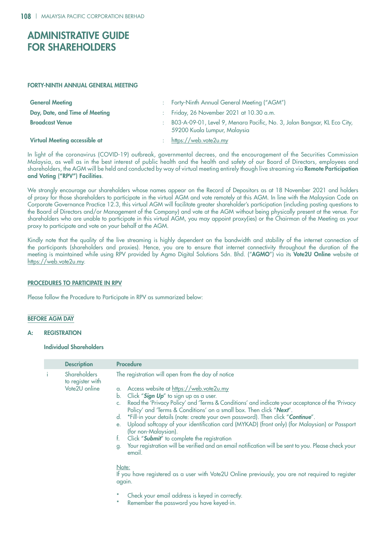## ADMINISTRATIVE GUIDE FOR SHAREHOLDERS

#### Forty-Ninth Annual General Meeting

| <b>General Meeting</b>               | Forty-Ninth Annual General Meeting ("AGM")                                                               |
|--------------------------------------|----------------------------------------------------------------------------------------------------------|
| Day, Date, and Time of Meeting       | Friday, 26 November 2021 at 10.30 a.m.                                                                   |
| <b>Broadcast Venue</b>               | B03-A-09-01, Level 9, Menara Pacific, No. 3, Jalan Bangsar, KL Eco City,<br>59200 Kuala Lumpur, Malaysia |
| <b>Virtual Meeting accessible at</b> | https://web.vote2u.my                                                                                    |

In light of the coronavirus (COVID-19) outbreak, governmental decrees, and the encouragement of the Securities Commission Malaysia, as well as in the best interest of public health and the health and safety of our Board of Directors, employees and shareholders, the AGM will be held and conducted by way of virtual meeting entirely though live streaming via Remote Participation and Voting ("RPV") Facilities.

We strongly encourage our shareholders whose names appear on the Record of Depositors as at 18 November 2021 and holders of proxy for those shareholders to participate in the virtual AGM and vote remotely at this AGM. In line with the Malaysian Code on Corporate Governance Practice 12.3, this virtual AGM will facilitate greater shareholder's participation (including posting questions to the Board of Directors and/or Management of the Company) and vote at the AGM without being physically present at the venue. For shareholders who are unable to participate in this virtual AGM, you may appoint proxy(ies) or the Chairman of the Meeting as your proxy to participate and vote on your behalf at the AGM.

Kindly note that the quality of the live streaming is highly dependent on the bandwidth and stability of the internet connection of the participants (shareholders and proxies). Hence, you are to ensure that internet connectivity throughout the duration of the meeting is maintained while using RPV provided by Agmo Digital Solutions Sdn. Bhd. ("AGMO") via its Vote2U Online website at https://web.vote2u.my.

#### PROCEDURES TO PARTICIPATE IN RPV

Please follow the Procedure to Participate in RPV as summarized below:

#### BEFORE AGM DAY

#### A: REGISTRATION

#### Individual Shareholders

| <b>Description</b>                                       | <b>Procedure</b>                                                                                                                                                                                                                                                                                                                                                                                                                                                                                                                                                                                                                                                                                                                                                                                                                                                                                                            |
|----------------------------------------------------------|-----------------------------------------------------------------------------------------------------------------------------------------------------------------------------------------------------------------------------------------------------------------------------------------------------------------------------------------------------------------------------------------------------------------------------------------------------------------------------------------------------------------------------------------------------------------------------------------------------------------------------------------------------------------------------------------------------------------------------------------------------------------------------------------------------------------------------------------------------------------------------------------------------------------------------|
| <b>Shareholders</b><br>to register with<br>Vote2U online | The registration will open from the day of notice<br>a. Access website at https://web.vote2u.my<br>Click "Sign Up" to sign up as a user.<br>b.<br>Read the 'Privacy Policy' and 'Terms & Conditions' and indicate your acceptance of the 'Privacy<br>C <sub>1</sub><br>Policy' and 'Terms & Conditions' on a small box. Then click "Next".<br>*Fill-in your details (note: create your own password). Then click "Continue".<br>d.<br>Upload softcopy of your identification card (MYKAD) (front only) (for Malaysian) or Passport<br>$e_{i}$<br>(for non-Malaysian).<br>Click "Submit" to complete the registration<br>t.<br>Your registration will be verified and an email notification will be sent to you. Please check your<br>g.<br>email.<br>Note:<br>If you have registered as a user with Vote2U Online previously, you are not required to register<br>again.<br>Check your email address is keyed in correctly. |
|                                                          |                                                                                                                                                                                                                                                                                                                                                                                                                                                                                                                                                                                                                                                                                                                                                                                                                                                                                                                             |

Remember the password you have keyed-in.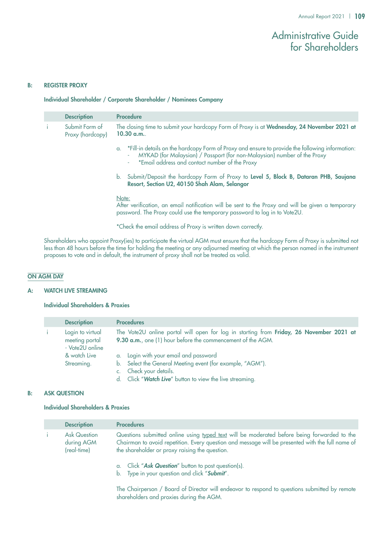## Administrative Guide for Shareholders

#### B: REGISTER PROXY

#### Individual Shareholder / Corporate Shareholder / Nominees Company

|     | <b>Description</b>                 | <b>Procedure</b>                                                                                                                                                                                                                      |
|-----|------------------------------------|---------------------------------------------------------------------------------------------------------------------------------------------------------------------------------------------------------------------------------------|
| -i- | Submit Form of<br>Proxy (hardcopy) | The closing time to submit your hardcopy Form of Proxy is at Wednesday, 24 November 2021 at<br>10.30 a.m.                                                                                                                             |
|     |                                    | a. *Fill-in details on the hardcopy Form of Proxy and ensure to provide the following information:<br>MYKAD (for Malaysian) / Passport (for non-Malaysian) number of the Proxy<br>٠<br>*Email address and contact number of the Proxy |
|     |                                    | b. Submit/Deposit the hardcopy Form of Proxy to Level 5, Block B, Dataran PHB, Saujana<br>Resort, Section U2, 40150 Shah Alam, Selangor                                                                                               |
|     |                                    | Note:<br>After verification, an email notification will be sent to the Proxy and will be given a temporary<br>password. The Proxy could use the temporary password to log in to Vote2U.                                               |

\*Check the email address of Proxy is written down correctly.

Shareholders who appoint Proxy(ies) to participate the virtual AGM must ensure that the hardcopy Form of Proxy is submitted not less than 48 hours before the time for holding the meeting or any adjourned meeting at which the person named in the instrument proposes to vote and in default, the instrument of proxy shall not be treated as valid.

#### ON AGM DAY

#### A: WATCH LIVE STREAMING

#### Individual Shareholders & Proxies

| <b>Description</b>                                    | <b>Procedures</b>                                                                                                                                      |
|-------------------------------------------------------|--------------------------------------------------------------------------------------------------------------------------------------------------------|
| Login to virtual<br>meeting portal<br>- Vote2U online | The Vote2U online portal will open for log in starting from Friday, 26 November 2021 at<br>9.30 a.m., one (1) hour before the commencement of the AGM. |
| & watch Live                                          | a. Login with your email and password                                                                                                                  |
| Streaming.                                            | b. Select the General Meeting event (for example, "AGM").                                                                                              |
|                                                       | c. Check your details.                                                                                                                                 |
|                                                       | d. Click "Watch Live" button to view the live streaming.                                                                                               |

#### B: ASK QUESTION

#### Individual Shareholders & Proxies

| <b>Description</b>                               | <b>Procedures</b>                                                                                                                                                                                                                                 |
|--------------------------------------------------|---------------------------------------------------------------------------------------------------------------------------------------------------------------------------------------------------------------------------------------------------|
| <b>Ask Question</b><br>during AGM<br>(real-time) | Questions submitted online using typed text will be moderated before being forwarded to the<br>Chairman to avoid repetition. Every question and message will be presented with the full name of<br>the shareholder or proxy raising the question. |
|                                                  | a. Click "Ask Question" button to post question(s).<br>b. Type in your question and click "Submit".                                                                                                                                               |

The Chairperson / Board of Director will endeavor to respond to questions submitted by remote shareholders and proxies during the AGM.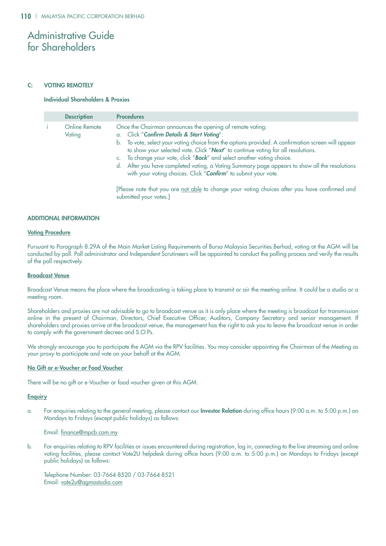## Administrative Guide for Shareholders

#### C: VOTING REMOTELY

#### Individual Shareholders & Proxies

| <b>Description</b>      | <b>Procedures</b>                                                                                                                                                                                                                                                                                                                                                                                                                                                                                                                              |
|-------------------------|------------------------------------------------------------------------------------------------------------------------------------------------------------------------------------------------------------------------------------------------------------------------------------------------------------------------------------------------------------------------------------------------------------------------------------------------------------------------------------------------------------------------------------------------|
| Online Remote<br>Voting | Once the Chairman announces the opening of remote voting:<br>a. Click "Confirm Details & Start Voting".<br>b. To vote, select your voting choice from the options provided. A confirmation screen will appear<br>to show your selected vote. Click "Next" to continue voting for all resolutions.<br>c. To change your vote, click "Back" and select another voting choice.<br>d. After you have completed voting, a Voting Summary page appears to show all the resolutions<br>with your voting choices. Click "Confirm" to submit your vote. |
|                         | [Please note that you are not able to change your voting choices after you have confirmed and<br>submitted your votes.]                                                                                                                                                                                                                                                                                                                                                                                                                        |

#### ADDITIONAL INFORMATION

#### Voting Procedure

Pursuant to Paragraph 8.29A of the Main Market Listing Requirements of Bursa Malaysia Securities Berhad, voting at the AGM will be conducted by poll. Poll administrator and Independent Scrutineers will be appointed to conduct the polling process and verify the results of the poll respectively.

#### Broadcast Venue

Broadcast Venue means the place where the broadcasting is taking place to transmit or air the meeting online. It could be a studio or a meeting room.

Shareholders and proxies are not advisable to go to broadcast venue as it is only place where the meeting is broadcast for transmission online in the present of Chairman, Directors, Chief Executive Officer, Auditors, Company Secretary and senior management. If shareholders and proxies arrive at the broadcast venue, the management has the right to ask you to leave the broadcast venue in order to comply with the government decrees and S.O.Ps.

We strongly encourage you to participate the AGM via the RPV facilities. You may consider appointing the Chairman of the Meeting as your proxy to participate and vote on your behalf at the AGM.

#### No Gift or e-Voucher or Food Voucher

There will be no gift or e-Voucher or food voucher given at this AGM.

#### **Enquiry**

a. For enquiries relating to the general meeting, please contact our Investor Relation during office hours (9:00 a.m. to 5:00 p.m.) on Mondays to Fridays (except public holidays) as follows:

#### Email: finance@mpcb.com.my

b. For enquiries relating to RPV facilities or issues encountered during registration, log in, connecting to the live streaming and online voting facilities, please contact Vote2U helpdesk during office hours (9:00 a.m. to 5:00 p.m.) on Mondays to Fridays (except public holidays) as follows:

Telephone Number: 03-7664 8520 / 03-7664 8521 Email: vote2u@agmostudio.com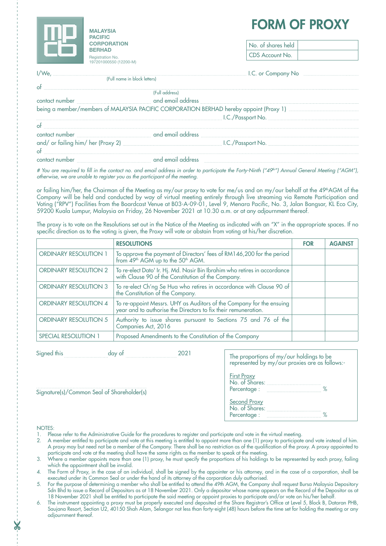

# **form of proxy Malaysia**

| No. of shares held |  |
|--------------------|--|
| CDS Account No.    |  |

I/We, I.C. or Company No (Full name in block letters)

of

## (Full address)

contact number with a number and email address being a member/members of MALAYSIA PACIFIC CORPORATION BERHAD hereby appoint (Proxy 1) manufactured manufactured in the U I.C./Passport No.

| ot                                 |                   |                   |  |
|------------------------------------|-------------------|-------------------|--|
| contact number                     | and email address |                   |  |
| and/ or failing him/ her (Proxy 2) |                   | I.C./Passport No. |  |
| $\circ$ f                          |                   |                   |  |
| contact number                     | and email address |                   |  |

*# You are required to fill in the contact no. and email address in order to participate the Forty-Ninth ("49th") Annual General Meeting ("AGM"), otherwise, we are unable to register you as the participant of the meeting.*

or failing him/her, the Chairman of the Meeting as my/our proxy to vote for me/us and on my/our behalf at the 49<sup>th</sup>AGM of the Company will be held and conducted by way of virtual meeting entirely through live streaming via Remote Participation and Voting ("RPV") Facilities from the Boardcast Venue at B03-A-09-01, Level 9, Menara Pacific, No. 3, Jalan Bangsar, KL Eco City, 59200 Kuala Lumpur, Malaysia on Friday, 26 November 2021 at 10.30 a.m. or at any adjournment thereof.

The proxy is to vote on the Resolutions set out in the Notice of the Meeting as indicated with an "X" in the appropriate spaces. If no specific direction as to the voting is given, the Proxy will vote or abstain from voting at his/her discretion.

|                              | <b>RESOLUTIONS</b>                                                                                                                     | <b>FOR</b> | <b>AGAINS</b> |
|------------------------------|----------------------------------------------------------------------------------------------------------------------------------------|------------|---------------|
| <b>ORDINARY RESOLUTION 1</b> | To approve the payment of Directors' fees of RM146,200 for the period<br>from 49 <sup>th</sup> AGM up to the 50 <sup>th</sup> AGM.     |            |               |
| <b>ORDINARY RESOLUTION 2</b> | To re-elect Dato' Ir. Hj. Md. Nasir Bin Ibrahim who retires in accordance with Clause 90 of the Constitution of the Company.           |            |               |
| <b>ORDINARY RESOLUTION 3</b> | To re-elect Ch'ng Se Hua who retires in accordance with Clause 90 of<br>the Constitution of the Company.                               |            |               |
| <b>ORDINARY RESOLUTION 4</b> | To re-appoint Messrs. UHY as Auditors of the Company for the ensuing<br>year and to authorise the Directors to fix their remuneration. |            |               |
| <b>ORDINARY RESOLUTION 5</b> | Authority to issue shares pursuant to Sections 75 and 76 of the<br>Companies Act, 2016                                                 |            |               |
| <b>SPECIAL RESOLUTION 1</b>  | Proposed Amendments to the Constitution of the Company                                                                                 |            |               |

Signed this day of 2021

Signature(s)/Common Seal of Shareholder(s)

| The proportions of my/our holdings to be<br>represented by my/our proxies are as follows:- |
|--------------------------------------------------------------------------------------------|
| <b>First Proxy</b><br>No. of Shares: <b>Market Shares</b><br>Percentage :<br>℀             |
| Second Proxy<br>No. of Shares:<br>Percentage:                                              |
|                                                                                            |

#### NOTES:

- 1. Please refer to the Administrative Guide for the procedures to register and participate and vote in the virtual meeting.
- 2. A member entitled to participate and vote at this meeting is entitled to appoint more than one (1) proxy to participate and vote instead of him. A proxy may but need not be a member of the Company. There shall be no restriction as of the qualification of the proxy. A proxy appointed to participate and vote at the meeting shall have the same rights as the member to speak at the meeting.
- 3. Where a member appoints more than one (1) proxy, he must specify the proportions of his holdings to be represented by each proxy, failing which the appointment shall be invalid.
- 4. The Form of Proxy, in the case of an individual, shall be signed by the appointer or his attorney, and in the case of a corporation, shall be executed under its Common Seal or under the hand of its attorney of the corporation duly authorised.
- 5. For the purpose of determining a member who shall be entitled to attend the 49th AGM, the Company shall request Bursa Malaysia Depository Sdn Bhd to issue a Record of Depositors as at 18 November 2021. Only a depositor whose name appears on the Record of the Depositor as at 18 November 2021 shall be entitled to participate the said meeting or appoint proxies to participate and/or vote on his/her behalf.
- 6. The instrument appointing a proxy must be properly executed and deposited at the Share Registrar's Office at Level 5, Block B, Dataran PHB, Saujana Resort, Section U2, 40150 Shah Alam, Selangor not less than forty-eight (48) hours before the time set for holding the meeting or any adjournment thereof.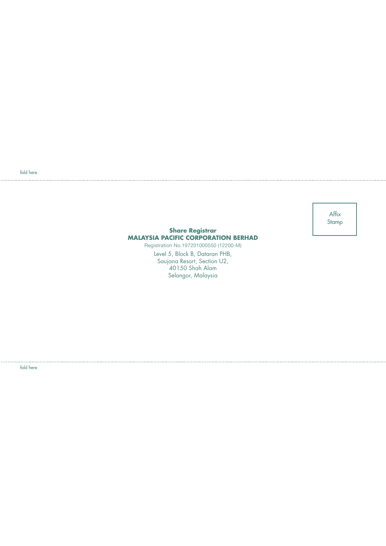fold here

Affix Stamp

#### **Share Registrar MALAYSIA PACIFIC CORPORATION BERHAD**

Registration No.197201000550 (12200-M)

Level 5, Block B, Dataran PHB, Saujana Resort, Section U2, 40150 Shah Alam Selangor, Malaysia

fold here